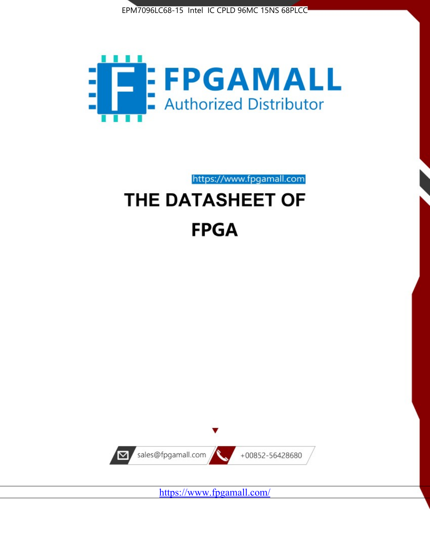



https://www.fpgamall.com

# THE DATASHEET OF **FPGA**



<https://www.fpgamall.com/>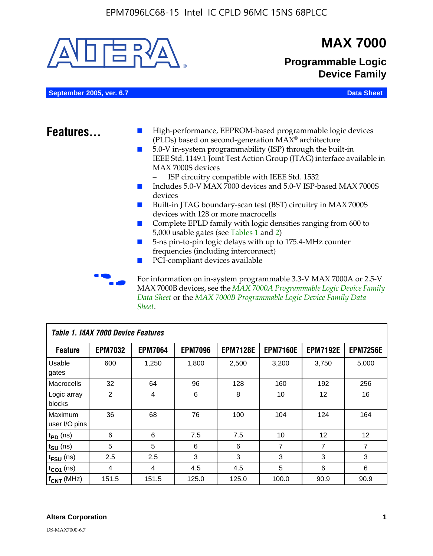

| <b>Table 1. MAX 7000 Device Features</b> |                |                |                |                 |                 |                 |                 |
|------------------------------------------|----------------|----------------|----------------|-----------------|-----------------|-----------------|-----------------|
| <b>Feature</b>                           | <b>EPM7032</b> | <b>EPM7064</b> | <b>EPM7096</b> | <b>EPM7128E</b> | <b>EPM7160E</b> | <b>EPM7192E</b> | <b>EPM7256E</b> |
| Usable<br>gates                          | 600            | 1,250          | 1,800          | 2,500           | 3,200           | 3,750           | 5,000           |
| Macrocells                               | 32             | 64             | 96             | 128             | 160             | 192             | 256             |
| Logic array<br>blocks                    | 2              | 4              | 6              | 8               | 10              | 12              | 16              |
| Maximum<br>user I/O pins                 | 36             | 68             | 76             | 100             | 104             | 124             | 164             |
| $t_{PD}$ (ns)                            | 6              | 6              | 7.5            | 7.5             | 10              | 12              | 12              |
| $t_{\text{SU}}$ (ns)                     | 5              | 5              | 6              | 6               | 7               | 7               | 7               |
| $t_{FSU}$ (ns)                           | 2.5            | 2.5            | 3              | 3               | 3               | 3               | 3               |
| $t_{CO1}$ (ns)                           | 4              | 4              | 4.5            | 4.5             | 5               | 6               | 6               |
| $f_{CNT}$ (MHz)                          | 151.5          | 151.5          | 125.0          | 125.0           | 100.0           | 90.9            | 90.9            |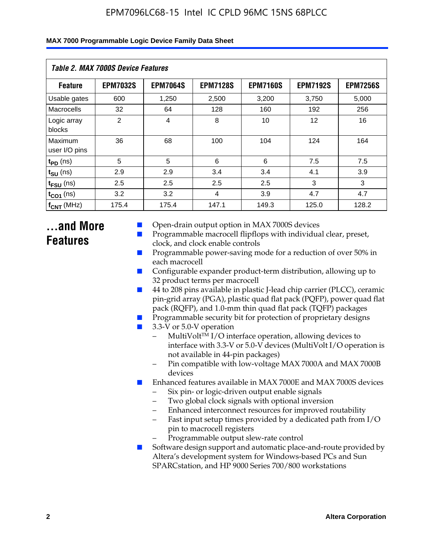| Table 2. MAX 7000S Device Features |                 |                 |                 |                 |                   |                 |  |  |
|------------------------------------|-----------------|-----------------|-----------------|-----------------|-------------------|-----------------|--|--|
| <b>Feature</b>                     | <b>EPM7032S</b> | <b>EPM7064S</b> | <b>EPM7128S</b> | <b>EPM7160S</b> | <b>EPM7192S</b>   | <b>EPM7256S</b> |  |  |
| Usable gates                       | 600             | 1,250           | 2,500           | 3,200           | 3,750             | 5,000           |  |  |
| Macrocells                         | 32              | 64              | 128             | 160             | 192               | 256             |  |  |
| Logic array<br>blocks              | $\overline{2}$  | $\overline{4}$  | 8               | 10              | $12 \overline{ }$ | 16              |  |  |
| Maximum<br>user I/O pins           | 36              | 68              | 100             | 104             | 124               | 164             |  |  |
| $t_{PD}$ (ns)                      | 5               | 5               | 6               | 6               | 7.5               | 7.5             |  |  |
| $t_{SU}$ (ns)                      | 2.9             | 2.9             | 3.4             | 3.4             | 4.1               | 3.9             |  |  |
| $t_{\text{FSU}}$ (ns)              | 2.5             | 2.5             | 2.5             | 2.5             | 3                 | 3               |  |  |
| $t_{CO1}$ (ns)                     | 3.2             | 3.2             | 4               | 3.9             | 4.7               | 4.7             |  |  |
| $f_{\text{CNT}}$ (MHz)             | 175.4           | 175.4           | 147.1           | 149.3           | 125.0             | 128.2           |  |  |

# **...and More Features**

- Open-drain output option in MAX 7000S devices
- Programmable macrocell flipflops with individual clear, preset, clock, and clock enable controls
- Programmable power-saving mode for a reduction of over 50% in each macrocell
- Configurable expander product-term distribution, allowing up to 32 product terms per macrocell
- 44 to 208 pins available in plastic J-lead chip carrier (PLCC), ceramic pin-grid array (PGA), plastic quad flat pack (PQFP), power quad flat pack (RQFP), and 1.0-mm thin quad flat pack (TQFP) packages
- Programmable security bit for protection of proprietary designs
- 3.3-V or 5.0-V operation
	- MultiVolt<sup>TM</sup> I/O interface operation, allowing devices to interface with 3.3-V or 5.0-V devices (MultiVolt I/O operation is not available in 44-pin packages)
	- Pin compatible with low-voltage MAX 7000A and MAX 7000B devices
- Enhanced features available in MAX 7000E and MAX 7000S devices
	- Six pin- or logic-driven output enable signals
	- Two global clock signals with optional inversion
	- Enhanced interconnect resources for improved routability
	- Fast input setup times provided by a dedicated path from I/O pin to macrocell registers
	- Programmable output slew-rate control
- Software design support and automatic place-and-route provided by Altera's development system for Windows-based PCs and Sun SPARCstation, and HP 9000 Series 700/800 workstations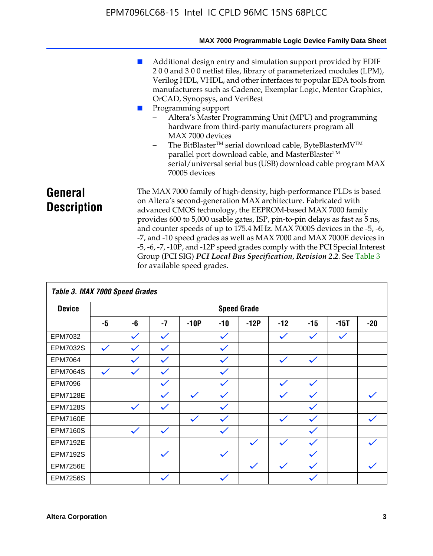|                               | MAX 7000 Programmable Logic Device Family Data Sheet                                                                                                                                                                                                                                                                                                                                                                                                                                                                                                                                                                                                                                                 |
|-------------------------------|------------------------------------------------------------------------------------------------------------------------------------------------------------------------------------------------------------------------------------------------------------------------------------------------------------------------------------------------------------------------------------------------------------------------------------------------------------------------------------------------------------------------------------------------------------------------------------------------------------------------------------------------------------------------------------------------------|
|                               | Additional design entry and simulation support provided by EDIF<br>200 and 300 netlist files, library of parameterized modules (LPM),<br>Verilog HDL, VHDL, and other interfaces to popular EDA tools from<br>manufacturers such as Cadence, Exemplar Logic, Mentor Graphics,<br>OrCAD, Synopsys, and VeriBest<br>Programming support<br>Altera's Master Programming Unit (MPU) and programming<br>hardware from third-party manufacturers program all<br>MAX 7000 devices<br>The BitBlaster™ serial download cable, ByteBlasterMV™<br>$\overline{\phantom{a}}$<br>parallel port download cable, and MasterBlaster™<br>serial/universal serial bus (USB) download cable program MAX<br>7000S devices |
| General<br><b>Description</b> | The MAX 7000 family of high-density, high-performance PLDs is based<br>on Altera's second-generation MAX architecture. Fabricated with<br>advanced CMOS technology, the EEPROM-based MAX 7000 family<br>provides 600 to 5,000 usable gates, ISP, pin-to-pin delays as fast as 5 ns,<br>and counter speeds of up to 175.4 MHz. MAX 7000S devices in the -5, -6,<br>-7, and -10 speed grades as well as MAX 7000 and MAX 7000E devices in<br>-5, -6, -7, -10P, and -12P speed grades comply with the PCI Special Interest<br>Group (PCI SIG) PCI Local Bus Specification, Revision 2.2. See Table 3                                                                                                    |

| Table 3. MAX 7000 Speed Grades |              |              |              |              |              |                    |              |              |              |              |
|--------------------------------|--------------|--------------|--------------|--------------|--------------|--------------------|--------------|--------------|--------------|--------------|
| <b>Device</b>                  |              |              |              |              |              | <b>Speed Grade</b> |              |              |              |              |
|                                | -5           | -6           | $-7$         | $-10P$       | $-10$        | $-12P$             | $-12$        | $-15$        | $-15T$       | $-20$        |
| EPM7032                        |              | $\checkmark$ | $\checkmark$ |              | $\checkmark$ |                    | $\checkmark$ | $\checkmark$ | $\checkmark$ |              |
| EPM7032S                       | $\checkmark$ | $\checkmark$ | $\checkmark$ |              | $\checkmark$ |                    |              |              |              |              |
| <b>EPM7064</b>                 |              |              | $\checkmark$ |              | $\checkmark$ |                    | $\checkmark$ | $\checkmark$ |              |              |
| <b>EPM7064S</b>                | $\checkmark$ | $\checkmark$ | $\checkmark$ |              | $\checkmark$ |                    |              |              |              |              |
| EPM7096                        |              |              | $\checkmark$ |              | $\checkmark$ |                    | $\checkmark$ | $\checkmark$ |              |              |
| <b>EPM7128E</b>                |              |              | $\checkmark$ | $\checkmark$ | $\checkmark$ |                    | $\checkmark$ | $\checkmark$ |              | $\checkmark$ |
| <b>EPM7128S</b>                |              | $\checkmark$ | $\checkmark$ |              | $\checkmark$ |                    |              | $\checkmark$ |              |              |
| <b>EPM7160E</b>                |              |              |              | $\checkmark$ | $\checkmark$ |                    | $\checkmark$ | $\checkmark$ |              | $\checkmark$ |
| <b>EPM7160S</b>                |              | $\checkmark$ | $\checkmark$ |              | $\checkmark$ |                    |              | $\checkmark$ |              |              |
| <b>EPM7192E</b>                |              |              |              |              |              | $\checkmark$       | $\checkmark$ | $\checkmark$ |              |              |
| <b>EPM7192S</b>                |              |              | $\checkmark$ |              | $\checkmark$ |                    |              | $\checkmark$ |              |              |
| <b>EPM7256E</b>                |              |              |              |              |              | $\checkmark$       | $\checkmark$ | $\checkmark$ |              | $\checkmark$ |
| <b>EPM7256S</b>                |              |              | $\checkmark$ |              | $\checkmark$ |                    |              | $\checkmark$ |              |              |

for available speed grades.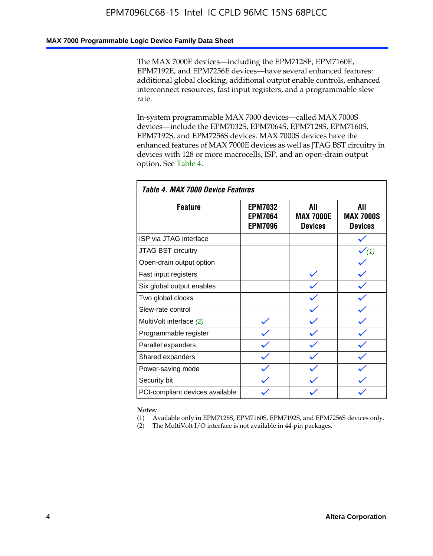#### **MAX 7000 Programmable Logic Device Family Data Sheet**

The MAX 7000E devices—including the EPM7128E, EPM7160E, EPM7192E, and EPM7256E devices—have several enhanced features: additional global clocking, additional output enable controls, enhanced interconnect resources, fast input registers, and a programmable slew rate.

In-system programmable MAX 7000 devices—called MAX 7000S devices—include the EPM7032S, EPM7064S, EPM7128S, EPM7160S, EPM7192S, and EPM7256S devices. MAX 7000S devices have the enhanced features of MAX 7000E devices as well as JTAG BST circuitry in devices with 128 or more macrocells, ISP, and an open-drain output option. See Table 4.

| Table 4. MAX 7000 Device Features |                                                    |                                           |                                           |  |  |  |
|-----------------------------------|----------------------------------------------------|-------------------------------------------|-------------------------------------------|--|--|--|
| <b>Feature</b>                    | <b>EPM7032</b><br><b>EPM7064</b><br><b>EPM7096</b> | All<br><b>MAX 7000E</b><br><b>Devices</b> | All<br><b>MAX 7000S</b><br><b>Devices</b> |  |  |  |
| ISP via JTAG interface            |                                                    |                                           |                                           |  |  |  |
| <b>JTAG BST circuitry</b>         |                                                    |                                           | $\checkmark$ (1)                          |  |  |  |
| Open-drain output option          |                                                    |                                           |                                           |  |  |  |
| Fast input registers              |                                                    |                                           |                                           |  |  |  |
| Six global output enables         |                                                    |                                           |                                           |  |  |  |
| Two global clocks                 |                                                    |                                           |                                           |  |  |  |
| Slew-rate control                 |                                                    |                                           |                                           |  |  |  |
| MultiVolt interface (2)           |                                                    |                                           |                                           |  |  |  |
| Programmable register             |                                                    |                                           |                                           |  |  |  |
| Parallel expanders                |                                                    |                                           |                                           |  |  |  |
| Shared expanders                  |                                                    |                                           |                                           |  |  |  |
| Power-saving mode                 |                                                    |                                           |                                           |  |  |  |
| Security bit                      |                                                    |                                           |                                           |  |  |  |
| PCI-compliant devices available   |                                                    |                                           |                                           |  |  |  |

*Notes:*

(1) Available only in EPM7128S, EPM7160S, EPM7192S, and EPM7256S devices only.

(2) The MultiVolt I/O interface is not available in 44-pin packages.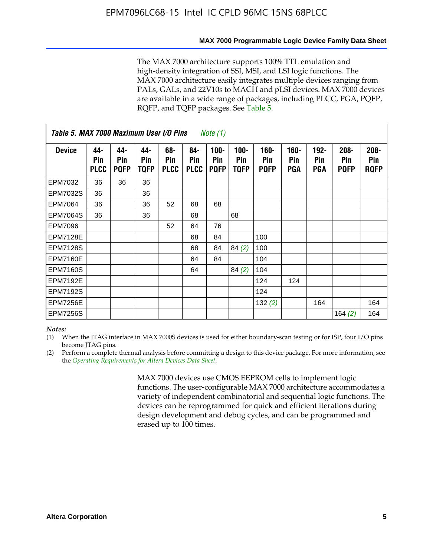#### **MAX 7000 Programmable Logic Device Family Data Sheet**

The MAX 7000 architecture supports 100% TTL emulation and high-density integration of SSI, MSI, and LSI logic functions. The MAX 7000 architecture easily integrates multiple devices ranging from PALs, GALs, and 22V10s to MACH and pLSI devices. MAX 7000 devices are available in a wide range of packages, including PLCC, PGA, PQFP, RQFP, and TQFP packages. See Table 5.

| Table 5. MAX 7000 Maximum User I/O Pins<br><i>Note</i> $(1)$ |                           |                           |                    |                           |                           |                               |                        |                            |                       |                              |                               |                               |
|--------------------------------------------------------------|---------------------------|---------------------------|--------------------|---------------------------|---------------------------|-------------------------------|------------------------|----------------------------|-----------------------|------------------------------|-------------------------------|-------------------------------|
| <b>Device</b>                                                | 44-<br>Pin<br><b>PLCC</b> | 44-<br>Pin<br><b>PQFP</b> | 44-<br>Pin<br>TQFP | 68-<br>Pin<br><b>PLCC</b> | 84-<br>Pin<br><b>PLCC</b> | $100 -$<br>Pin<br><b>PQFP</b> | $100 -$<br>Pin<br>TQFP | 160-<br>Pin<br><b>PQFP</b> | $160 -$<br>Pin<br>PGA | $192 -$<br><b>Pin</b><br>PGA | $208 -$<br>Pin<br><b>PQFP</b> | $208 -$<br>Pin<br><b>RQFP</b> |
| EPM7032                                                      | 36                        | 36                        | 36                 |                           |                           |                               |                        |                            |                       |                              |                               |                               |
| <b>EPM7032S</b>                                              | 36                        |                           | 36                 |                           |                           |                               |                        |                            |                       |                              |                               |                               |
| <b>EPM7064</b>                                               | 36                        |                           | 36                 | 52                        | 68                        | 68                            |                        |                            |                       |                              |                               |                               |
| <b>EPM7064S</b>                                              | 36                        |                           | 36                 |                           | 68                        |                               | 68                     |                            |                       |                              |                               |                               |
| <b>EPM7096</b>                                               |                           |                           |                    | 52                        | 64                        | 76                            |                        |                            |                       |                              |                               |                               |
| <b>EPM7128E</b>                                              |                           |                           |                    |                           | 68                        | 84                            |                        | 100                        |                       |                              |                               |                               |
| <b>EPM7128S</b>                                              |                           |                           |                    |                           | 68                        | 84                            | 84(2)                  | 100                        |                       |                              |                               |                               |
| EPM7160E                                                     |                           |                           |                    |                           | 64                        | 84                            |                        | 104                        |                       |                              |                               |                               |
| EPM7160S                                                     |                           |                           |                    |                           | 64                        |                               | 84(2)                  | 104                        |                       |                              |                               |                               |
| <b>EPM7192E</b>                                              |                           |                           |                    |                           |                           |                               |                        | 124                        | 124                   |                              |                               |                               |
| <b>EPM7192S</b>                                              |                           |                           |                    |                           |                           |                               |                        | 124                        |                       |                              |                               |                               |
| <b>EPM7256E</b>                                              |                           |                           |                    |                           |                           |                               |                        | 132 $(2)$                  |                       | 164                          |                               | 164                           |
| EPM7256S                                                     |                           |                           |                    |                           |                           |                               |                        |                            |                       |                              | 164 $(2)$                     | 164                           |

#### *Notes:*

(1) When the JTAG interface in MAX 7000S devices is used for either boundary-scan testing or for ISP, four I/O pins become JTAG pins.

(2) Perform a complete thermal analysis before committing a design to this device package. For more information, see the *Operating Requirements for Altera Devices Data Sheet*.

> MAX 7000 devices use CMOS EEPROM cells to implement logic functions. The user-configurable MAX 7000 architecture accommodates a variety of independent combinatorial and sequential logic functions. The devices can be reprogrammed for quick and efficient iterations during design development and debug cycles, and can be programmed and erased up to 100 times.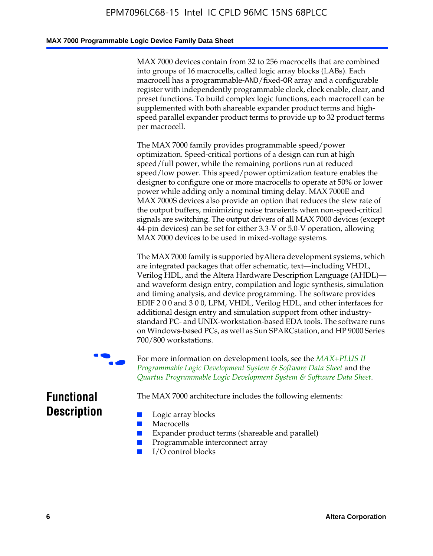#### **MAX 7000 Programmable Logic Device Family Data Sheet**

MAX 7000 devices contain from 32 to 256 macrocells that are combined into groups of 16 macrocells, called logic array blocks (LABs). Each macrocell has a programmable-AND/fixed-OR array and a configurable register with independently programmable clock, clock enable, clear, and preset functions. To build complex logic functions, each macrocell can be supplemented with both shareable expander product terms and highspeed parallel expander product terms to provide up to 32 product terms per macrocell.

The MAX 7000 family provides programmable speed/power optimization. Speed-critical portions of a design can run at high speed/full power, while the remaining portions run at reduced speed/low power. This speed/power optimization feature enables the designer to configure one or more macrocells to operate at 50% or lower power while adding only a nominal timing delay. MAX 7000E and MAX 7000S devices also provide an option that reduces the slew rate of the output buffers, minimizing noise transients when non-speed-critical signals are switching. The output drivers of all MAX 7000 devices (except 44-pin devices) can be set for either 3.3-V or 5.0-V operation, allowing MAX 7000 devices to be used in mixed-voltage systems.

The MAX 7000 family is supported byAltera development systems, which are integrated packages that offer schematic, text—including VHDL, Verilog HDL, and the Altera Hardware Description Language (AHDL) and waveform design entry, compilation and logic synthesis, simulation and timing analysis, and device programming. The [software provides](http://www.altera.com/literature/ds/dsmii.pdf)  [EDIF 2 0 0 and 3 0 0, LPM, VHDL, Verilog HDL, and other in](http://www.altera.com/literature/ds/dsmii.pdf)terfaces for [additional design entry and simulation support from other industry](http://www.altera.com/literature/ds/quartus.pdf)standard PC- and UNIX-workstation-based EDA tools. The software runs on Windows-based PCs, as well as Sun SPARCstation, and HP 9000 Series 700/800 workstations.

For more information on development tools, see the **MAX+PLUS II** *Programmable Logic Development System & Software Data Sheet* and the *Quartus Programmable Logic Development System & Software Data Sheet*.

The MAX 7000 architecture includes the following elements:

# **Functional Description**

- Logic array blocks
- **Macrocells**
- Expander product terms (shareable and parallel)
- Programmable interconnect array
- I/O control blocks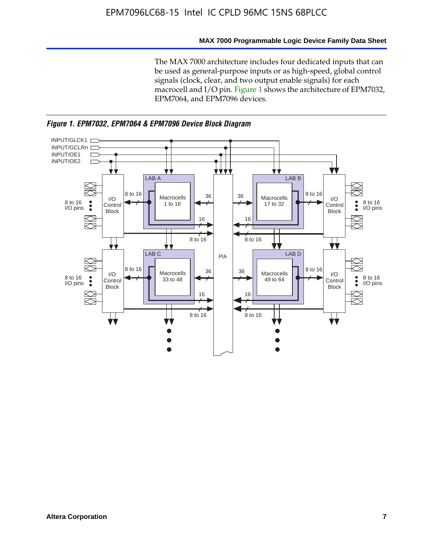#### **MAX 7000 Programmable Logic Device Family Data Sheet**

The MAX 7000 architecture includes four dedicated inputs that can be used as general-purpose inputs or as high-speed, global control signals (clock, clear, and two output enable signals) for each macrocell and I/O pin. Figure 1 shows the architecture of EPM7032, EPM7064, and EPM7096 devices.



*Figure 1. EPM7032, EPM7064 & EPM7096 Device Block Diagram*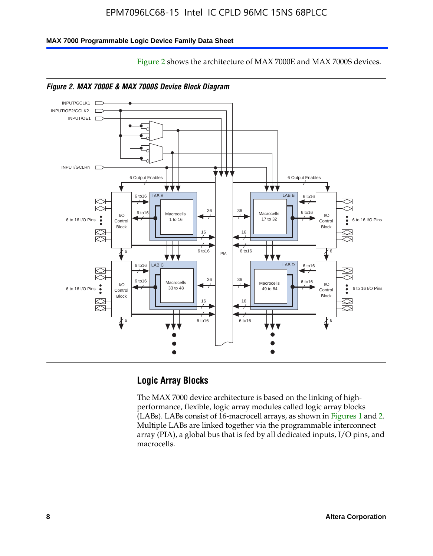Figure 2 shows the architecture of MAX 7000E and MAX 7000S devices.

#### **MAX 7000 Programmable Logic Device Family Data Sheet**





*Figure 2. MAX 7000E & MAX 7000S Device Block Diagram*

# **Logic Array Blocks**

The MAX 7000 device architecture is based on the linking of highperformance, flexible, logic array modules called logic array blocks (LABs). LABs consist of 16-macrocell arrays, as shown in Figures 1 and 2. Multiple LABs are linked together via the programmable interconnect array (PIA), a global bus that is fed by all dedicated inputs, I/O pins, and macrocells.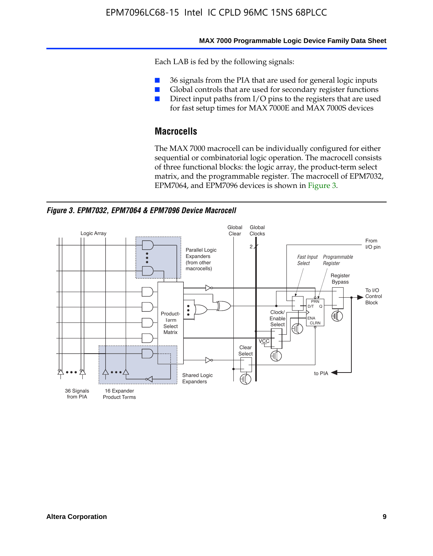#### **MAX 7000 Programmable Logic Device Family Data Sheet**

Each LAB is fed by the following signals:

- 36 signals from the PIA that are used for general logic inputs
- Global controls that are used for secondary register functions
- Direct input paths from I/O pins to the registers that are used for fast setup times for MAX 7000E and MAX 7000S devices

# **Macrocells**

The MAX 7000 macrocell can be individually configured for either sequential or combinatorial logic operation. The macrocell consists of three functional blocks: the logic array, the product-term select matrix, and the programmable register. The macrocell of EPM7032, EPM7064, and EPM7096 devices is shown in Figure 3.

*Figure 3. EPM7032, EPM7064 & EPM7096 Device Macrocell*

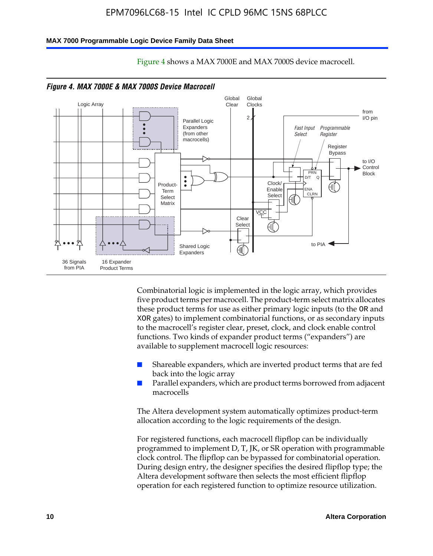#### **MAX 7000 Programmable Logic Device Family Data Sheet**



Figure 4 shows a MAX 7000E and MAX 7000S device macrocell.

*Figure 4. MAX 7000E & MAX 7000S Device Macrocell*

Combinatorial logic is implemented in the logic array, which provides five product terms per macrocell. The product-term select matrix allocates these product terms for use as either primary logic inputs (to the OR and XOR gates) to implement combinatorial functions, or as secondary inputs to the macrocell's register clear, preset, clock, and clock enable control functions. Two kinds of expander product terms ("expanders") are available to supplement macrocell logic resources:

- Shareable expanders, which are inverted product terms that are fed back into the logic array
- Parallel expanders, which are product terms borrowed from adjacent macrocells

The Altera development system automatically optimizes product-term allocation according to the logic requirements of the design.

For registered functions, each macrocell flipflop can be individually programmed to implement D, T, JK, or SR operation with programmable clock control. The flipflop can be bypassed for combinatorial operation. During design entry, the designer specifies the desired flipflop type; the Altera development software then selects the most efficient flipflop operation for each registered function to optimize resource utilization.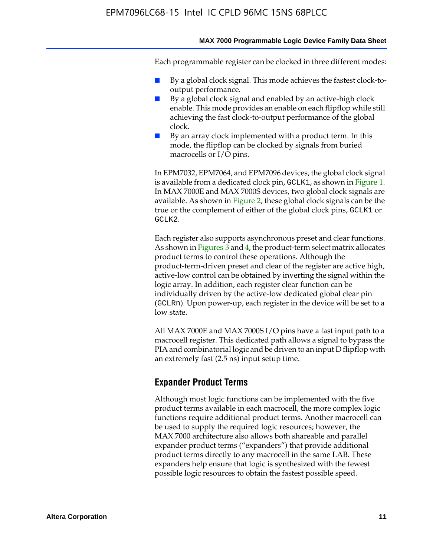#### **MAX 7000 Programmable Logic Device Family Data Sheet**

Each programmable register can be clocked in three different modes:

- By a global clock signal. This mode achieves the fastest clock-tooutput performance.
- By a global clock signal and enabled by an active-high clock enable. This mode provides an enable on each flipflop while still achieving the fast clock-to-output performance of the global clock.
- By an array clock implemented with a product term. In this mode, the flipflop can be clocked by signals from buried macrocells or I/O pins.

In EPM7032, EPM7064, and EPM7096 devices, the global clock signal is available from a dedicated clock pin, GCLK1, as shown in Figure 1. In MAX 7000E and MAX 7000S devices, two global clock signals are available. As shown in Figure 2, these global clock signals can be the true or the complement of either of the global clock pins, GCLK1 or GCLK2.

Each register also supports asynchronous preset and clear functions. As shown in Figures 3 and 4, the product-term select matrix allocates product terms to control these operations. Although the product-term-driven preset and clear of the register are active high, active-low control can be obtained by inverting the signal within the logic array. In addition, each register clear function can be individually driven by the active-low dedicated global clear pin (GCLRn). Upon power-up, each register in the device will be set to a low state.

All MAX 7000E and MAX 7000S I/O pins have a fast input path to a macrocell register. This dedicated path allows a signal to bypass the PIA and combinatorial logic and be driven to an input D flipflop with an extremely fast (2.5 ns) input setup time.

#### **Expander Product Terms**

Although most logic functions can be implemented with the five product terms available in each macrocell, the more complex logic functions require additional product terms. Another macrocell can be used to supply the required logic resources; however, the MAX 7000 architecture also allows both shareable and parallel expander product terms ("expanders") that provide additional product terms directly to any macrocell in the same LAB. These expanders help ensure that logic is synthesized with the fewest possible logic resources to obtain the fastest possible speed.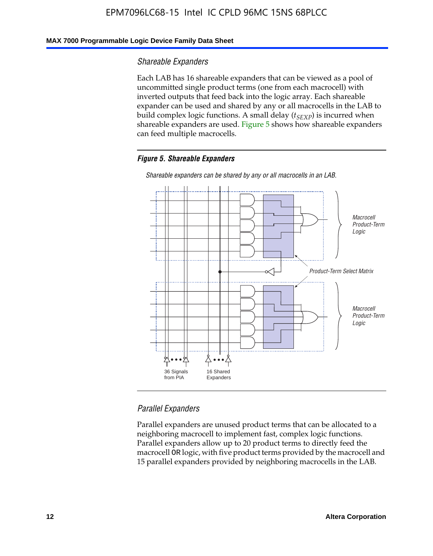#### **MAX 7000 Programmable Logic Device Family Data Sheet**

#### *Shareable Expanders*

Each LAB has 16 shareable expanders that can be viewed as a pool of uncommitted single product terms (one from each macrocell) with inverted outputs that feed back into the logic array. Each shareable expander can be used and shared by any or all macrocells in the LAB to build complex logic functions. A small delay ( $t_{SEXP}$ ) is incurred when shareable expanders are used. Figure 5 shows how shareable expanders can feed multiple macrocells.

#### *Figure 5. Shareable Expanders*



*Shareable expanders can be shared by any or all macrocells in an LAB.*

### *Parallel Expanders*

Parallel expanders are unused product terms that can be allocated to a neighboring macrocell to implement fast, complex logic functions. Parallel expanders allow up to 20 product terms to directly feed the macrocell OR logic, with five product terms provided by the macrocell and 15 parallel expanders provided by neighboring macrocells in the LAB.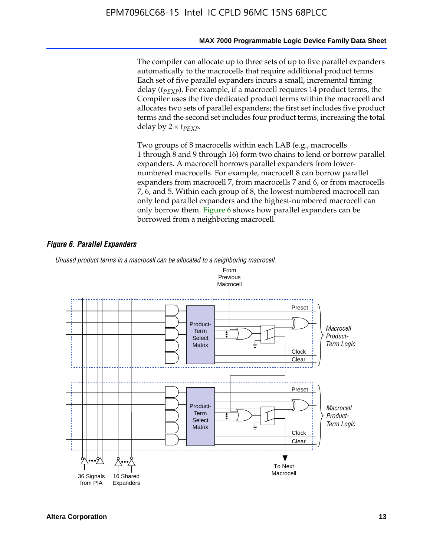#### **MAX 7000 Programmable Logic Device Family Data Sheet**

The compiler can allocate up to three sets of up to five parallel expanders automatically to the macrocells that require additional product terms. Each set of five parallel expanders incurs a small, incremental timing delay (*t<sub>PEXP</sub>*). For example, if a macrocell requires 14 product terms, the Compiler uses the five dedicated product terms within the macrocell and allocates two sets of parallel expanders; the first set includes five product terms and the second set includes four product terms, increasing the total delay by  $2 \times t_{PFXP}$ .

Two groups of 8 macrocells within each LAB (e.g., macrocells 1 through 8 and 9 through 16) form two chains to lend or borrow parallel expanders. A macrocell borrows parallel expanders from lowernumbered macrocells. For example, macrocell 8 can borrow parallel expanders from macrocell 7, from macrocells 7 and 6, or from macrocells 7, 6, and 5. Within each group of 8, the lowest-numbered macrocell can only lend parallel expanders and the highest-numbered macrocell can only borrow them. Figure 6 shows how parallel expanders can be borrowed from a neighboring macrocell.

#### *Figure 6. Parallel Expanders*

*Unused product terms in a macrocell can be allocated to a neighboring macrocell.*

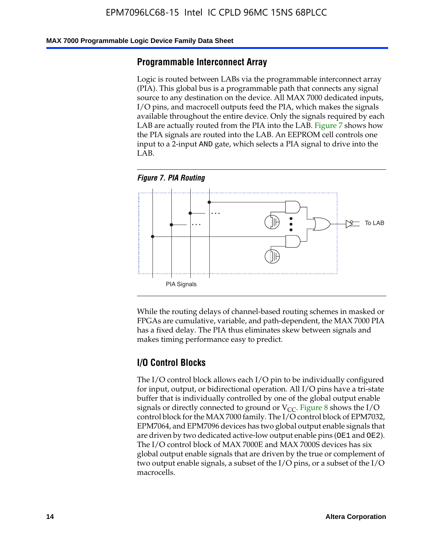#### **MAX 7000 Programmable Logic Device Family Data Sheet**

#### **Programmable Interconnect Array**

Logic is routed between LABs via the programmable interconnect array (PIA). This global bus is a programmable path that connects any signal source to any destination on the device. All MAX 7000 dedicated inputs, I/O pins, and macrocell outputs feed the PIA, which makes the signals available throughout the entire device. Only the signals required by each LAB are actually routed from the PIA into the LAB. Figure 7 shows how the PIA signals are routed into the LAB. An EEPROM cell controls one input to a 2-input AND gate, which selects a PIA signal to drive into the LAB.





While the routing delays of channel-based routing schemes in masked or FPGAs are cumulative, variable, and path-dependent, the MAX 7000 PIA has a fixed delay. The PIA thus eliminates skew between signals and makes timing performance easy to predict.

### **I/O Control Blocks**

The I/O control block allows each I/O pin to be individually configured for input, output, or bidirectional operation. All I/O pins have a tri-state buffer that is individually controlled by one of the global output enable signals or directly connected to ground or  $V_{CC}$ . Figure 8 shows the I/O control block for the MAX 7000 family. The I/O control block of EPM7032, EPM7064, and EPM7096 devices has two global output enable signals that are driven by two dedicated active-low output enable pins (OE1 and OE2). The I/O control block of MAX 7000E and MAX 7000S devices has six global output enable signals that are driven by the true or complement of two output enable signals, a subset of the I/O pins, or a subset of the I/O macrocells.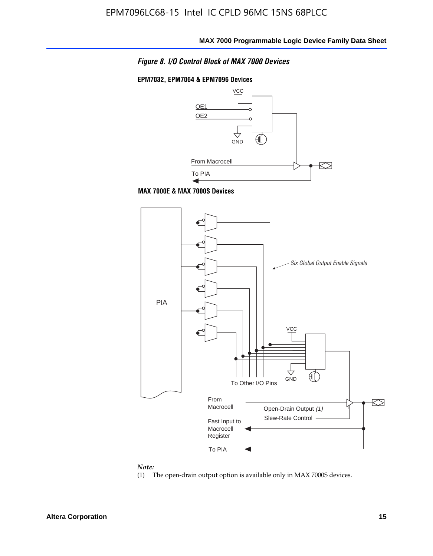

#### **EPM7032, EPM7064 & EPM7096 Devices**



**MAX 7000E & MAX 7000S Devices**



#### *Note:*

(1) The open-drain output option is available only in MAX 7000S devices.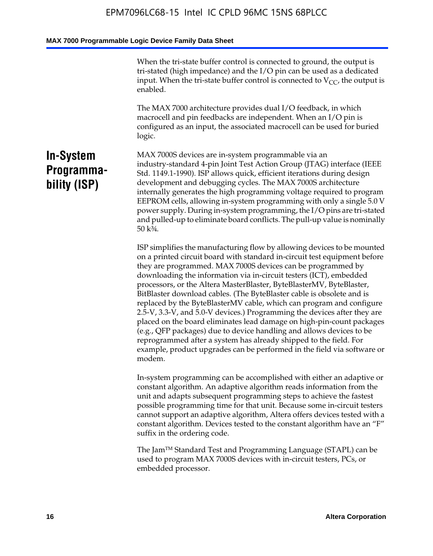When the tri-state buffer control is connected to ground, the output is tri-stated (high impedance) and the I/O pin can be used as a dedicated input. When the tri-state buffer control is connected to  $V_{CC}$ , the output is enabled.

The MAX 7000 architecture provides dual I/O feedback, in which macrocell and pin feedbacks are independent. When an I/O pin is configured as an input, the associated macrocell can be used for buried logic.

# **In-System Programmability (ISP)**

MAX 7000S devices are in-system programmable via an industry-standard 4-pin Joint Test Action Group (JTAG) interface (IEEE Std. 1149.1-1990). ISP allows quick, efficient iterations during design development and debugging cycles. The MAX 7000S architecture internally generates the high programming voltage required to program EEPROM cells, allowing in-system programming with only a single 5.0 V power supply. During in-system programming, the I/O pins are tri-stated and pulled-up to eliminate board conflicts. The pull-up value is nominally 50 k¾.

ISP simplifies the manufacturing flow by allowing devices to be mounted on a printed circuit board with standard in-circuit test equipment before they are programmed. MAX 7000S devices can be programmed by downloading the information via in-circuit testers (ICT), embedded processors, or the Altera MasterBlaster, ByteBlasterMV, ByteBlaster, BitBlaster download cables. (The ByteBlaster cable is obsolete and is replaced by the ByteBlasterMV cable, which can program and configure 2.5-V, 3.3-V, and 5.0-V devices.) Programming the devices after they are placed on the board eliminates lead damage on high-pin-count packages (e.g., QFP packages) due to device handling and allows devices to be reprogrammed after a system has already shipped to the field. For example, product upgrades can be performed in the field via software or modem.

In-system programming can be accomplished with either an adaptive or constant algorithm. An adaptive algorithm reads information from the unit and adapts subsequent programming steps to achieve the fastest possible programming time for that unit. Because some in-circuit testers cannot support an adaptive algorithm, Altera offers devices tested with a constant algorithm. Devices tested to the constant algorithm have an "F" suffix in the ordering code.

The Jam™ Standard Test and Programming Language (STAPL) can be used to program MAX 7000S devices with in-circuit testers, PCs, or embedded processor.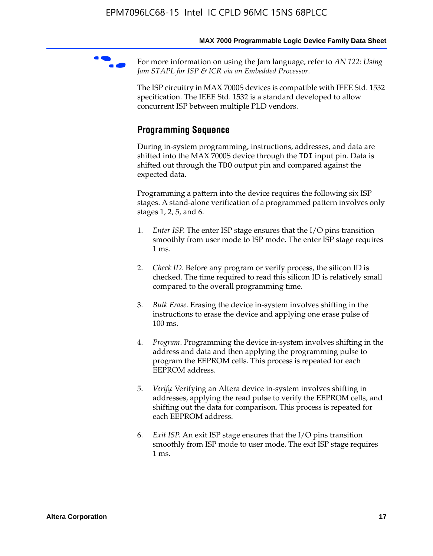For more information on using the Jam language, refer to *AN* 122: Using *Jam STAPL for ISP & ICR via an Embedded Processor*.

The ISP circuitry in MAX 7000S devices is compatible with IEEE Std. 1532 specification. The IEEE Std. 1532 is a standard developed to allow concurrent ISP between multiple PLD vendors.

# **Programming Sequence**

During in-system programming, instructions, addresses, and data are shifted into the MAX 7000S device through the TDI input pin. Data is shifted out through the TDO output pin and compared against the expected data.

Programming a pattern into the device requires the following six ISP stages. A stand-alone verification of a programmed pattern involves only stages 1, 2, 5, and 6.

- 1. *Enter ISP*. The enter ISP stage ensures that the I/O pins transition smoothly from user mode to ISP mode. The enter ISP stage requires 1 ms.
- 2. *Check ID*. Before any program or verify process, the silicon ID is checked. The time required to read this silicon ID is relatively small compared to the overall programming time.
- 3. *Bulk Erase*. Erasing the device in-system involves shifting in the instructions to erase the device and applying one erase pulse of 100 ms.
- 4. *Program*. Programming the device in-system involves shifting in the address and data and then applying the programming pulse to program the EEPROM cells. This process is repeated for each EEPROM address.
- 5. *Verify*. Verifying an Altera device in-system involves shifting in addresses, applying the read pulse to verify the EEPROM cells, and shifting out the data for comparison. This process is repeated for each EEPROM address.
- 6. *Exit ISP*. An exit ISP stage ensures that the I/O pins transition smoothly from ISP mode to user mode. The exit ISP stage requires 1 ms.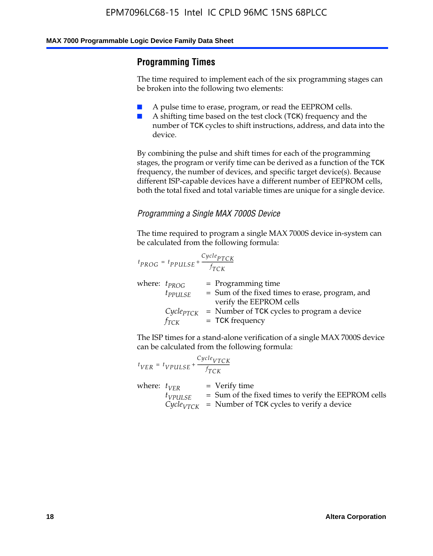# **Programming Times**

The time required to implement each of the six programming stages can be broken into the following two elements:

- A pulse time to erase, program, or read the EEPROM cells.
- A shifting time based on the test clock (TCK) frequency and the number of TCK cycles to shift instructions, address, and data into the device.

By combining the pulse and shift times for each of the programming stages, the program or verify time can be derived as a function of the TCK frequency, the number of devices, and specific target device(s). Because different ISP-capable devices have a different number of EEPROM cells, both the total fixed and total variable times are unique for a single device.

### *Programming a Single MAX 7000S Device*

The time required to program a single MAX 7000S device in-system can be calculated from the following formula:

$$
t_{PROG} = t_{PPULSE} + \frac{C_{ycle_{PTCK}}}{f_{TCK}}
$$
  
where:  $t_{PROG}$  = Programming time  
 $t_{PPULSE}$  = Sum of the fixed times to erase, program, and  
verify the EEPROM cells  
 $C_{ycle_{PTCK}}$  = Number of TCK cycles to program a device  
 $f_{TCK}$  = TCK frequency

The ISP times for a stand-alone verification of a single MAX 7000S device can be calculated from the following formula:

|                  | $t_{VER} = t_{VPULSE} + \frac{Cycle_{VTCK}}{f_{TCK}}$ |                                                                                                                                 |
|------------------|-------------------------------------------------------|---------------------------------------------------------------------------------------------------------------------------------|
| where: $t_{VFR}$ | $t_{VPULSE}$                                          | = Verify time<br>$=$ Sum of the fixed times to verify the EEPROM cells<br>$CycleVTCK$ = Number of TCK cycles to verify a device |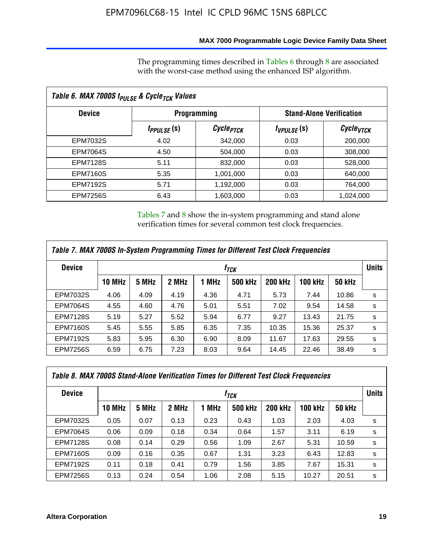### **MAX 7000 Programmable Logic Device Family Data Sheet**

The programming times described in Tables 6 through 8 are associated with the worst-case method using the enhanced ISP algorithm.

| Table 6. MAX 7000S t <sub>PULSE</sub> & Cycle <sub>TCK</sub> Values |                               |                       |                 |                                 |  |  |  |
|---------------------------------------------------------------------|-------------------------------|-----------------------|-----------------|---------------------------------|--|--|--|
| <b>Device</b>                                                       | <b>Programming</b>            |                       |                 | <b>Stand-Alone Verification</b> |  |  |  |
|                                                                     | <i>t<sub>PPULSE</sub></i> (S) | Cycle <sub>PTCK</sub> | $t_{VPULSE}(s)$ | Cycle <sub>VTCK</sub>           |  |  |  |
| EPM7032S                                                            | 4.02                          | 342,000               | 0.03            | 200,000                         |  |  |  |
| <b>EPM7064S</b>                                                     | 4.50                          | 504.000               | 0.03            | 308,000                         |  |  |  |
| <b>EPM7128S</b>                                                     | 5.11                          | 832,000               | 0.03            | 528,000                         |  |  |  |
| <b>EPM7160S</b>                                                     | 5.35                          | 1,001,000             | 0.03            | 640,000                         |  |  |  |
| <b>EPM7192S</b>                                                     | 5.71                          | 1,192,000             | 0.03            | 764,000                         |  |  |  |
| <b>EPM7256S</b>                                                     | 6.43                          | 1,603,000             | 0.03            | 1,024,000                       |  |  |  |

Tables 7 and 8 show the in-system programming and stand alone verification times for several common test clock frequencies.

| Table 7. MAX 7000S In-System Programming Times for Different Test Clock Frequencies |                  |       |       |       |                |                |                |               |              |
|-------------------------------------------------------------------------------------|------------------|-------|-------|-------|----------------|----------------|----------------|---------------|--------------|
| <b>Device</b>                                                                       | † <sub>TCK</sub> |       |       |       |                |                |                |               | <b>Units</b> |
|                                                                                     | <b>10 MHz</b>    | 5 MHz | 2 MHz | 1 MHz | <b>500 kHz</b> | <b>200 kHz</b> | <b>100 kHz</b> | <b>50 kHz</b> |              |
| <b>EPM7032S</b>                                                                     | 4.06             | 4.09  | 4.19  | 4.36  | 4.71           | 5.73           | 7.44           | 10.86         | s            |
| <b>EPM7064S</b>                                                                     | 4.55             | 4.60  | 4.76  | 5.01  | 5.51           | 7.02           | 9.54           | 14.58         | s            |
| <b>EPM7128S</b>                                                                     | 5.19             | 5.27  | 5.52  | 5.94  | 6.77           | 9.27           | 13.43          | 21.75         | s            |
| <b>EPM7160S</b>                                                                     | 5.45             | 5.55  | 5.85  | 6.35  | 7.35           | 10.35          | 15.36          | 25.37         | s            |
| <b>EPM7192S</b>                                                                     | 5.83             | 5.95  | 6.30  | 6.90  | 8.09           | 11.67          | 17.63          | 29.55         | s            |
| <b>EPM7256S</b>                                                                     | 6.59             | 6.75  | 7.23  | 8.03  | 9.64           | 14.45          | 22.46          | 38.49         | s            |

| Table 8. MAX 7000S Stand-Alone Verification Times for Different Test Clock Frequencies |               |                  |       |       |                |                |                |               |              |
|----------------------------------------------------------------------------------------|---------------|------------------|-------|-------|----------------|----------------|----------------|---------------|--------------|
| <b>Device</b>                                                                          |               | † <sub>TCK</sub> |       |       |                |                |                |               | <b>Units</b> |
|                                                                                        | <b>10 MHz</b> | 5 MHz            | 2 MHz | 1 MHz | <b>500 kHz</b> | <b>200 kHz</b> | <b>100 kHz</b> | <b>50 kHz</b> |              |
| <b>EPM7032S</b>                                                                        | 0.05          | 0.07             | 0.13  | 0.23  | 0.43           | 1.03           | 2.03           | 4.03          | s            |
| <b>EPM7064S</b>                                                                        | 0.06          | 0.09             | 0.18  | 0.34  | 0.64           | 1.57           | 3.11           | 6.19          | s            |
| <b>EPM7128S</b>                                                                        | 0.08          | 0.14             | 0.29  | 0.56  | 1.09           | 2.67           | 5.31           | 10.59         | s            |
| <b>EPM7160S</b>                                                                        | 0.09          | 0.16             | 0.35  | 0.67  | 1.31           | 3.23           | 6.43           | 12.83         | s            |
| <b>EPM7192S</b>                                                                        | 0.11          | 0.18             | 0.41  | 0.79  | 1.56           | 3.85           | 7.67           | 15.31         | s            |
| <b>EPM7256S</b>                                                                        | 0.13          | 0.24             | 0.54  | 1.06  | 2.08           | 5.15           | 10.27          | 20.51         | s            |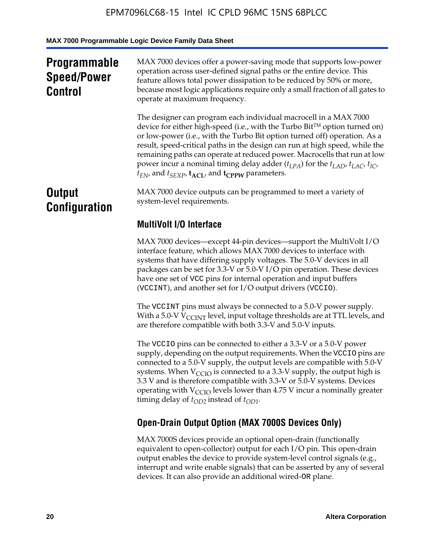# **Programmable Speed/Power Control**

MAX 7000 devices offer a power-saving mode that supports low-power operation across user-defined signal paths or the entire device. This feature allows total power dissipation to be reduced by 50% or more, because most logic applications require only a small fraction of all gates to operate at maximum frequency.

The designer can program each individual macrocell in a MAX 7000 device for either high-speed (i.e., with the Turbo  $Bit^{TM}$  option turned on) or low-power (i.e., with the Turbo Bit option turned off) operation. As a result, speed-critical paths in the design can run at high speed, while the remaining paths can operate at reduced power. Macrocells that run at low power incur a nominal timing delay adder  $(t_{LPA})$  for the  $t_{LAD}$ ,  $t_{LAC}$ ,  $t_{IC}$ ,  $t_{EN}$ , and  $t_{SEXP}$ ,  $t_{ACL}$ , and  $t_{CPPW}$  parameters.

# **Output Configuration**

MAX 7000 device outputs can be programmed to meet a variety of system-level requirements.

# **MultiVolt I/O Interface**

MAX 7000 devices—except 44-pin devices—support the MultiVolt I/O interface feature, which allows MAX 7000 devices to interface with systems that have differing supply voltages. The 5.0-V devices in all packages can be set for 3.3-V or 5.0-V I/O pin operation. These devices have one set of VCC pins for internal operation and input buffers (VCCINT), and another set for I/O output drivers (VCCIO).

The VCCINT pins must always be connected to a 5.0-V power supply. With a 5.0-V  $V_{\text{CCINT}}$  level, input voltage thresholds are at TTL levels, and are therefore compatible with both 3.3-V and 5.0-V inputs.

The VCCIO pins can be connected to either a 3.3-V or a 5.0-V power supply, depending on the output requirements. When the VCCIO pins are connected to a 5.0-V supply, the output levels are compatible with 5.0-V systems. When  $V_{\text{CGO}}$  is connected to a 3.3-V supply, the output high is 3.3 V and is therefore compatible with 3.3-V or 5.0-V systems. Devices operating with  $V_{\text{CCIO}}$  levels lower than 4.75 V incur a nominally greater timing delay of  $t_{OD2}$  instead of  $t_{OD1}$ .

# **Open-Drain Output Option (MAX 7000S Devices Only)**

MAX 7000S devices provide an optional open-drain (functionally equivalent to open-collector) output for each I/O pin. This open-drain output enables the device to provide system-level control signals (e.g., interrupt and write enable signals) that can be asserted by any of several devices. It can also provide an additional wired-OR plane.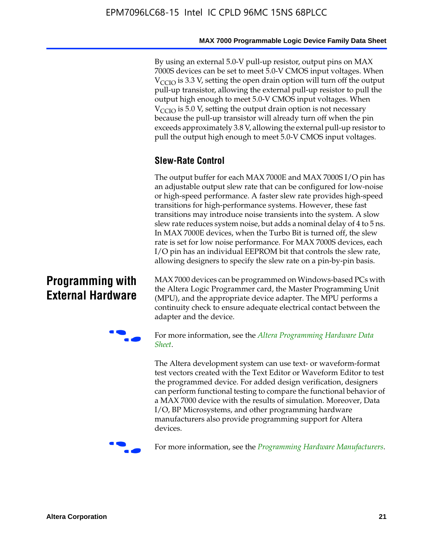By using an external 5.0-V pull-up resistor, output pins on MAX 7000S devices can be set to meet 5.0-V CMOS input voltages. When  $V<sub>CCIO</sub>$  is 3.3 V, setting the open drain option will turn off the output pull-up transistor, allowing the external pull-up resistor to pull the output high enough to meet 5.0-V CMOS input voltages. When  $V_{\text{CCIO}}$  is 5.0 V, setting the output drain option is not necessary because the pull-up transistor will already turn off when the pin exceeds approximately 3.8 V, allowing the external pull-up resistor to pull the output high enough to meet 5.0-V CMOS input voltages.

# **Slew-Rate Control**

The output buffer for each MAX 7000E and MAX 7000S I/O pin has an adjustable output slew rate that can be configured for low-noise or high-speed performance. A faster slew rate provides high-speed transitions for high-performance systems. However, these fast transitions may introduce noise transients into the system. A slow slew rate reduces system noise, but adds a nominal delay of 4 to 5 ns. In MAX 7000E devices, when the Turbo Bit is turned off, the slew rate is set for low noise performance. For MAX 7000S devices, each I/O pin has an individual EEPROM bit that controls the slew rate, allowing designers to specify the slew rate on a pin-by-pin basis.

# **Programming with External Hardware**

[MAX](http://www.altera.com/literature/ds/dspghd.pdf) 7000 devices can be prog[rammed on Windows-based PCs with](http://www.altera.com/literature/ds/dspghd.pdf)  the Altera Logic Programmer card, the Master Programming Unit (MPU), and the appropriate device adapter. The MPU performs a continuity check to ensure adequate electrical contact between the adapter and the device.



For more information, see the *Altera Programming Hardware Data Sheet*.

The Altera development system can use text- or waveform-format test vectors created with the Text Editor or Waveform Editor to test the programmed device. For added design verification, designers can perform functional testing to compare the functional behavior of a MAX 7000 device with the results of simulation. Moreover, Data I/O, BP Microsystems, and other programming hardware manufacturers also provide programming support for Altera devices.



For more information, see the *Programming Hardware Manufacturers*.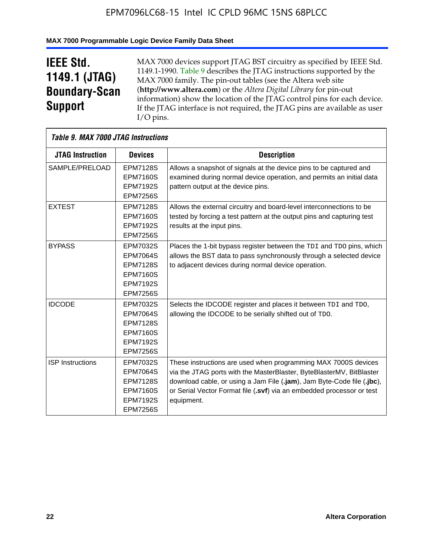# **MAX 7000 Programmable Logic Device Family Data Sheet**

# **IEEE Std. 1149.1 (JTAG) Boundary-Scan Support**

 $\mathsf{r}$ 

MAX 7000 devices support JTAG BST circuitry as specified by IEEE Std. 1149.1-1990. Table 9 describes the JTAG instructions supported by the MAX 7000 family. The pin-out tables (see the Altera web site (**http://www.altera.com**) or the *Altera Digital Library* for pin-out information) show the location of the JTAG control pins for each device. If the JTAG interface is not required, the JTAG pins are available as user I/O pins.

| Table 9. MAX 7000 JTAG Instructions |                                                                                                                |                                                                                                                                                                                                                                                                                                         |
|-------------------------------------|----------------------------------------------------------------------------------------------------------------|---------------------------------------------------------------------------------------------------------------------------------------------------------------------------------------------------------------------------------------------------------------------------------------------------------|
| <b>JTAG Instruction</b>             | <b>Devices</b>                                                                                                 | <b>Description</b>                                                                                                                                                                                                                                                                                      |
| SAMPLE/PRELOAD                      | <b>EPM7128S</b><br><b>EPM7160S</b><br><b>EPM7192S</b><br><b>EPM7256S</b>                                       | Allows a snapshot of signals at the device pins to be captured and<br>examined during normal device operation, and permits an initial data<br>pattern output at the device pins.                                                                                                                        |
| <b>EXTEST</b>                       | <b>EPM7128S</b><br><b>EPM7160S</b><br><b>EPM7192S</b><br><b>EPM7256S</b>                                       | Allows the external circuitry and board-level interconnections to be<br>tested by forcing a test pattern at the output pins and capturing test<br>results at the input pins.                                                                                                                            |
| <b>BYPASS</b>                       | EPM7032S<br><b>EPM7064S</b><br><b>EPM7128S</b><br><b>EPM7160S</b><br><b>EPM7192S</b><br><b>EPM7256S</b>        | Places the 1-bit bypass register between the TDI and TDO pins, which<br>allows the BST data to pass synchronously through a selected device<br>to adjacent devices during normal device operation.                                                                                                      |
| <b>IDCODE</b>                       | EPM7032S<br><b>EPM7064S</b><br><b>EPM7128S</b><br><b>EPM7160S</b><br><b>EPM7192S</b><br><b>EPM7256S</b>        | Selects the IDCODE register and places it between TDI and TDO,<br>allowing the IDCODE to be serially shifted out of TDO.                                                                                                                                                                                |
| <b>ISP</b> Instructions             | <b>EPM7032S</b><br><b>EPM7064S</b><br><b>EPM7128S</b><br><b>EPM7160S</b><br><b>EPM7192S</b><br><b>EPM7256S</b> | These instructions are used when programming MAX 7000S devices<br>via the JTAG ports with the MasterBlaster, ByteBlasterMV, BitBlaster<br>download cable, or using a Jam File (.jam), Jam Byte-Code file (.jbc),<br>or Serial Vector Format file (.svf) via an embedded processor or test<br>equipment. |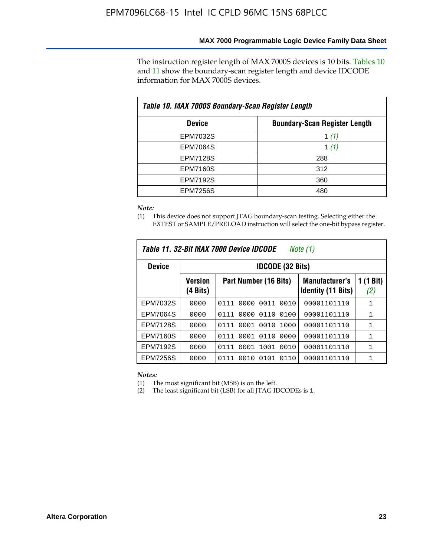The instruction register length of MAX 7000S devices is 10 bits. Tables 10 and 11 show the boundary-scan register length and device IDCODE information for MAX 7000S devices.

| Table 10. MAX 7000S Boundary-Scan Register Length |                                      |  |  |  |  |  |
|---------------------------------------------------|--------------------------------------|--|--|--|--|--|
| <b>Device</b>                                     | <b>Boundary-Scan Register Length</b> |  |  |  |  |  |
| EPM7032S                                          | 1 $(1)$                              |  |  |  |  |  |
| <b>EPM7064S</b>                                   | 1 $(1)$                              |  |  |  |  |  |
| <b>EPM7128S</b>                                   | 288                                  |  |  |  |  |  |
| <b>EPM7160S</b>                                   | 312                                  |  |  |  |  |  |
| <b>EPM7192S</b>                                   | 360                                  |  |  |  |  |  |
| <b>EPM7256S</b>                                   | 480                                  |  |  |  |  |  |

*Note:*

(1) This device does not support JTAG boundary-scan testing. Selecting either the EXTEST or SAMPLE/PRELOAD instruction will select the one-bit bypass register.

| Table 11, 32-Bit MAX 7000 Device IDCODE<br>Note (1) |                            |                              |                                                    |                  |  |  |  |
|-----------------------------------------------------|----------------------------|------------------------------|----------------------------------------------------|------------------|--|--|--|
| <b>Device</b>                                       |                            | <b>IDCODE (32 Bits)</b>      |                                                    |                  |  |  |  |
|                                                     | <b>Version</b><br>(4 Bits) | Part Number (16 Bits)        | <b>Manufacturer's</b><br><b>Identity (11 Bits)</b> | 1 (1 Bit)<br>(2) |  |  |  |
| EPM7032S                                            | 0000                       | 0010<br>0111<br>0000<br>0011 | 00001101110                                        | 1                |  |  |  |
| <b>EPM7064S</b>                                     | 0000                       | 0000<br>0110<br>0100<br>0111 | 00001101110                                        | 1                |  |  |  |
| <b>EPM7128S</b>                                     | 0000                       | 0001 0010<br>1000<br>0111    | 00001101110                                        | 1                |  |  |  |
| <b>EPM7160S</b>                                     | 0000                       | 0001<br>0110<br>0000<br>0111 | 00001101110                                        | $\mathbf{1}$     |  |  |  |
| <b>EPM7192S</b>                                     | 0000                       | 1001<br>0010<br>0111<br>0001 | 00001101110                                        | 1                |  |  |  |
| EPM7256S                                            | 0000                       | 0111<br>0010<br>0101<br>0110 | 00001101110                                        | 1                |  |  |  |

*Notes:*

(1) The most significant bit (MSB) is on the left.

(2) The least significant bit (LSB) for all JTAG IDCODEs is 1.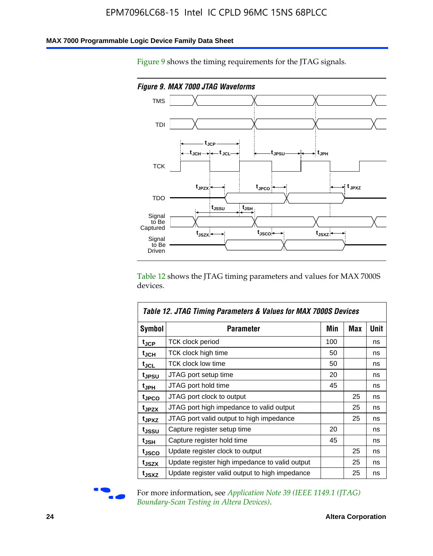#### **MAX 7000 Programmable Logic Device Family Data Sheet**

Figure 9 shows the timing requirements for the JTAG signals.



Table 12 shows the JTAG timing parameters and values for MAX 7000S devices.

|                    | Table 12. JTAG Timing Parameters & Values for MAX 7000S Devices |     |     |      |  |  |  |
|--------------------|-----------------------------------------------------------------|-----|-----|------|--|--|--|
| <b>Symbol</b>      | Parameter                                                       | Min | Max | Unit |  |  |  |
| t <sub>JCP</sub>   | <b>TCK clock period</b>                                         | 100 |     | ns   |  |  |  |
| t <sub>JCH</sub>   | TCK clock high time                                             | 50  |     | ns   |  |  |  |
| $t_{JCL}$          | TCK clock low time                                              | 50  |     | ns   |  |  |  |
| t <sub>JPSU</sub>  | JTAG port setup time                                            | 20  |     | ns   |  |  |  |
| t <sub>JPH</sub>   | JTAG port hold time                                             | 45  |     | ns   |  |  |  |
| <sup>t</sup> JPCO  | JTAG port clock to output                                       |     | 25  | ns   |  |  |  |
| t <sub>JPZX</sub>  | JTAG port high impedance to valid output                        |     | 25  | ns   |  |  |  |
| t <sub>JPXZ</sub>  | JTAG port valid output to high impedance                        |     | 25  | ns   |  |  |  |
| tjssu              | Capture register setup time                                     | 20  |     | ns   |  |  |  |
| $t_{\mathsf{JSH}}$ | Capture register hold time                                      | 45  |     | ns   |  |  |  |
| tjsco              | Update register clock to output                                 |     | 25  | ns   |  |  |  |
| t <sub>JSZX</sub>  | Update register high impedance to valid output                  |     | 25  | ns   |  |  |  |
| t <sub>JSXZ</sub>  | Update register valid output to high impedance                  |     | 25  | ns   |  |  |  |



For more information, see *Application Note 39* (IEEE 1149.1 (JTAG) *Boundary-Scan Testing in Altera Devices)*.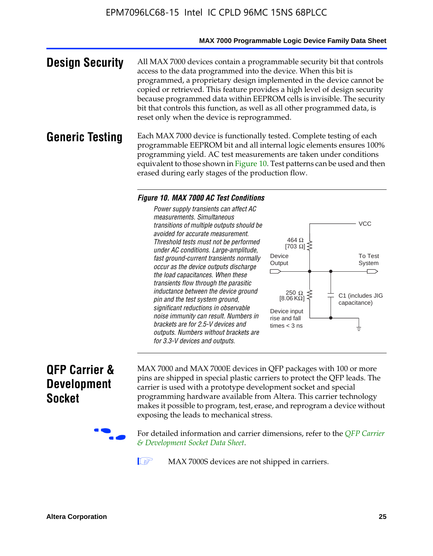#### **MAX 7000 Programmable Logic Device Family Data Sheet**

**Design Security** All MAX 7000 devices contain a programmable security bit that controls access to the data programmed into the device. When this bit is programmed, a proprietary design implemented in the device cannot be copied or retrieved. This feature provides a high level of design security because programmed data within EEPROM cells is invisible. The security bit that controls this function, as well as all other programmed data, is reset only when the device is reprogrammed.

#### **Generic Testing** Each MAX 7000 device is functionally tested. Complete testing of each programmable EEPROM bit and all internal logic elements ensures 100% programming yield. AC test measurements are taken under conditions equivalent to those shown in Figure 10. Test patterns can be used and then erased during early stages of the production flow.

#### *Figure 10. MAX 7000 AC Test Conditions*

*Power supply transients can affect AC measurements. Simultaneous transitions of multiple outputs should be avoided for accurate measurement. Threshold tests must not be performed under AC conditions. Large-amplitude, fast ground-current transients normally occur as the device outputs discharge the load capacitances. When these transients flow through the parasitic inductance between the device ground pin and the test system ground, significant reductions in observable noise immunity can result. Numbers in brackets are for 2.5-V devices and outputs. Numbers without brackets are for 3.3-V devices and outputs.*



# **QFP Carrier & Development Socket**

MAX 7000 and MAX 7000E devices in QFP packages with 10[0 or more](http://www.altera.com/literature/ds/dsqfp.pdf)  [pins are shipped in special plas](http://www.altera.com/literature/ds/dsqfp.pdf)tic carriers to protect the QFP leads. The carrier is used with a prototype development socket and special programming hardware available from Altera. This carrier technology makes it possible to program, test, erase, and reprogram a device without exposing the leads to mechanical stress.

For detailed information and carrier dimensions, refer to the *QFP Carrier & Development Socket Data Sheet*.

MAX 7000S devices are not shipped in carriers.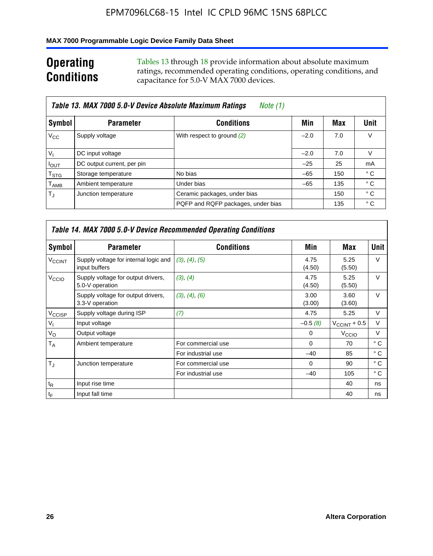### **MAX 7000 Programmable Logic Device Family Data Sheet**

# **Operating Conditions**

Tables 13 through 18 provide information about absolute maximum ratings, recommended operating conditions, operating conditions, and capacitance for 5.0-V MAX 7000 devices.

|                             | Table 13. MAX 7000 5.0-V Device Absolute Maximum Ratings<br>Note (1) |                                    |        |     |                |  |  |  |  |
|-----------------------------|----------------------------------------------------------------------|------------------------------------|--------|-----|----------------|--|--|--|--|
| Symbol                      | <b>Parameter</b>                                                     | <b>Conditions</b>                  | Min    | Max | Unit           |  |  |  |  |
| $V_{\rm CC}$                | Supply voltage                                                       | With respect to ground (2)         | $-2.0$ | 7.0 | V              |  |  |  |  |
| $V_{1}$                     | DC input voltage                                                     |                                    | $-2.0$ | 7.0 | v              |  |  |  |  |
| $I_{OUT}$                   | DC output current, per pin                                           |                                    | $-25$  | 25  | m <sub>A</sub> |  |  |  |  |
| $\mathsf{T}_{\textsf{STG}}$ | Storage temperature                                                  | No bias                            | $-65$  | 150 | ° C            |  |  |  |  |
| $\mathsf{T}_{\mathsf{AMB}}$ | Ambient temperature                                                  | Under bias                         | $-65$  | 135 | ° C            |  |  |  |  |
| $T_{\rm J}$                 | Junction temperature                                                 | Ceramic packages, under bias       |        | 150 | $^{\circ}$ C   |  |  |  |  |
|                             |                                                                      | PQFP and RQFP packages, under bias |        | 135 | ° C            |  |  |  |  |

|                          | <b>Table 14. MAX 7000 5.0-V Device Recommended Operating Conditions</b> |                    |                |                       |              |  |  |  |
|--------------------------|-------------------------------------------------------------------------|--------------------|----------------|-----------------------|--------------|--|--|--|
| Symbol                   | <b>Parameter</b>                                                        | <b>Conditions</b>  | Min            | Max                   | <b>Unit</b>  |  |  |  |
| <b>V<sub>CCINT</sub></b> | Supply voltage for internal logic and<br>input buffers                  | (3), (4), (5)      | 4.75<br>(4.50) | 5.25<br>(5.50)        | $\vee$       |  |  |  |
| V <sub>CCIO</sub>        | Supply voltage for output drivers,<br>5.0-V operation                   | (3), (4)           | 4.75<br>(4.50) | 5.25<br>(5.50)        | $\vee$       |  |  |  |
|                          | Supply voltage for output drivers,<br>3.3-V operation                   | (3), (4), (6)      | 3.00<br>(3.00) | 3.60<br>(3.60)        | $\vee$       |  |  |  |
| V <sub>CCISP</sub>       | Supply voltage during ISP                                               | (7)                | 4.75           | 5.25                  | V            |  |  |  |
| $V_{1}$                  | Input voltage                                                           |                    | $-0.5(8)$      | $V_{\rm CCINT}$ + 0.5 | V            |  |  |  |
| $V_{\rm O}$              | Output voltage                                                          |                    | 0              | V <sub>CCIO</sub>     | V            |  |  |  |
| T <sub>A</sub>           | Ambient temperature                                                     | For commercial use | $\Omega$       | 70                    | $^{\circ}$ C |  |  |  |
|                          |                                                                         | For industrial use | $-40$          | 85                    | $^{\circ}$ C |  |  |  |
| $T_{\rm J}$              | Junction temperature                                                    | For commercial use | $\Omega$       | 90                    | ° C          |  |  |  |
|                          |                                                                         | For industrial use | $-40$          | 105                   | ° C          |  |  |  |
| $t_{\mathsf{R}}$         | Input rise time                                                         |                    |                | 40                    | ns           |  |  |  |
| $t_F$                    | Input fall time                                                         |                    |                | 40                    | ns           |  |  |  |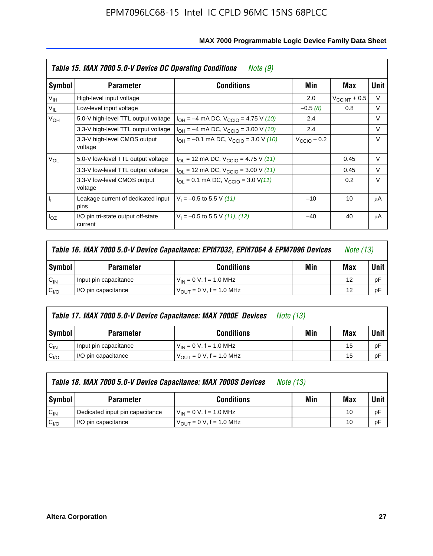|                 | Table 15. MAX 7000 5.0-V Device DC Operating Conditions<br>Note (9) |                                                                           |                 |                       |        |  |  |  |  |
|-----------------|---------------------------------------------------------------------|---------------------------------------------------------------------------|-----------------|-----------------------|--------|--|--|--|--|
| Symbol          | <b>Parameter</b>                                                    | <b>Conditions</b>                                                         | Min             | Max                   | Unit   |  |  |  |  |
| V <sub>IH</sub> | High-level input voltage                                            |                                                                           | 2.0             | $V_{\rm CCINT}$ + 0.5 | V      |  |  |  |  |
| $V_{IL}$        | Low-level input voltage                                             |                                                                           | $-0.5(8)$       | 0.8                   | V      |  |  |  |  |
| $V_{OH}$        | 5.0-V high-level TTL output voltage                                 | $I_{OH} = -4$ mA DC, $V_{CClO} = 4.75$ V (10)                             | 2.4             |                       | V      |  |  |  |  |
|                 | 3.3-V high-level TTL output voltage                                 | $I_{OH} = -4$ mA DC, $V_{CClO} = 3.00$ V (10)                             | 2.4             |                       | V      |  |  |  |  |
|                 | 3.3-V high-level CMOS output<br>voltage                             | $I_{OH} = -0.1$ mA DC, $V_{CClO} = 3.0$ V (10)                            | $V_{CCD}$ – 0.2 |                       | $\vee$ |  |  |  |  |
| $V_{OL}$        | 5.0-V low-level TTL output voltage                                  | $I_{\text{OI}}$ = 12 mA DC, $V_{\text{CCIO}}$ = 4.75 V (11)               |                 | 0.45                  | V      |  |  |  |  |
|                 | 3.3-V low-level TTL output voltage                                  | $I_{OL}$ = 12 mA DC, $V_{CCIO}$ = 3.00 V (11)                             |                 | 0.45                  | $\vee$ |  |  |  |  |
|                 | 3.3-V low-level CMOS output<br>voltage                              | $I_{\text{OI}} = 0.1 \text{ mA DC}, V_{\text{CCIO}} = 3.0 \text{ V} (11)$ |                 | 0.2                   | $\vee$ |  |  |  |  |
| 4               | Leakage current of dedicated input<br>pins                          | $V_1 = -0.5$ to 5.5 V (11)                                                | $-10$           | 10                    | μA     |  |  |  |  |
| $I_{OZ}$        | I/O pin tri-state output off-state<br>current                       | $V_1 = -0.5$ to 5.5 V (11), (12)                                          | $-40$           | 40                    | μA     |  |  |  |  |

| Table 16. MAX 7000 5.0-V Device Capacitance: EPM7032, EPM7064 & EPM7096 Devices |                                              |                                      |  |    | <i>Note (13)</i> |
|---------------------------------------------------------------------------------|----------------------------------------------|--------------------------------------|--|----|------------------|
| Symbol                                                                          | Min<br><b>Conditions</b><br><b>Parameter</b> |                                      |  |    |                  |
| $C_{IN}$                                                                        | Input pin capacitance                        | $V_{IN} = 0 V$ , f = 1.0 MHz         |  | 12 | рF               |
| C <sub>I/O</sub>                                                                | I/O pin capacitance                          | $V_{\text{OUT}} = 0 V$ , f = 1.0 MHz |  | 12 | рF               |

|                  | Table 17. MAX 7000 5.0-V Device Capacitance: MAX 7000E Devices<br><i>Note (13)</i> |                                |     |             |    |
|------------------|------------------------------------------------------------------------------------|--------------------------------|-----|-------------|----|
| Symbol           | <b>Parameter</b>                                                                   | Min                            | Max | <b>Unit</b> |    |
| $C_{\text{IN}}$  | Input pin capacitance                                                              | $V_{IN} = 0 V$ , f = 1.0 MHz   |     | 15          | pF |
| C <sub>I/O</sub> | I/O pin capacitance                                                                | $V_{OIII} = 0 V$ , f = 1.0 MHz |     | 15          | pF |

|                  | Table 18. MAX 7000 5.0-V Device Capacitance: MAX 7000S Devices | <i>Note (13)</i>                    |     |     |        |
|------------------|----------------------------------------------------------------|-------------------------------------|-----|-----|--------|
| Symbol           | <b>Parameter</b>                                               | <b>Conditions</b>                   | Min | Max | Unit I |
| $C_{IN}$         | Dedicated input pin capacitance                                | $V_{IN} = 0 V$ , f = 1.0 MHz        |     | 10  | pF     |
| C <sub>I/O</sub> | I/O pin capacitance                                            | $V_{\text{OUT}} = 0$ V, f = 1.0 MHz |     | 10  | pF     |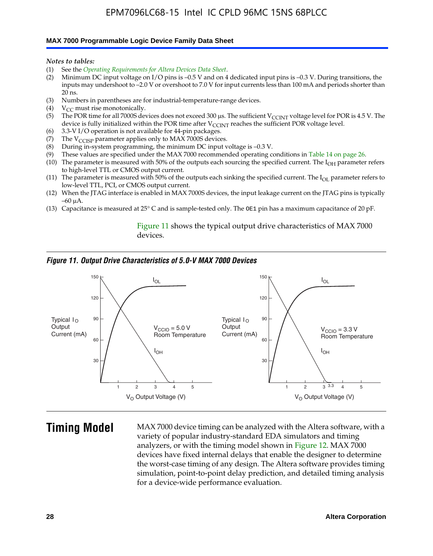#### **MAX 7000 Programmable Logic Device Family Data Sheet**

*Notes to tables:*

- (1) See the *Operating Requirements for Altera Devices Data Sheet*.
- (2) Minimum DC input voltage on I/O pins is –0.5 V and on 4 dedicated input pins is –0.3 V. During transitions, the inputs may undershoot to –2.0 V or overshoot to 7.0 V for input currents less than 100 mA and periods shorter than  $20$  ns.
- (3) Numbers in parentheses are for industrial-temperature-range devices.<br>(4)  $V_{CC}$  must rise monotonically.
- $V_{CC}$  must rise monotonically.
- (5) The POR time for all 7000S devices does not exceed 300 µs. The sufficient V<sub>CCINT</sub> voltage level for POR is 4.5 V. The device is fully initialized within the POR time after  $V_{\text{CCINT}}$  reaches the sufficient POR voltage level.
- (6) 3.3-V I/O operation is not available for 44-pin packages.
- (7) The  $V_{\text{CCISP}}$  parameter applies only to MAX 7000S devices.
- (8) During in-system programming, the minimum DC input voltage is –0.3 V.
- (9) These values are specified under the MAX 7000 recommended operating conditions in Table 14 on page 26.
- (10) The parameter is measured with 50% of the outputs each sourcing the specified current. The  $I_{OH}$  parameter refers to high-level TTL or CMOS output current.
- (11) The parameter is measured with 50% of the outputs each sinking the specified current. The  $I_{OL}$  parameter refers to low-level TTL, PCI, or CMOS output current.
- (12) When the JTAG interface is enabled in MAX 7000S devices, the input leakage current on the JTAG pins is typically –60 μA.
- (13) Capacitance is measured at 25° C and is sample-tested only. The OE1 pin has a maximum capacitance of 20 pF.

Figure 11 shows the typical output drive characteristics of MAX 7000 devices.

#### *Figure 11. Output Drive Characteristics of 5.0-V MAX 7000 Devices*



**Timing Model** MAX 7000 device timing can be analyzed with the Altera software, with a variety of popular industry-standard EDA simulators and timing analyzers, or with the timing model shown in Figure 12. MAX 7000 devices have fixed internal delays that enable the designer to determine the worst-case timing of any design. The Altera software provides timing simulation, point-to-point delay prediction, and detailed timing analysis for a device-wide performance evaluation.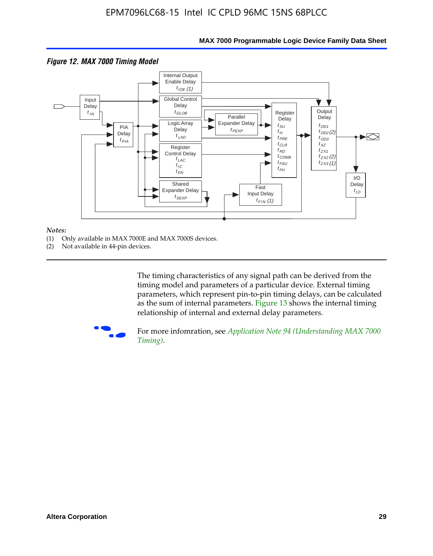

#### **MAX 7000 Programmable Logic Device Family Data Sheet**

#### *Notes:*

- (1) Only available in MAX 7000E and MAX 7000S devices.
- (2) Not available in 44-pin devices.

[The tim](http://www.altera.com/literature/an/an094.pdf)ing characteristics [of any signal path can be derived from the](http://www.altera.com/literature/an/an094.pdf)  timing model and parameters of a particular device. External timing parameters, which represent pin-to-pin timing delays, can be calculated as the sum of internal parameters. Figure 13 shows the internal timing relationship of internal and external delay parameters.



For more infomration, see *Application Note 94 (Understanding MAX 7000 Timing)*.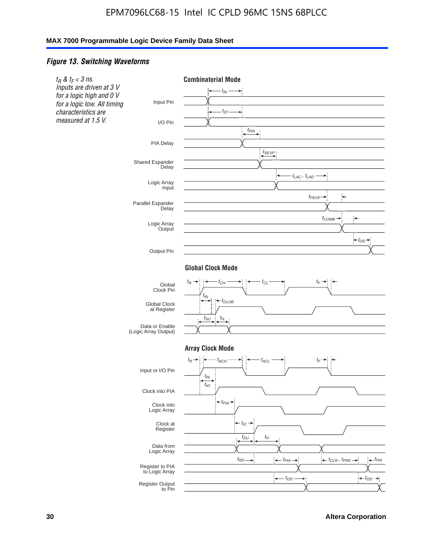#### *Figure 13. Switching Waveforms*

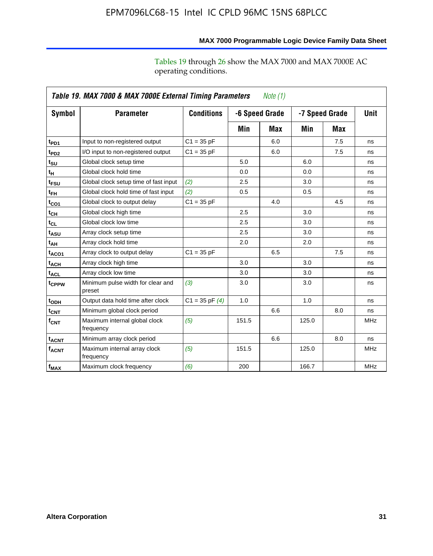operating conditions.

|                         | Table 19. MAX 7000 & MAX 7000E External Timing Parameters<br>Note $(1)$ |                    |                |     |                |     |             |  |
|-------------------------|-------------------------------------------------------------------------|--------------------|----------------|-----|----------------|-----|-------------|--|
| Symbol                  | <b>Parameter</b>                                                        | <b>Conditions</b>  | -6 Speed Grade |     | -7 Speed Grade |     | <b>Unit</b> |  |
|                         |                                                                         |                    | Min            | Max | Min            | Max |             |  |
| t <sub>PD1</sub>        | Input to non-registered output                                          | $C1 = 35 pF$       |                | 6.0 |                | 7.5 | ns          |  |
| t <sub>PD2</sub>        | I/O input to non-registered output                                      | $C1 = 35 pF$       |                | 6.0 |                | 7.5 | ns          |  |
| t <sub>su</sub>         | Global clock setup time                                                 |                    | 5.0            |     | 6.0            |     | ns          |  |
| tμ                      | Global clock hold time                                                  |                    | 0.0            |     | 0.0            |     | ns          |  |
| t <sub>FSU</sub>        | Global clock setup time of fast input                                   | (2)                | 2.5            |     | 3.0            |     | ns          |  |
| t <sub>FH</sub>         | Global clock hold time of fast input                                    | (2)                | 0.5            |     | 0.5            |     | ns          |  |
| t <sub>CO1</sub>        | Global clock to output delay                                            | $C1 = 35 pF$       |                | 4.0 |                | 4.5 | ns          |  |
| t <sub>СН</sub>         | Global clock high time                                                  |                    | 2.5            |     | 3.0            |     | ns          |  |
| $t_{CL}$                | Global clock low time                                                   |                    | 2.5            |     | 3.0            |     | ns          |  |
| t <sub>ASU</sub>        | Array clock setup time                                                  |                    | 2.5            |     | 3.0            |     | ns          |  |
| t <sub>АН</sub>         | Array clock hold time                                                   |                    | 2.0            |     | 2.0            |     | ns          |  |
| $t_{ACO1}$              | Array clock to output delay                                             | $C1 = 35 pF$       |                | 6.5 |                | 7.5 | ns          |  |
| t <sub>ACH</sub>        | Array clock high time                                                   |                    | 3.0            |     | 3.0            |     | ns          |  |
| $t_{\sf ACL}$           | Array clock low time                                                    |                    | 3.0            |     | 3.0            |     | ns          |  |
| t <sub>CPPW</sub>       | Minimum pulse width for clear and<br>preset                             | (3)                | 3.0            |     | 3.0            |     | ns          |  |
| t <sub>ODH</sub>        | Output data hold time after clock                                       | $C1 = 35$ pF $(4)$ | 1.0            |     | 1.0            |     | ns          |  |
| t <sub>CNT</sub>        | Minimum global clock period                                             |                    |                | 6.6 |                | 8.0 | ns          |  |
| $f_{\mathsf{CNT}}$      | Maximum internal global clock<br>frequency                              | (5)                | 151.5          |     | 125.0          |     | <b>MHz</b>  |  |
| <b>t<sub>ACNT</sub></b> | Minimum array clock period                                              |                    |                | 6.6 |                | 8.0 | ns          |  |
| f <sub>ACNT</sub>       | Maximum internal array clock<br>frequency                               | (5)                | 151.5          |     | 125.0          |     | <b>MHz</b>  |  |
| $f_{MAX}$               | Maximum clock frequency                                                 | (6)                | 200            |     | 166.7          |     | <b>MHz</b>  |  |

# **MAX 7000 Programmable Logic Device Family Data Sheet**

Tables 19 through 26 show the MAX 7000 and MAX 7000E AC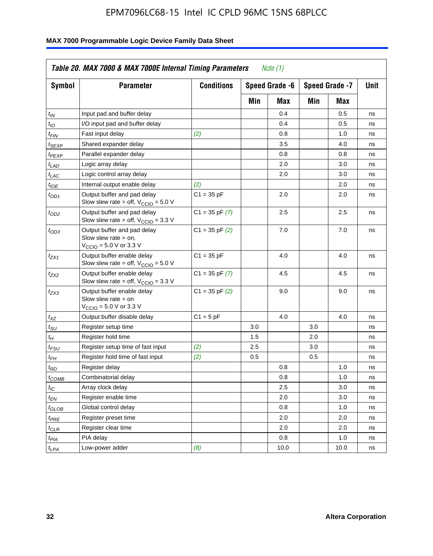| <b>Symbol</b>               | <b>Parameter</b>                                                                                             | <b>Conditions</b>  |     | Speed Grade -6 |     | Speed Grade -7 | Unit |
|-----------------------------|--------------------------------------------------------------------------------------------------------------|--------------------|-----|----------------|-----|----------------|------|
|                             |                                                                                                              |                    | Min | Max            | Min | Max            |      |
| $t_{IN}$                    | Input pad and buffer delay                                                                                   |                    |     | 0.4            |     | 0.5            | ns   |
| $t_{IO}$                    | I/O input pad and buffer delay                                                                               |                    |     | 0.4            |     | 0.5            | ns   |
| $t_{\sf FIN}$               | Fast input delay                                                                                             | (2)                |     | 0.8            |     | 1.0            | ns   |
| <sup>t</sup> SEXP           | Shared expander delay                                                                                        |                    |     | 3.5            |     | 4.0            | ns   |
| t <sub>PEXP</sub>           | Parallel expander delay                                                                                      |                    |     | 0.8            |     | 0.8            | ns   |
| t <sub>LAD</sub>            | Logic array delay                                                                                            |                    |     | 2.0            |     | 3.0            | ns   |
| $t_{LAC}$                   | Logic control array delay                                                                                    |                    |     | 2.0            |     | 3.0            | ns   |
| $t_{IOE}$                   | Internal output enable delay                                                                                 | (2)                |     |                |     | 2.0            | ns   |
| $t_{OD1}$                   | Output buffer and pad delay<br>Slow slew rate = off, $V_{\text{CCIO}} = 5.0 V$                               | $C1 = 35 pF$       |     | 2.0            |     | 2.0            | ns   |
| $t_{OD2}$                   | Output buffer and pad delay<br>Slow slew rate = off, $V_{\text{CCIO}} = 3.3$ V                               | $C1 = 35$ pF $(7)$ |     | 2.5            |     | 2.5            | ns   |
| $t_{OD3}$                   | Output buffer and pad delay<br>Slow slew rate $=$ on,<br>$V_{\text{CCIO}} = 5.0 \text{ V or } 3.3 \text{ V}$ | $C1 = 35$ pF $(2)$ |     | 7.0            |     | 7.0            | ns   |
| $t_{ZX1}$                   | Output buffer enable delay<br>Slow slew rate = off, $V_{\text{CCIO}} = 5.0 V$                                | $C1 = 35 pF$       |     | 4.0            |     | 4.0            | ns   |
| t <sub>ZX2</sub>            | Output buffer enable delay<br>Slow slew rate = off, $V_{\text{CCIO}} = 3.3 \text{ V}$                        | $C1 = 35$ pF $(7)$ |     | 4.5            |     | 4.5            | ns   |
| tzx3                        | Output buffer enable delay<br>Slow slew rate $=$ on<br>$V_{\text{CCIO}} = 5.0 \text{ V}$ or 3.3 V            | $C1 = 35$ pF $(2)$ |     | 9.0            |     | 9.0            | ns   |
| $t_{\mathsf{XZ}}$           | Output buffer disable delay                                                                                  | $C1 = 5pF$         |     | 4.0            |     | 4.0            | ns   |
| $t_{\scriptstyle\text{SU}}$ | Register setup time                                                                                          |                    | 3.0 |                | 3.0 |                | ns   |
| $t_H$                       | Register hold time                                                                                           |                    | 1.5 |                | 2.0 |                | ns   |
| t <sub>FSU</sub>            | Register setup time of fast input                                                                            | (2)                | 2.5 |                | 3.0 |                | ns   |
| $t_{FH}$                    | Register hold time of fast input                                                                             | (2)                | 0.5 |                | 0.5 |                | ns   |
| t <sub>RD</sub>             | Register delay                                                                                               |                    |     | 0.8            |     | 1.0            | ns   |
| $t_{\mathsf{COMB}}$         | Combinatorial delay                                                                                          |                    |     | 0.8            |     | 1.0            | ns   |
| $t_{IC}$                    | Array clock delay                                                                                            |                    |     | 2.5            |     | 3.0            | ns   |
| $t_{EN}$                    | Register enable time                                                                                         |                    |     | 2.0            |     | 3.0            | ns   |
| t <sub>GLOB</sub>           | Global control delay                                                                                         |                    |     | 0.8            |     | 1.0            | ns   |
| $t_{PRE}$                   | Register preset time                                                                                         |                    |     | 2.0            |     | 2.0            | ns   |
| $t_{\sf CLR}$               | Register clear time                                                                                          |                    |     | 2.0            |     | 2.0            | ns   |
| $t_{PIA}$                   | PIA delay                                                                                                    |                    |     | 0.8            |     | 1.0            | ns   |
| $t_{LPA}$                   | Low-power adder                                                                                              | (8)                |     | 10.0           |     | 10.0           | ns   |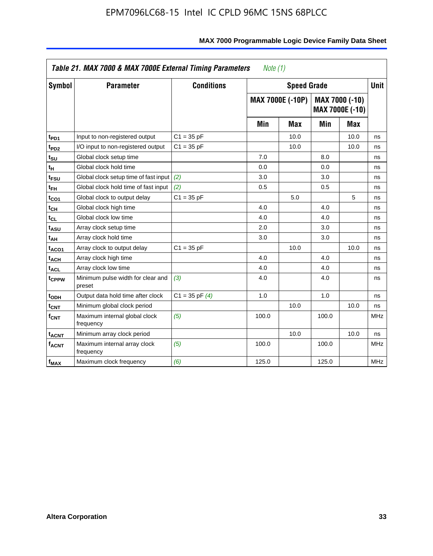|                              | Table 21. MAX 7000 & MAX 7000E External Timing Parameters<br>Note (1) |                    |       |                         |       |                                   |             |  |
|------------------------------|-----------------------------------------------------------------------|--------------------|-------|-------------------------|-------|-----------------------------------|-------------|--|
| Symbol                       | <b>Parameter</b>                                                      | <b>Conditions</b>  |       | <b>Speed Grade</b>      |       |                                   | <b>Unit</b> |  |
|                              |                                                                       |                    |       | <b>MAX 7000E (-10P)</b> |       | MAX 7000 (-10)<br>MAX 7000E (-10) |             |  |
|                              |                                                                       |                    | Min   | Max                     | Min   | Max                               |             |  |
| t <sub>PD1</sub>             | Input to non-registered output                                        | $C1 = 35 pF$       |       | 10.0                    |       | 10.0                              | ns          |  |
| $t_{PD2}$                    | I/O input to non-registered output                                    | $C1 = 35 pF$       |       | 10.0                    |       | 10.0                              | ns          |  |
| t <sub>su</sub>              | Global clock setup time                                               |                    | 7.0   |                         | 8.0   |                                   | ns          |  |
| t <sub>Η</sub>               | Global clock hold time                                                |                    | 0.0   |                         | 0.0   |                                   | ns          |  |
| t <sub>FSU</sub>             | Global clock setup time of fast input (2)                             |                    | 3.0   |                         | 3.0   |                                   | ns          |  |
| $t_{FH}$                     | Global clock hold time of fast input                                  | (2)                | 0.5   |                         | 0.5   |                                   | ns          |  |
| t <sub>CO1</sub>             | Global clock to output delay                                          | $C1 = 35 pF$       |       | 5.0                     |       | 5                                 | ns          |  |
| $\mathfrak{t}_{\textsf{CH}}$ | Global clock high time                                                |                    | 4.0   |                         | 4.0   |                                   | ns          |  |
| t <sub>CL</sub>              | Global clock low time                                                 |                    | 4.0   |                         | 4.0   |                                   | ns          |  |
| t <sub>ASU</sub>             | Array clock setup time                                                |                    | 2.0   |                         | 3.0   |                                   | ns          |  |
| t <sub>АН</sub>              | Array clock hold time                                                 |                    | 3.0   |                         | 3.0   |                                   | ns          |  |
| t <sub>ACO1</sub>            | Array clock to output delay                                           | $C1 = 35 pF$       |       | 10.0                    |       | 10.0                              | ns          |  |
| t <sub>ACH</sub>             | Array clock high time                                                 |                    | 4.0   |                         | 4.0   |                                   | ns          |  |
| $t_{\sf ACL}$                | Array clock low time                                                  |                    | 4.0   |                         | 4.0   |                                   | ns          |  |
| t <sub>CPPW</sub>            | Minimum pulse width for clear and<br>preset                           | (3)                | 4.0   |                         | 4.0   |                                   | ns          |  |
| t <sub>ODH</sub>             | Output data hold time after clock                                     | $C1 = 35$ pF $(4)$ | 1.0   |                         | 1.0   |                                   | ns          |  |
| $t_{\mathsf{CNT}}$           | Minimum global clock period                                           |                    |       | 10.0                    |       | 10.0                              | ns          |  |
| $f_{\mathsf{CNT}}$           | Maximum internal global clock<br>frequency                            | (5)                | 100.0 |                         | 100.0 |                                   | <b>MHz</b>  |  |
| t <sub>ACNT</sub>            | Minimum array clock period                                            |                    |       | 10.0                    |       | 10.0                              | ns          |  |
| f <sub>ACNT</sub>            | Maximum internal array clock<br>frequency                             | (5)                | 100.0 |                         | 100.0 |                                   | <b>MHz</b>  |  |
| $f_{MAX}$                    | Maximum clock frequency                                               | (6)                | 125.0 |                         | 125.0 |                                   | <b>MHz</b>  |  |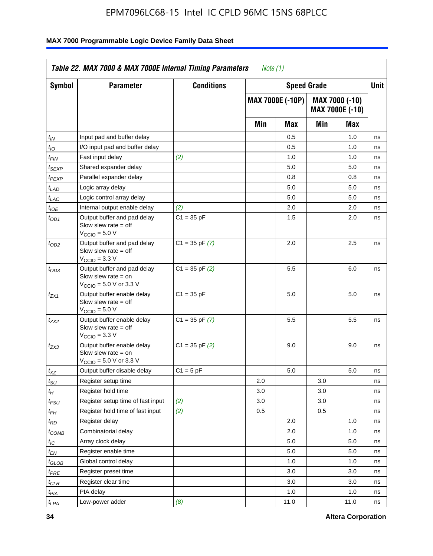| <b>Symbol</b>      | <b>Parameter</b>                                                                                            | <b>Conditions</b>  |     | <b>Speed Grade</b>      |     |                                   | Unit |
|--------------------|-------------------------------------------------------------------------------------------------------------|--------------------|-----|-------------------------|-----|-----------------------------------|------|
|                    |                                                                                                             |                    |     | <b>MAX 7000E (-10P)</b> |     | MAX 7000 (-10)<br>MAX 7000E (-10) |      |
|                    |                                                                                                             |                    | Min | Max                     | Min | Max                               |      |
| $t_{IN}$           | Input pad and buffer delay                                                                                  |                    |     | 0.5                     |     | 1.0                               | ns   |
| $t_{IO}$           | I/O input pad and buffer delay                                                                              |                    |     | 0.5                     |     | 1.0                               | ns   |
| t <sub>FIN</sub>   | Fast input delay                                                                                            | (2)                |     | 1.0                     |     | 1.0                               | ns   |
| <sup>t</sup> SEXP  | Shared expander delay                                                                                       |                    |     | 5.0                     |     | 5.0                               | ns   |
| t <sub>PEXP</sub>  | Parallel expander delay                                                                                     |                    |     | 0.8                     |     | 0.8                               | ns   |
| t <sub>LAD</sub>   | Logic array delay                                                                                           |                    |     | 5.0                     |     | 5.0                               | ns   |
| $t_{LAC}$          | Logic control array delay                                                                                   |                    |     | 5.0                     |     | 5.0                               | ns   |
| $t_{\mathit{IOE}}$ | Internal output enable delay                                                                                | (2)                |     | 2.0                     |     | 2.0                               | ns   |
| $t_{OD1}$          | Output buffer and pad delay<br>Slow slew rate $=$ off<br>$V_{\text{CCIO}} = 5.0 V$                          | $C1 = 35 pF$       |     | 1.5                     |     | 2.0                               | ns   |
| $t_{OD2}$          | Output buffer and pad delay<br>Slow slew rate $=$ off<br>$VCCIO = 3.3 V$                                    | $C1 = 35$ pF $(7)$ |     | 2.0                     |     | 2.5                               | ns   |
| $t_{OD3}$          | Output buffer and pad delay<br>Slow slew rate $=$ on<br>$V_{\text{CCIO}} = 5.0 \text{ V or } 3.3 \text{ V}$ | $C1 = 35$ pF $(2)$ |     | 5.5                     |     | 6.0                               | ns   |
| tzx1               | Output buffer enable delay<br>Slow slew rate $=$ off<br>$V_{\text{CCIO}} = 5.0 V$                           | $C1 = 35 pF$       |     | 5.0                     |     | 5.0                               | ns   |
| t <sub>ZX2</sub>   | Output buffer enable delay<br>Slow slew rate $=$ off<br>$V_{\text{CCIO}} = 3.3 \text{ V}$                   | $C1 = 35$ pF $(7)$ |     | 5.5                     |     | 5.5                               | ns   |
| t <sub>ZX3</sub>   | Output buffer enable delay<br>Slow slew rate $=$ on<br>$V_{\text{CCIO}} = 5.0 \text{ V or } 3.3 \text{ V}$  | $C1 = 35$ pF $(2)$ |     | 9.0                     |     | 9.0                               | ns   |
| $t_{\mathsf{XZ}}$  | Output buffer disable delay                                                                                 | $C1 = 5$ pF        |     | 5.0                     |     | 5.0                               | ns   |
| $t_{\sf SU}$       | Register setup time                                                                                         |                    | 2.0 |                         | 3.0 |                                   | ns   |
| $t_H$              | Register hold time                                                                                          |                    | 3.0 |                         | 3.0 |                                   | ns   |
| t <sub>FSU</sub>   | Register setup time of fast input                                                                           | (2)                | 3.0 |                         | 3.0 |                                   | ns   |
| t <sub>FH</sub>    | Register hold time of fast input                                                                            | (2)                | 0.5 |                         | 0.5 |                                   | ns   |
| $t_{RD}$           | Register delay                                                                                              |                    |     | 2.0                     |     | 1.0                               | ns   |
| $t_{COMB}$         | Combinatorial delay                                                                                         |                    |     | 2.0                     |     | 1.0                               | ns   |
| $t_{\mathcal{IC}}$ | Array clock delay                                                                                           |                    |     | 5.0                     |     | 5.0                               | ns   |
| $t_{EN}$           | Register enable time                                                                                        |                    |     | 5.0                     |     | 5.0                               | ns   |
| t <sub>GLOB</sub>  | Global control delay                                                                                        |                    |     | 1.0                     |     | 1.0                               | ns   |
| $t_{PRE}$          | Register preset time                                                                                        |                    |     | 3.0                     |     | 3.0                               | ns   |
| $t_{\sf CLR}$      | Register clear time                                                                                         |                    |     | 3.0                     |     | 3.0                               | ns   |
| t <sub>PIA</sub>   | PIA delay                                                                                                   |                    |     | 1.0                     |     | 1.0                               | ns   |
| $t_{LPA}$          | Low-power adder                                                                                             | (8)                |     | 11.0                    |     | 11.0                              | ns   |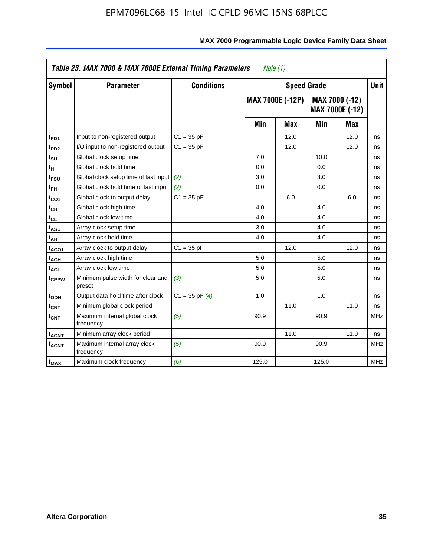| <b>Symbol</b>                | <b>Parameter</b>                            | <b>Conditions</b>  |       | <b>Speed Grade</b>      |       |                                   | <b>Unit</b> |
|------------------------------|---------------------------------------------|--------------------|-------|-------------------------|-------|-----------------------------------|-------------|
|                              |                                             |                    |       | <b>MAX 7000E (-12P)</b> |       | MAX 7000 (-12)<br>MAX 7000E (-12) |             |
|                              |                                             |                    | Min   | <b>Max</b>              | Min   | <b>Max</b>                        |             |
| t <sub>PD1</sub>             | Input to non-registered output              | $C1 = 35 pF$       |       | 12.0                    |       | 12.0                              | ns          |
| t <sub>PD2</sub>             | I/O input to non-registered output          | $C1 = 35 pF$       |       | 12.0                    |       | 12.0                              | ns          |
| t <sub>su</sub>              | Global clock setup time                     |                    | 7.0   |                         | 10.0  |                                   | ns          |
| tμ                           | Global clock hold time                      |                    | 0.0   |                         | 0.0   |                                   | ns          |
| t <sub>FSU</sub>             | Global clock setup time of fast input       | (2)                | 3.0   |                         | 3.0   |                                   | ns          |
| t <sub>FH</sub>              | Global clock hold time of fast input        | (2)                | 0.0   |                         | 0.0   |                                   | ns          |
| t <sub>CO1</sub>             | Global clock to output delay                | $C1 = 35 pF$       |       | 6.0                     |       | 6.0                               | ns          |
| t <sub>СН</sub>              | Global clock high time                      |                    | 4.0   |                         | 4.0   |                                   | ns          |
| $\mathfrak{t}_{\texttt{CL}}$ | Global clock low time                       |                    | 4.0   |                         | 4.0   |                                   | ns          |
| t <sub>ASU</sub>             | Array clock setup time                      |                    | 3.0   |                         | 4.0   |                                   | ns          |
| t <sub>АН</sub>              | Array clock hold time                       |                    | 4.0   |                         | 4.0   |                                   | ns          |
| t <sub>ACO1</sub>            | Array clock to output delay                 | $C1 = 35 pF$       |       | 12.0                    |       | 12.0                              | ns          |
| t <sub>ACH</sub>             | Array clock high time                       |                    | 5.0   |                         | 5.0   |                                   | ns          |
| $t_{\sf ACL}$                | Array clock low time                        |                    | 5.0   |                         | 5.0   |                                   | ns          |
| t <sub>CPPW</sub>            | Minimum pulse width for clear and<br>preset | (3)                | 5.0   |                         | 5.0   |                                   | ns          |
| t <sub>ODH</sub>             | Output data hold time after clock           | $C1 = 35$ pF $(4)$ | 1.0   |                         | 1.0   |                                   | ns          |
| $t_{\mathsf{CNT}}$           | Minimum global clock period                 |                    |       | 11.0                    |       | 11.0                              | ns          |
| $f_{\mathsf{CNT}}$           | Maximum internal global clock<br>frequency  | (5)                | 90.9  |                         | 90.9  |                                   | <b>MHz</b>  |
| <b>t<sub>ACNT</sub></b>      | Minimum array clock period                  |                    |       | 11.0                    |       | 11.0                              | ns          |
| f <sub>ACNT</sub>            | Maximum internal array clock<br>frequency   | (5)                | 90.9  |                         | 90.9  |                                   | <b>MHz</b>  |
| $f_{MAX}$                    | Maximum clock frequency                     | (6)                | 125.0 |                         | 125.0 |                                   | MHz         |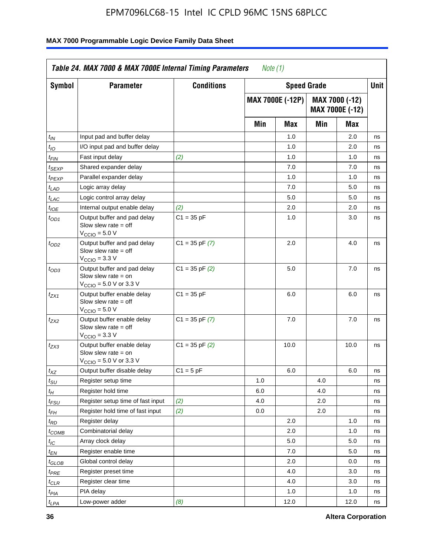| Symbol                      | <b>Parameter</b>                                                                                            | <b>Conditions</b>  |     | <b>Speed Grade</b>      |     |                                   | Unit |
|-----------------------------|-------------------------------------------------------------------------------------------------------------|--------------------|-----|-------------------------|-----|-----------------------------------|------|
|                             |                                                                                                             |                    |     | <b>MAX 7000E (-12P)</b> |     | MAX 7000 (-12)<br>MAX 7000E (-12) |      |
|                             |                                                                                                             |                    | Min | Max                     | Min | Max                               |      |
| t <sub>IN</sub>             | Input pad and buffer delay                                                                                  |                    |     | 1.0                     |     | 2.0                               | ns   |
| $t_{IO}$                    | I/O input pad and buffer delay                                                                              |                    |     | 1.0                     |     | 2.0                               | ns   |
| $t_{\sf FIN}$               | Fast input delay                                                                                            | (2)                |     | 1.0                     |     | 1.0                               | ns   |
| $t_{SEXP}$                  | Shared expander delay                                                                                       |                    |     | 7.0                     |     | 7.0                               | ns   |
| t <sub>PEXP</sub>           | Parallel expander delay                                                                                     |                    |     | 1.0                     |     | 1.0                               | ns   |
| $t_{LAD}$                   | Logic array delay                                                                                           |                    |     | 7.0                     |     | 5.0                               | ns   |
| $t_{LAC}$                   | Logic control array delay                                                                                   |                    |     | 5.0                     |     | 5.0                               | ns   |
| $t_{\mathit{IOE}}$          | Internal output enable delay                                                                                | (2)                |     | 2.0                     |     | 2.0                               | ns   |
| $t_{OD1}$                   | Output buffer and pad delay<br>Slow slew rate $=$ off<br>$V_{\text{CCIO}} = 5.0 V$                          | $C1 = 35 pF$       |     | 1.0                     |     | 3.0                               | ns   |
| $t_{OD2}$                   | Output buffer and pad delay<br>Slow slew rate $=$ off<br>$V_{\text{CCIO}} = 3.3 \text{ V}$                  | $C1 = 35$ pF $(7)$ |     | 2.0                     |     | 4.0                               | ns   |
| $t_{OD3}$                   | Output buffer and pad delay<br>Slow slew rate $=$ on<br>$V_{\text{CCIO}} = 5.0 \text{ V or } 3.3 \text{ V}$ | $C1 = 35$ pF $(2)$ |     | 5.0                     |     | 7.0                               | ns   |
| $t_{ZX1}$                   | Output buffer enable delay<br>Slow slew rate $=$ off<br>$V_{\text{CCIO}} = 5.0 V$                           | $C1 = 35 pF$       |     | 6.0                     |     | 6.0                               | ns   |
| tzx2                        | Output buffer enable delay<br>Slow slew rate $=$ off<br>$VCCIO = 3.3 V$                                     | $C1 = 35$ pF $(7)$ |     | 7.0                     |     | 7.0                               | ns   |
| $t_{ZX3}$                   | Output buffer enable delay<br>Slow slew rate $=$ on<br>$V_{\text{CCIO}} = 5.0 \text{ V or } 3.3 \text{ V}$  | $C1 = 35$ pF $(2)$ |     | 10.0                    |     | 10.0                              | ns   |
| $t_{XZ}$                    | Output buffer disable delay                                                                                 | $C1 = 5$ pF        |     | 6.0                     |     | 6.0                               | ns   |
| $t_{\scriptstyle\text{SU}}$ | Register setup time                                                                                         |                    | 1.0 |                         | 4.0 |                                   | ns   |
| $t_H$                       | Register hold time                                                                                          |                    | 6.0 |                         | 4.0 |                                   | ns   |
| $t_{FSU}$                   | Register setup time of fast input                                                                           | (2)                | 4.0 |                         | 2.0 |                                   | ns   |
| t <sub>FH</sub>             | Register hold time of fast input                                                                            | (2)                | 0.0 |                         | 2.0 |                                   | ns   |
| $t_{RD}$                    | Register delay                                                                                              |                    |     | 2.0                     |     | 1.0                               | ns   |
| $t_{COMB}$                  | Combinatorial delay                                                                                         |                    |     | 2.0                     |     | 1.0                               | ns   |
| $I_{\text{IC}}$             | Array clock delay                                                                                           |                    |     | $5.0\,$                 |     | 5.0                               | ns   |
| $t_{EN}$                    | Register enable time                                                                                        |                    |     | 7.0                     |     | 5.0                               | ns   |
| $t_{\text{GLOB}}$           | Global control delay                                                                                        |                    |     | 2.0                     |     | 0.0                               | ns   |
| t <sub>PRE</sub>            | Register preset time                                                                                        |                    |     | 4.0                     |     | 3.0                               | ns   |
| $t_{CLR}$                   | Register clear time                                                                                         |                    |     | 4.0                     |     | 3.0                               | ns   |
| t <sub>PIA</sub>            | PIA delay                                                                                                   |                    |     | 1.0                     |     | 1.0                               | ns   |
| $t_{LPA}$                   | Low-power adder                                                                                             | (8)                |     | 12.0                    |     | 12.0                              | ns   |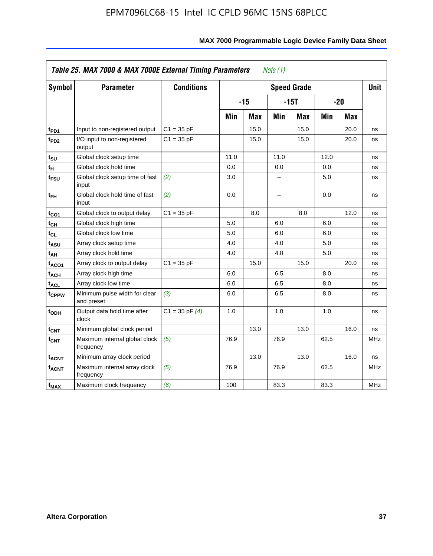| <b>Symbol</b>           | <b>Parameter</b>                            | <b>Conditions</b>  |      |            |      | <b>Speed Grade</b> |       |            | <b>Unit</b> |
|-------------------------|---------------------------------------------|--------------------|------|------------|------|--------------------|-------|------------|-------------|
|                         |                                             |                    |      | $-15$      |      | $-15T$             | $-20$ |            |             |
|                         |                                             |                    | Min  | <b>Max</b> | Min  | <b>Max</b>         | Min   | <b>Max</b> |             |
| $t_{PD1}$               | Input to non-registered output              | $C1 = 35 pF$       |      | 15.0       |      | 15.0               |       | 20.0       | ns          |
| t <sub>PD2</sub>        | I/O input to non-registered<br>output       | $C1 = 35 pF$       |      | 15.0       |      | 15.0               |       | 20.0       | ns          |
| tsu                     | Global clock setup time                     |                    | 11.0 |            | 11.0 |                    | 12.0  |            | ns          |
| $t_H$                   | Global clock hold time                      |                    | 0.0  |            | 0.0  |                    | 0.0   |            | ns          |
| t <sub>FSU</sub>        | Global clock setup time of fast<br>input    | (2)                | 3.0  |            | -    |                    | 5.0   |            | ns          |
| $t_{FH}$                | Global clock hold time of fast<br>input     | (2)                | 0.0  |            | -    |                    | 0.0   |            | ns          |
| t <sub>CO1</sub>        | Global clock to output delay                | $C1 = 35 pF$       |      | 8.0        |      | 8.0                |       | 12.0       | ns          |
| $t_{\mathsf{CH}}$       | Global clock high time                      |                    | 5.0  |            | 6.0  |                    | 6.0   |            | ns          |
| $t_{CL}$                | Global clock low time                       |                    | 5.0  |            | 6.0  |                    | 6.0   |            | ns          |
| $t_{ASU}$               | Array clock setup time                      |                    | 4.0  |            | 4.0  |                    | 5.0   |            | ns          |
| t <sub>АН</sub>         | Array clock hold time                       |                    | 4.0  |            | 4.0  |                    | 5.0   |            | ns          |
| t <sub>ACO1</sub>       | Array clock to output delay                 | $C1 = 35 pF$       |      | 15.0       |      | 15.0               |       | 20.0       | ns          |
| $t_{\sf ACH}$           | Array clock high time                       |                    | 6.0  |            | 6.5  |                    | 8.0   |            | ns          |
| t <sub>ACL</sub>        | Array clock low time                        |                    | 6.0  |            | 6.5  |                    | 8.0   |            | ns          |
| t <sub>CPPW</sub>       | Minimum pulse width for clear<br>and preset | (3)                | 6.0  |            | 6.5  |                    | 8.0   |            | ns          |
| t <sub>ODH</sub>        | Output data hold time after<br>clock        | $C1 = 35$ pF $(4)$ | 1.0  |            | 1.0  |                    | 1.0   |            | ns          |
| $t_{\mathsf{CNT}}$      | Minimum global clock period                 |                    |      | 13.0       |      | 13.0               |       | 16.0       | ns          |
| $f_{\mathsf{CNT}}$      | Maximum internal global clock<br>frequency  | (5)                | 76.9 |            | 76.9 |                    | 62.5  |            | <b>MHz</b>  |
| <b>t<sub>ACNT</sub></b> | Minimum array clock period                  |                    |      | 13.0       |      | 13.0               |       | 16.0       | ns          |
| <b>fACNT</b>            | Maximum internal array clock<br>frequency   | (5)                | 76.9 |            | 76.9 |                    | 62.5  |            | <b>MHz</b>  |
| $f_{MAX}$               | Maximum clock frequency                     | (6)                | 100  |            | 83.3 |                    | 83.3  |            | MHz         |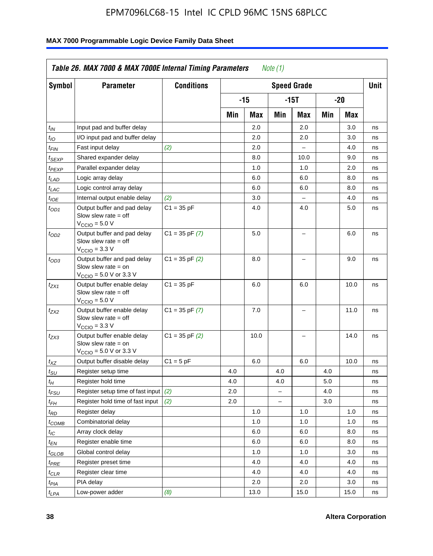| <b>Symbol</b>                 | <b>Parameter</b>                                                                                            | <b>Conditions</b>  |     |      |                          | <b>Speed Grade</b>       |     |      | <b>Unit</b> |
|-------------------------------|-------------------------------------------------------------------------------------------------------------|--------------------|-----|------|--------------------------|--------------------------|-----|------|-------------|
|                               |                                                                                                             |                    |     | -15  |                          | $-15T$                   |     | -20  |             |
|                               |                                                                                                             |                    | Min | Max  | Min                      | Max                      | Min | Max  |             |
| $t_{IN}$                      | Input pad and buffer delay                                                                                  |                    |     | 2.0  |                          | 2.0                      |     | 3.0  | ns          |
| $t_{IO}$                      | I/O input pad and buffer delay                                                                              |                    |     | 2.0  |                          | 2.0                      |     | 3.0  | ns          |
| $t_{\textit{FIN}}$            | Fast input delay                                                                                            | (2)                |     | 2.0  |                          | $\equiv$                 |     | 4.0  | ns          |
| $t_{SEXP}$                    | Shared expander delay                                                                                       |                    |     | 8.0  |                          | 10.0                     |     | 9.0  | ns          |
| t <sub>PEXP</sub>             | Parallel expander delay                                                                                     |                    |     | 1.0  |                          | 1.0                      |     | 2.0  | ns          |
| t <sub>LAD</sub>              | Logic array delay                                                                                           |                    |     | 6.0  |                          | 6.0                      |     | 8.0  | ns          |
| $t_{LAC}$                     | Logic control array delay                                                                                   |                    |     | 6.0  |                          | 6.0                      |     | 8.0  | ns          |
| $t_{IOE}$                     | Internal output enable delay                                                                                | (2)                |     | 3.0  |                          | $\overline{\phantom{0}}$ |     | 4.0  | ns          |
| $t_{OD1}$                     | Output buffer and pad delay<br>Slow slew rate $=$ off<br>$V_{\text{CCIO}} = 5.0 V$                          | $C1 = 35 pF$       |     | 4.0  |                          | 4.0                      |     | 5.0  | ns          |
| $t_{OD2}$                     | Output buffer and pad delay<br>Slow slew rate $=$ off<br>$V_{\text{CCIO}} = 3.3 \text{ V}$                  | $C1 = 35 pF(7)$    |     | 5.0  |                          | $\overline{\phantom{0}}$ |     | 6.0  | ns          |
| $t_{OD3}$                     | Output buffer and pad delay<br>Slow slew rate $=$ on<br>$V_{\text{CCIO}} = 5.0 \text{ V or } 3.3 \text{ V}$ | $C1 = 35$ pF $(2)$ |     | 8.0  |                          |                          |     | 9.0  | ns          |
| $t_{ZX1}$                     | Output buffer enable delay<br>Slow slew rate $=$ off<br>$V_{\text{CCIO}} = 5.0 V$                           | $C1 = 35 pF$       |     | 6.0  |                          | 6.0                      |     | 10.0 | ns          |
| t <sub>ZX2</sub>              | Output buffer enable delay<br>Slow slew rate $=$ off<br>$V_{\text{CCIO}} = 3.3 \text{ V}$                   | $C1 = 35$ pF $(7)$ |     | 7.0  |                          | L,                       |     | 11.0 | ns          |
| t <sub>ZX3</sub>              | Output buffer enable delay<br>Slow slew rate $=$ on<br>$V_{\text{CCIO}} = 5.0 \text{ V or } 3.3 \text{ V}$  | $C1 = 35$ pF $(2)$ |     | 10.0 |                          |                          |     | 14.0 | ns          |
| $t_{\mathsf{XZ}}$             | Output buffer disable delay                                                                                 | $C1 = 5pF$         |     | 6.0  |                          | 6.0                      |     | 10.0 | ns          |
| $t_{\scriptstyle\text{SU}}$   | Register setup time                                                                                         |                    | 4.0 |      | 4.0                      |                          | 4.0 |      | ns          |
| tμ                            | Register hold time                                                                                          |                    | 4.0 |      | 4.0                      |                          | 5.0 |      | ns          |
| t <sub>FSU</sub>              | Register setup time of fast input                                                                           | (2)                | 2.0 |      | $\overline{\phantom{0}}$ |                          | 4.0 |      | ns          |
| t <sub>FH</sub>               | Register hold time of fast input                                                                            | (2)                | 2.0 |      | L.                       |                          | 3.0 |      | ns          |
| $t_{RD}$                      | Register delay                                                                                              |                    |     | 1.0  |                          | 1.0                      |     | 1.0  | ns          |
| $t_{COMB}$                    | Combinatorial delay                                                                                         |                    |     | 1.0  |                          | 1.0                      |     | 1.0  | ns          |
| $t_{IC}$                      | Array clock delay                                                                                           |                    |     | 6.0  |                          | 6.0                      |     | 8.0  | ns          |
| $t_{EN}$                      | Register enable time                                                                                        |                    |     | 6.0  |                          | 6.0                      |     | 8.0  | ns          |
| $t_{\scriptstyle\text{GLOB}}$ | Global control delay                                                                                        |                    |     | 1.0  |                          | 1.0                      |     | 3.0  | ns          |
| $t_{PRE}$                     | Register preset time                                                                                        |                    |     | 4.0  |                          | 4.0                      |     | 4.0  | ns          |
| $t_{\sf CLR}$                 | Register clear time                                                                                         |                    |     | 4.0  |                          | 4.0                      |     | 4.0  | ns          |
| $t_{PIA}$                     | PIA delay                                                                                                   |                    |     | 2.0  |                          | 2.0                      |     | 3.0  | ns          |
| $t_{LPA}$                     | Low-power adder                                                                                             | (8)                |     | 13.0 |                          | 15.0                     |     | 15.0 | ns          |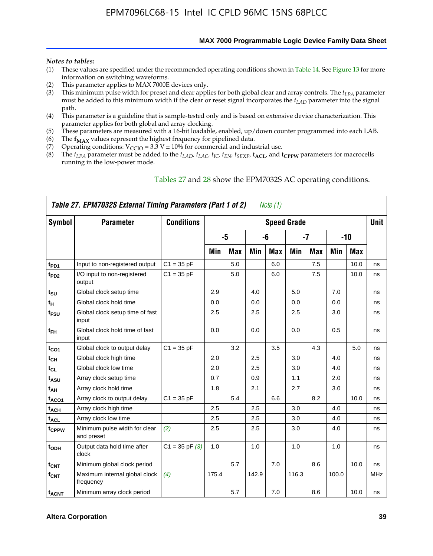**MAX 7000 Programmable Logic Device Family Data Sheet**

#### *Notes to tables:*

- (1) These values are specified under the recommended operating conditions shown in Table 14. See Figure 13 for more information on switching waveforms.
- (2) This parameter applies to MAX 7000E devices only.
- (3) This minimum pulse width for preset and clear applies for both global clear and array controls. The *tLPA* parameter must be added to this minimum width if the clear or reset signal incorporates the  $t_{LAD}$  parameter into the signal path.
- (4) This parameter is a guideline that is sample-tested only and is based on extensive device characterization. This parameter applies for both global and array clocking.
- (5) These parameters are measured with a 16-bit loadable, enabled, up/down counter programmed into each LAB.
- (6) The  $f_{MAX}$  values represent the highest frequency for pipelined data.
- (7) Operating conditions:  $V_{\text{CCIO}} = 3.3 \text{ V} \pm 10\%$  for commercial and industrial use.
- (8) The  $t_{LPA}$  parameter must be added to the  $t_{LAD}$ ,  $t_{LAC}$ ,  $t_{IC}$ ,  $t_{EN}$ ,  $t_{SEXP}$ ,  $t_{ACL}$ , and  $t_{CPPW}$  parameters for macrocells running in the low-power mode.

| Table 27. EPM7032S External Timing Parameters (Part 1 of 2)<br>Note (1) |                                             |                    |       |            |       |            |                    |            |       |            |             |
|-------------------------------------------------------------------------|---------------------------------------------|--------------------|-------|------------|-------|------------|--------------------|------------|-------|------------|-------------|
| Symbol                                                                  | <b>Parameter</b>                            | <b>Conditions</b>  |       |            |       |            | <b>Speed Grade</b> |            |       |            | <b>Unit</b> |
|                                                                         |                                             |                    |       | -5         |       | -6         |                    | -7         |       | $-10$      |             |
|                                                                         |                                             |                    | Min   | <b>Max</b> | Min   | <b>Max</b> | Min                | <b>Max</b> | Min   | <b>Max</b> |             |
| t <sub>PD1</sub>                                                        | Input to non-registered output              | $C1 = 35 pF$       |       | 5.0        |       | 6.0        |                    | 7.5        |       | 10.0       | ns          |
| $t_{PD2}$                                                               | I/O input to non-registered<br>output       | $C1 = 35 pF$       |       | 5.0        |       | 6.0        |                    | 7.5        |       | 10.0       | ns          |
| tsu                                                                     | Global clock setup time                     |                    | 2.9   |            | 4.0   |            | 5.0                |            | 7.0   |            | ns          |
| $t_H$                                                                   | Global clock hold time                      |                    | 0.0   |            | 0.0   |            | 0.0                |            | 0.0   |            | ns          |
| t <sub>FSU</sub>                                                        | Global clock setup time of fast<br>input    |                    | 2.5   |            | 2.5   |            | 2.5                |            | 3.0   |            | ns          |
| $t_{FH}$                                                                | Global clock hold time of fast<br>input     |                    | 0.0   |            | 0.0   |            | 0.0                |            | 0.5   |            | ns          |
| t <sub>CO1</sub>                                                        | Global clock to output delay                | $C1 = 35 pF$       |       | 3.2        |       | 3.5        |                    | 4.3        |       | 5.0        | ns          |
| $t_{CH}$                                                                | Global clock high time                      |                    | 2.0   |            | 2.5   |            | 3.0                |            | 4.0   |            | ns          |
| $t_{CL}$                                                                | Global clock low time                       |                    | 2.0   |            | 2.5   |            | 3.0                |            | 4.0   |            | ns          |
| t <sub>ASU</sub>                                                        | Array clock setup time                      |                    | 0.7   |            | 0.9   |            | 1.1                |            | 2.0   |            | ns          |
| t <sub>АН</sub>                                                         | Array clock hold time                       |                    | 1.8   |            | 2.1   |            | 2.7                |            | 3.0   |            | ns          |
| t <sub>ACO1</sub>                                                       | Array clock to output delay                 | $C1 = 35 pF$       |       | 5.4        |       | 6.6        |                    | 8.2        |       | 10.0       | ns          |
| t <sub>ACH</sub>                                                        | Array clock high time                       |                    | 2.5   |            | 2.5   |            | 3.0                |            | 4.0   |            | ns          |
| $t_{\sf ACL}$                                                           | Array clock low time                        |                    | 2.5   |            | 2.5   |            | 3.0                |            | 4.0   |            | ns          |
| tcppw                                                                   | Minimum pulse width for clear<br>and preset | (2)                | 2.5   |            | 2.5   |            | 3.0                |            | 4.0   |            | ns          |
| $t_{ODH}$                                                               | Output data hold time after<br>clock        | $C1 = 35$ pF $(3)$ | 1.0   |            | 1.0   |            | 1.0                |            | 1.0   |            | ns          |
| $t_{\mathsf{CNT}}$                                                      | Minimum global clock period                 |                    |       | 5.7        |       | 7.0        |                    | 8.6        |       | 10.0       | ns          |
| $f_{\mathsf{CNT}}$                                                      | Maximum internal global clock<br>frequency  | (4)                | 175.4 |            | 142.9 |            | 116.3              |            | 100.0 |            | MHz         |
| t <sub>ACNT</sub>                                                       | Minimum array clock period                  |                    |       | 5.7        |       | 7.0        |                    | 8.6        |       | 10.0       | ns          |

#### Tables 27 and 28 show the EPM7032S AC operating conditions.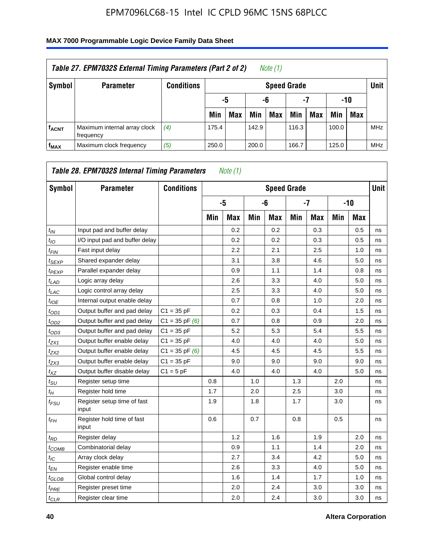| Table 27. EPM7032S External Timing Parameters (Part 2 of 2)<br>Note (1) |                                           |                   |       |                       |       |                    |       |     |       |            |            |  |
|-------------------------------------------------------------------------|-------------------------------------------|-------------------|-------|-----------------------|-------|--------------------|-------|-----|-------|------------|------------|--|
| Symbol                                                                  | <b>Parameter</b>                          | <b>Conditions</b> |       |                       |       | <b>Speed Grade</b> |       |     |       |            | Unit       |  |
|                                                                         |                                           |                   |       | -7<br>-10<br>-6<br>-5 |       |                    |       |     |       |            |            |  |
|                                                                         |                                           |                   | Min   | <b>Max</b>            | Min   | <b>Max</b>         | Min   | Max | Min   | <b>Max</b> |            |  |
| <b>fACNT</b>                                                            | Maximum internal array clock<br>frequency | (4)               | 175.4 |                       | 142.9 |                    | 116.3 |     | 100.0 |            | <b>MHz</b> |  |
| f <sub>MAX</sub>                                                        | Maximum clock frequency                   | (5)               | 250.0 |                       | 200.0 |                    | 166.7 |     | 125.0 |            | <b>MHz</b> |  |

| Symbol                        | <b>Parameter</b>                     | <b>Conditions</b>  |     |            |     | <b>Speed Grade</b> |      |            |       |            | <b>Unit</b> |
|-------------------------------|--------------------------------------|--------------------|-----|------------|-----|--------------------|------|------------|-------|------------|-------------|
|                               |                                      |                    |     | -5         |     | -6                 | $-7$ |            | $-10$ |            |             |
|                               |                                      |                    | Min | <b>Max</b> | Min | <b>Max</b>         | Min  | <b>Max</b> | Min   | <b>Max</b> |             |
| $t_{IN}$                      | Input pad and buffer delay           |                    |     | 0.2        |     | 0.2                |      | 0.3        |       | 0.5        | ns          |
| $t_{IO}$                      | I/O input pad and buffer delay       |                    |     | 0.2        |     | 0.2                |      | 0.3        |       | 0.5        | ns          |
| $t_{\textit{FIN}}$            | Fast input delay                     |                    |     | 2.2        |     | 2.1                |      | 2.5        |       | 1.0        | ns          |
| $t_{SEXP}$                    | Shared expander delay                |                    |     | 3.1        |     | 3.8                |      | 4.6        |       | 5.0        | ns          |
| $t_{PEXP}$                    | Parallel expander delay              |                    |     | 0.9        |     | 1.1                |      | 1.4        |       | 0.8        | ns          |
| $t_{LAD}$                     | Logic array delay                    |                    |     | 2.6        |     | 3.3                |      | 4.0        |       | 5.0        | ns          |
| $t_{LAC}$                     | Logic control array delay            |                    |     | 2.5        |     | 3.3                |      | 4.0        |       | 5.0        | ns          |
| $t_{IOE}$                     | Internal output enable delay         |                    |     | 0.7        |     | 0.8                |      | 1.0        |       | 2.0        | ns          |
| $t_{OD1}$                     | Output buffer and pad delay          | $C1 = 35 pF$       |     | 0.2        |     | 0.3                |      | 0.4        |       | 1.5        | ns          |
| $t_{OD2}$                     | Output buffer and pad delay          | $C1 = 35$ pF $(6)$ |     | 0.7        |     | 0.8                |      | 0.9        |       | 2.0        | ns          |
| $t_{OD3}$                     | Output buffer and pad delay          | $C1 = 35 pF$       |     | 5.2        |     | 5.3                |      | 5.4        |       | 5.5        | ns          |
| $t_{ZX1}$                     | Output buffer enable delay           | $C1 = 35 pF$       |     | 4.0        |     | 4.0                |      | 4.0        |       | 5.0        | ns          |
| t <sub>ZX2</sub>              | Output buffer enable delay           | $C1 = 35$ pF $(6)$ |     | 4.5        |     | 4.5                |      | 4.5        |       | 5.5        | ns          |
| $t_{ZX3}$                     | Output buffer enable delay           | $C1 = 35 pF$       |     | 9.0        |     | 9.0                |      | 9.0        |       | 9.0        | ns          |
| $t_{XZ}$                      | Output buffer disable delay          | $C1 = 5pF$         |     | 4.0        |     | 4.0                |      | 4.0        |       | 5.0        | ns          |
| $t_{\rm SU}$                  | Register setup time                  |                    | 0.8 |            | 1.0 |                    | 1.3  |            | 2.0   |            | ns          |
| $t_{H}$                       | Register hold time                   |                    | 1.7 |            | 2.0 |                    | 2.5  |            | 3.0   |            | ns          |
| $t_{\mathit{FSU}}$            | Register setup time of fast<br>input |                    | 1.9 |            | 1.8 |                    | 1.7  |            | 3.0   |            | ns          |
| $t_{FH}$                      | Register hold time of fast<br>input  |                    | 0.6 |            | 0.7 |                    | 0.8  |            | 0.5   |            | ns          |
| $t_{RD}$                      | Register delay                       |                    |     | 1.2        |     | 1.6                |      | 1.9        |       | 2.0        | ns          |
| $t_{COMB}$                    | Combinatorial delay                  |                    |     | 0.9        |     | 1.1                |      | 1.4        |       | 2.0        | ns          |
| $t_{IC}$                      | Array clock delay                    |                    |     | 2.7        |     | 3.4                |      | 4.2        |       | 5.0        | ns          |
| $t_{EN}$                      | Register enable time                 |                    |     | 2.6        |     | 3.3                |      | 4.0        |       | 5.0        | ns          |
| $t_{\scriptstyle\text{GLOB}}$ | Global control delay                 |                    |     | 1.6        |     | 1.4                |      | 1.7        |       | 1.0        | ns          |
| $t_{PRE}$                     | Register preset time                 |                    |     | 2.0        |     | 2.4                |      | 3.0        |       | 3.0        | ns          |
| $t_{CLR}$                     | Register clear time                  |                    |     | 2.0        |     | 2.4                |      | 3.0        |       | 3.0        | ns          |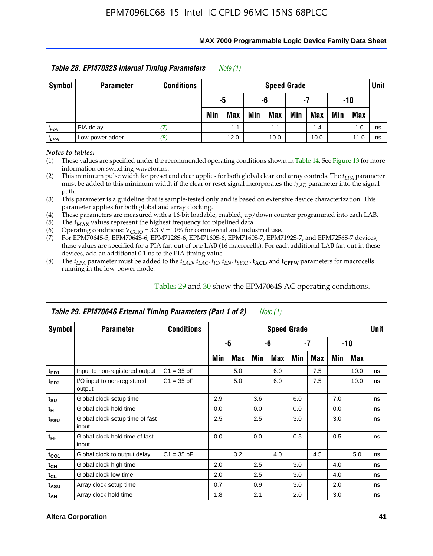| Table 28. EPM7032S Internal Timing Parameters<br>Note (1) |                  |                   |                |            |     |                    |     |            |     |            |        |  |
|-----------------------------------------------------------|------------------|-------------------|----------------|------------|-----|--------------------|-----|------------|-----|------------|--------|--|
| Symbol                                                    | <b>Parameter</b> | <b>Conditions</b> |                |            |     | <b>Speed Grade</b> |     |            |     |            | Unit I |  |
|                                                           |                  |                   | -5<br>-6<br>-7 |            |     |                    |     | -10        |     |            |        |  |
|                                                           |                  |                   | Min            | <b>Max</b> | Min | Max                | Min | <b>Max</b> | Min | <b>Max</b> |        |  |
| $t_{PIA}$                                                 | PIA delay        | 17.               |                | 1.1        |     | 1.1                |     | 1.4        |     | 1.0        | ns     |  |
| $t_{LPA}$                                                 | Low-power adder  | (8)               |                | 12.0       |     | 10.0               |     | 10.0       |     | 11.0       | ns     |  |

#### **MAX 7000 Programmable Logic Device Family Data Sheet**

*Notes to tables:*

(1) These values are specified under the recommended operating conditions shown in Table 14. See Figure 13 for more information on switching waveforms.

(2) This minimum pulse width for preset and clear applies for both global clear and array controls. The  $t_{LPA}$  parameter must be added to this minimum width if the clear or reset signal incorporates the *tLAD* parameter into the signal path.

(3) This parameter is a guideline that is sample-tested only and is based on extensive device characterization. This parameter applies for both global and array clocking.

(4) These parameters are measured with a 16-bit loadable, enabled, up/down counter programmed into each LAB.

(5) The  $f_{MAX}$  values represent the highest frequency for pipelined data.

(6) Operating conditions:  $V_{\text{CCIO}} = 3.3 \text{ V} \pm 10\%$  for commercial and industrial use.

(7) For EPM7064S-5, EPM7064S-6, EPM7128S-6, EPM7160S-6, EPM7160S-7, EPM7192S-7, and EPM7256S-7 devices, these values are specified for a PIA fan-out of one LAB (16 macrocells). For each additional LAB fan-out in these devices, add an additional 0.1 ns to the PIA timing value.

(8) The  $t_{LPA}$  parameter must be added to the  $t_{LAD}$ ,  $t_{LAC}$ ,  $t_{IC}$ ,  $t_{EN}$ ,  $t_{SEXP}$ ,  $t_{ACL}$ , and  $t_{CPPW}$  parameters for macrocells running in the low-power mode.

| Table 29. EPM7064S External Timing Parameters (Part 1 of 2)<br>Note (1) |                                          |                   |                    |     |     |     |     |     |     |      |    |  |
|-------------------------------------------------------------------------|------------------------------------------|-------------------|--------------------|-----|-----|-----|-----|-----|-----|------|----|--|
| Symbol                                                                  | <b>Parameter</b>                         | <b>Conditions</b> | <b>Speed Grade</b> |     |     |     |     |     |     |      |    |  |
|                                                                         |                                          |                   | -5                 |     | -6  |     | -7  |     | -10 |      |    |  |
|                                                                         |                                          |                   | Min                | Max | Min | Max | Min | Max | Min | Max  |    |  |
| t <sub>PD1</sub>                                                        | Input to non-registered output           | $C1 = 35 pF$      |                    | 5.0 |     | 6.0 |     | 7.5 |     | 10.0 | ns |  |
| t <sub>PD2</sub>                                                        | I/O input to non-registered<br>output    | $C1 = 35 pF$      |                    | 5.0 |     | 6.0 |     | 7.5 |     | 10.0 | ns |  |
| $t_{\text{SU}}$                                                         | Global clock setup time                  |                   | 2.9                |     | 3.6 |     | 6.0 |     | 7.0 |      | ns |  |
| $t_H$                                                                   | Global clock hold time                   |                   | 0.0                |     | 0.0 |     | 0.0 |     | 0.0 |      | ns |  |
| t <sub>FSU</sub>                                                        | Global clock setup time of fast<br>input |                   | 2.5                |     | 2.5 |     | 3.0 |     | 3.0 |      | ns |  |
| $t_{FH}$                                                                | Global clock hold time of fast<br>input  |                   | 0.0                |     | 0.0 |     | 0.5 |     | 0.5 |      | ns |  |
| $t_{CO1}$                                                               | Global clock to output delay             | $C1 = 35 pF$      |                    | 3.2 |     | 4.0 |     | 4.5 |     | 5.0  | ns |  |
| $t_{CH}$                                                                | Global clock high time                   |                   | 2.0                |     | 2.5 |     | 3.0 |     | 4.0 |      | ns |  |
| $t_{CL}$                                                                | Global clock low time                    |                   | 2.0                |     | 2.5 |     | 3.0 |     | 4.0 |      | ns |  |
| t <sub>ASU</sub>                                                        | Array clock setup time                   |                   | 0.7                |     | 0.9 |     | 3.0 |     | 2.0 |      | ns |  |
| $t_{AH}$                                                                | Array clock hold time                    |                   | 1.8                |     | 2.1 |     | 2.0 |     | 3.0 |      | ns |  |

Tables 29 and 30 show the EPM7064S AC operating conditions.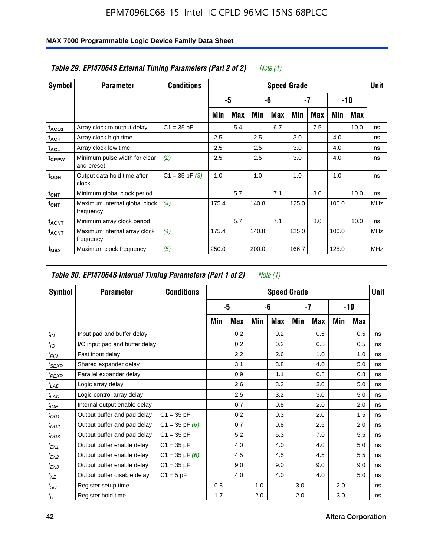| MAX 7000 Programmable Logic Device Family Data Sheet |  |
|------------------------------------------------------|--|
|                                                      |  |

| Table 29. EPM7064S External Timing Parameters (Part 2 of 2)<br>Note (1) |                                             |                    |       |     |       |     |                    |     |       |      |             |  |
|-------------------------------------------------------------------------|---------------------------------------------|--------------------|-------|-----|-------|-----|--------------------|-----|-------|------|-------------|--|
| Symbol                                                                  | <b>Parameter</b>                            | <b>Conditions</b>  |       |     |       |     | <b>Speed Grade</b> |     |       |      | <b>Unit</b> |  |
|                                                                         |                                             |                    |       | -5  |       | -6  | $-7$               |     | -10   |      |             |  |
|                                                                         |                                             |                    | Min   | Max | Min   | Max | Min                | Max | Min   | Max  |             |  |
| t <sub>ACO1</sub>                                                       | Array clock to output delay                 | $C1 = 35 pF$       |       | 5.4 |       | 6.7 |                    | 7.5 |       | 10.0 | ns          |  |
| $t_{\sf ACH}$                                                           | Array clock high time                       |                    | 2.5   |     | 2.5   |     | 3.0                |     | 4.0   |      | ns          |  |
| t <sub>ACL</sub>                                                        | Array clock low time                        |                    | 2.5   |     | 2.5   |     | 3.0                |     | 4.0   |      | ns          |  |
| tcppw                                                                   | Minimum pulse width for clear<br>and preset | (2)                | 2.5   |     | 2.5   |     | 3.0                |     | 4.0   |      | ns          |  |
| $t_{ODH}$                                                               | Output data hold time after<br>clock        | $C1 = 35$ pF $(3)$ | 1.0   |     | 1.0   |     | 1.0                |     | 1.0   |      | ns          |  |
| $t_{\text{CNT}}$                                                        | Minimum global clock period                 |                    |       | 5.7 |       | 7.1 |                    | 8.0 |       | 10.0 | ns          |  |
| $f_{\text{CNT}}$                                                        | Maximum internal global clock<br>frequency  | (4)                | 175.4 |     | 140.8 |     | 125.0              |     | 100.0 |      | <b>MHz</b>  |  |
| $t_{ACNT}$                                                              | Minimum array clock period                  |                    |       | 5.7 |       | 7.1 |                    | 8.0 |       | 10.0 | ns          |  |
| <b>f<sub>ACNT</sub></b>                                                 | Maximum internal array clock<br>frequency   | (4)                | 175.4 |     | 140.8 |     | 125.0              |     | 100.0 |      | <b>MHz</b>  |  |
| f <sub>MAX</sub>                                                        | Maximum clock frequency                     | (5)                | 250.0 |     | 200.0 |     | 166.7              |     | 125.0 |      | <b>MHz</b>  |  |

| Table 30. EPM7064S Internal Timing Parameters (Part 1 of 2)<br>Note (1) |                                |                    |     |     |     |                    |     |            |     |     |        |  |
|-------------------------------------------------------------------------|--------------------------------|--------------------|-----|-----|-----|--------------------|-----|------------|-----|-----|--------|--|
| <b>Symbol</b>                                                           | <b>Parameter</b>               | <b>Conditions</b>  |     |     |     | <b>Speed Grade</b> |     |            |     |     | Unit I |  |
|                                                                         |                                |                    |     | -5  |     | -6                 |     | -7         | -10 |     |        |  |
|                                                                         |                                |                    | Min | Max | Min | Max                | Min | <b>Max</b> | Min | Max |        |  |
| $t_{IN}$                                                                | Input pad and buffer delay     |                    |     | 0.2 |     | 0.2                |     | 0.5        |     | 0.5 | ns     |  |
| $t_{IO}$                                                                | I/O input pad and buffer delay |                    |     | 0.2 |     | 0.2                |     | 0.5        |     | 0.5 | ns     |  |
| $t_{FIN}$                                                               | Fast input delay               |                    |     | 2.2 |     | 2.6                |     | 1.0        |     | 1.0 | ns     |  |
| $t_{SEXP}$                                                              | Shared expander delay          |                    |     | 3.1 |     | 3.8                |     | 4.0        |     | 5.0 | ns     |  |
| $t_{PEXP}$                                                              | Parallel expander delay        |                    |     | 0.9 |     | 1.1                |     | 0.8        |     | 0.8 | ns     |  |
| $t_{LAD}$                                                               | Logic array delay              |                    |     | 2.6 |     | 3.2                |     | 3.0        |     | 5.0 | ns     |  |
| $t_{LAC}$                                                               | Logic control array delay      |                    |     | 2.5 |     | 3.2                |     | 3.0        |     | 5.0 | ns     |  |
| $t_{IOE}$                                                               | Internal output enable delay   |                    |     | 0.7 |     | 0.8                |     | 2.0        |     | 2.0 | ns     |  |
| $t_{OD1}$                                                               | Output buffer and pad delay    | $C1 = 35 pF$       |     | 0.2 |     | 0.3                |     | 2.0        |     | 1.5 | ns     |  |
| $t_{OD2}$                                                               | Output buffer and pad delay    | $C1 = 35$ pF $(6)$ |     | 0.7 |     | 0.8                |     | 2.5        |     | 2.0 | ns     |  |
| $t_{OD3}$                                                               | Output buffer and pad delay    | $C1 = 35 pF$       |     | 5.2 |     | 5.3                |     | 7.0        |     | 5.5 | ns     |  |
| $t_{ZX1}$                                                               | Output buffer enable delay     | $C1 = 35 pF$       |     | 4.0 |     | 4.0                |     | 4.0        |     | 5.0 | ns     |  |
| $t_{ZX2}$                                                               | Output buffer enable delay     | $C1 = 35$ pF $(6)$ |     | 4.5 |     | 4.5                |     | 4.5        |     | 5.5 | ns     |  |
| $t_{ZX3}$                                                               | Output buffer enable delay     | $C1 = 35 pF$       |     | 9.0 |     | 9.0                |     | 9.0        |     | 9.0 | ns     |  |
| $t_{XZ}$                                                                | Output buffer disable delay    | $C1 = 5pF$         |     | 4.0 |     | 4.0                |     | 4.0        |     | 5.0 | ns     |  |
| $t_{\text{SU}}$                                                         | Register setup time            |                    | 0.8 |     | 1.0 |                    | 3.0 |            | 2.0 |     | ns     |  |
| $t_H$                                                                   | Register hold time             |                    | 1.7 |     | 2.0 |                    | 2.0 |            | 3.0 |     | ns     |  |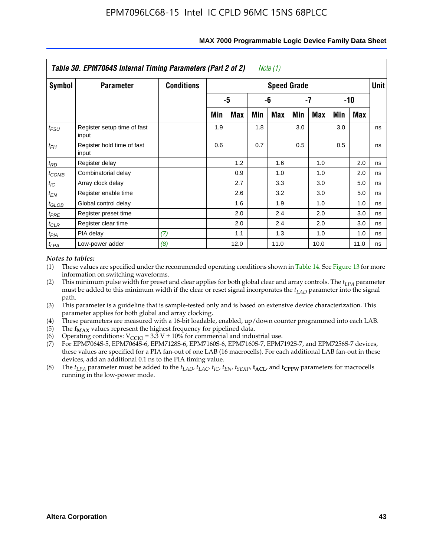| Table 30. EPM7064S Internal Timing Parameters (Part 2 of 2)<br>Note (1) |                                      |                   |                    |      |     |      |     |      |       |            |    |  |  |
|-------------------------------------------------------------------------|--------------------------------------|-------------------|--------------------|------|-----|------|-----|------|-------|------------|----|--|--|
| Symbol                                                                  | <b>Parameter</b>                     | <b>Conditions</b> | <b>Speed Grade</b> |      |     |      |     |      |       |            |    |  |  |
|                                                                         |                                      |                   |                    | -5   |     | -6   | -7  |      | $-10$ |            |    |  |  |
|                                                                         |                                      |                   | Min                | Max  | Min | Max  | Min | Max  | Min   | <b>Max</b> |    |  |  |
| $t_{FSU}$                                                               | Register setup time of fast<br>input |                   | 1.9                |      | 1.8 |      | 3.0 |      | 3.0   |            | ns |  |  |
| $t_{FH}$                                                                | Register hold time of fast<br>input  |                   | 0.6                |      | 0.7 |      | 0.5 |      | 0.5   |            | ns |  |  |
| $t_{RD}$                                                                | Register delay                       |                   |                    | 1.2  |     | 1.6  |     | 1.0  |       | 2.0        | ns |  |  |
| $t_{COMB}$                                                              | Combinatorial delay                  |                   |                    | 0.9  |     | 1.0  |     | 1.0  |       | 2.0        | ns |  |  |
| $t_{IC}$                                                                | Array clock delay                    |                   |                    | 2.7  |     | 3.3  |     | 3.0  |       | 5.0        | ns |  |  |
| $t_{EN}$                                                                | Register enable time                 |                   |                    | 2.6  |     | 3.2  |     | 3.0  |       | 5.0        | ns |  |  |
| $t_{\text{GLOB}}$                                                       | Global control delay                 |                   |                    | 1.6  |     | 1.9  |     | 1.0  |       | 1.0        | ns |  |  |
| $t_{PRE}$                                                               | Register preset time                 |                   |                    | 2.0  |     | 2.4  |     | 2.0  |       | 3.0        | ns |  |  |
| $t_{CLR}$                                                               | Register clear time                  |                   |                    | 2.0  |     | 2.4  |     | 2.0  |       | 3.0        | ns |  |  |
| $t_{PIA}$                                                               | PIA delay                            | (7)               |                    | 1.1  |     | 1.3  |     | 1.0  |       | 1.0        | ns |  |  |
| $t_{LPA}$                                                               | Low-power adder                      | (8)               |                    | 12.0 |     | 11.0 |     | 10.0 |       | 11.0       | ns |  |  |

#### **MAX 7000 Programmable Logic Device Family Data Sheet**

#### *Notes to tables:*

- (1) These values are specified under the recommended operating conditions shown in Table 14. See Figure 13 for more information on switching waveforms.
- (2) This minimum pulse width for preset and clear applies for both global clear and array controls. The  $t_{LPA}$  parameter must be added to this minimum width if the clear or reset signal incorporates the *t<sub>LAD</sub>* parameter into the signal path.
- (3) This parameter is a guideline that is sample-tested only and is based on extensive device characterization. This parameter applies for both global and array clocking.
- (4) These parameters are measured with a 16-bit loadable, enabled, up/down counter programmed into each LAB.
- (5) The  $f_{MAX}$  values represent the highest frequency for pipelined data.
- (6) Operating conditions:  $V_{\text{CGO}} = 3.3 \text{ V} \pm 10\%$  for commercial and industrial use.
- (7) For EPM7064S-5, EPM7064S-6, EPM7128S-6, EPM7160S-6, EPM7160S-7, EPM7192S-7, and EPM7256S-7 devices, these values are specified for a PIA fan-out of one LAB (16 macrocells). For each additional LAB fan-out in these devices, add an additional 0.1 ns to the PIA timing value.
- (8) The  $t_{LPA}$  parameter must be added to the  $t_{LAD}$ ,  $t_{LAC}$ ,  $t_{IC}$ ,  $t_{EN}$ ,  $t_{SEXP}$ ,  $t_{ACL}$ , and  $t_{CPPW}$  parameters for macrocells running in the low-power mode.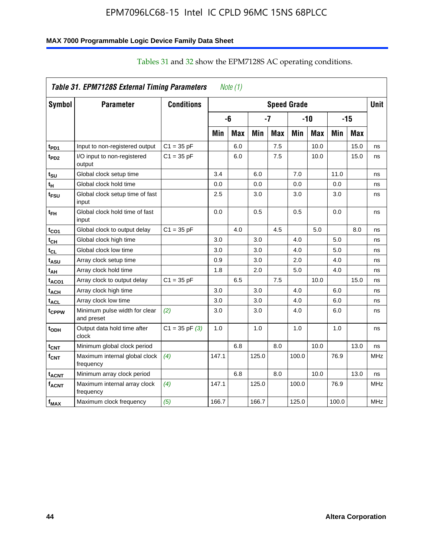### **MAX 7000 Programmable Logic Device Family Data Sheet**

| Table 31. EPM7128S External Timing Parameters<br>Note (1) |                                             |                    |       |            |       |            |                    |            |       |            |             |
|-----------------------------------------------------------|---------------------------------------------|--------------------|-------|------------|-------|------------|--------------------|------------|-------|------------|-------------|
| Symbol                                                    | <b>Parameter</b>                            | <b>Conditions</b>  |       |            |       |            | <b>Speed Grade</b> |            |       |            | <b>Unit</b> |
|                                                           |                                             |                    |       | -6         |       | -7         |                    | $-10$      |       | $-15$      |             |
|                                                           |                                             |                    | Min   | <b>Max</b> | Min   | <b>Max</b> | Min                | <b>Max</b> | Min   | <b>Max</b> |             |
| t <sub>PD1</sub>                                          | Input to non-registered output              | $C1 = 35 pF$       |       | 6.0        |       | 7.5        |                    | 10.0       |       | 15.0       | ns          |
| t <sub>PD2</sub>                                          | I/O input to non-registered<br>output       | $C1 = 35 pF$       |       | 6.0        |       | 7.5        |                    | 10.0       |       | 15.0       | ns          |
| t <sub>SU</sub>                                           | Global clock setup time                     |                    | 3.4   |            | 6.0   |            | 7.0                |            | 11.0  |            | ns          |
| t <sub>Η</sub>                                            | Global clock hold time                      |                    | 0.0   |            | 0.0   |            | 0.0                |            | 0.0   |            | ns          |
| t <sub>FSU</sub>                                          | Global clock setup time of fast<br>input    |                    | 2.5   |            | 3.0   |            | 3.0                |            | 3.0   |            | ns          |
| t <sub>ЕН</sub>                                           | Global clock hold time of fast<br>input     |                    | 0.0   |            | 0.5   |            | 0.5                |            | 0.0   |            | ns          |
| $t_{CO1}$                                                 | Global clock to output delay                | $C1 = 35 pF$       |       | 4.0        |       | 4.5        |                    | 5.0        |       | 8.0        | ns          |
| $t_{\mathsf{CH}}$                                         | Global clock high time                      |                    | 3.0   |            | 3.0   |            | 4.0                |            | 5.0   |            | ns          |
| $t_{CL}$                                                  | Global clock low time                       |                    | 3.0   |            | 3.0   |            | 4.0                |            | 5.0   |            | ns          |
| t <sub>ASU</sub>                                          | Array clock setup time                      |                    | 0.9   |            | 3.0   |            | 2.0                |            | 4.0   |            | ns          |
| t <sub>АН</sub>                                           | Array clock hold time                       |                    | 1.8   |            | 2.0   |            | 5.0                |            | 4.0   |            | ns          |
| taco1                                                     | Array clock to output delay                 | $C1 = 35 pF$       |       | 6.5        |       | 7.5        |                    | 10.0       |       | 15.0       | ns          |
| t <sub>АСН</sub>                                          | Array clock high time                       |                    | 3.0   |            | 3.0   |            | 4.0                |            | 6.0   |            | ns          |
| t <sub>ACL</sub>                                          | Array clock low time                        |                    | 3.0   |            | 3.0   |            | 4.0                |            | 6.0   |            | ns          |
| tcppw                                                     | Minimum pulse width for clear<br>and preset | (2)                | 3.0   |            | 3.0   |            | 4.0                |            | 6.0   |            | ns          |
| t <sub>орн</sub>                                          | Output data hold time after<br>clock        | $C1 = 35$ pF $(3)$ | 1.0   |            | 1.0   |            | 1.0                |            | 1.0   |            | ns          |
| $t_{\text{CNT}}$                                          | Minimum global clock period                 |                    |       | 6.8        |       | 8.0        |                    | 10.0       |       | 13.0       | ns          |
| $f_{\text{CNT}}$                                          | Maximum internal global clock<br>frequency  | (4)                | 147.1 |            | 125.0 |            | 100.0              |            | 76.9  |            | <b>MHz</b>  |
| t <sub>acnt</sub>                                         | Minimum array clock period                  |                    |       | 6.8        |       | 8.0        |                    | 10.0       |       | 13.0       | ns          |
| <sup>f</sup> acnt                                         | Maximum internal array clock<br>frequency   | (4)                | 147.1 |            | 125.0 |            | 100.0              |            | 76.9  |            | <b>MHz</b>  |
| f <sub>MAX</sub>                                          | Maximum clock frequency                     | (5)                | 166.7 |            | 166.7 |            | 125.0              |            | 100.0 |            | <b>MHz</b>  |

# Tables 31 and 32 show the EPM7128S AC operating conditions.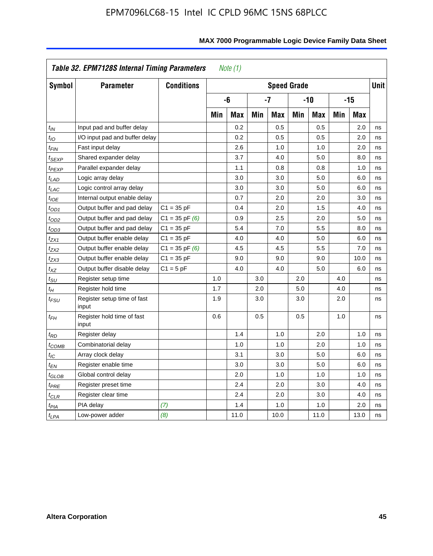|                            | Table 32. EPM7128S Internal Timing Parameters<br>Note $(1)$ |                    |     |            |     |                    |     |            |     |       |             |  |  |
|----------------------------|-------------------------------------------------------------|--------------------|-----|------------|-----|--------------------|-----|------------|-----|-------|-------------|--|--|
| Symbol                     | <b>Parameter</b>                                            | <b>Conditions</b>  |     |            |     | <b>Speed Grade</b> |     |            |     |       | <b>Unit</b> |  |  |
|                            |                                                             |                    |     | -6         |     | $-7$               |     | $-10$      |     | $-15$ |             |  |  |
|                            |                                                             |                    | Min | <b>Max</b> | Min | <b>Max</b>         | Min | <b>Max</b> | Min | Max   |             |  |  |
| $t_{IN}$                   | Input pad and buffer delay                                  |                    |     | 0.2        |     | 0.5                |     | 0.5        |     | 2.0   | ns          |  |  |
| $t_{IO}$                   | I/O input pad and buffer delay                              |                    |     | 0.2        |     | 0.5                |     | 0.5        |     | 2.0   | ns          |  |  |
| $t_{\textit{FIN}}$         | Fast input delay                                            |                    |     | 2.6        |     | 1.0                |     | 1.0        |     | 2.0   | ns          |  |  |
| <sup>t</sup> SEXP          | Shared expander delay                                       |                    |     | 3.7        |     | 4.0                |     | 5.0        |     | 8.0   | ns          |  |  |
| t <sub>PEXP</sub>          | Parallel expander delay                                     |                    |     | 1.1        |     | 0.8                |     | 0.8        |     | 1.0   | ns          |  |  |
| $t_{LAD}$                  | Logic array delay                                           |                    |     | 3.0        |     | 3.0                |     | 5.0        |     | 6.0   | ns          |  |  |
| $t_{LAC}$                  | Logic control array delay                                   |                    |     | 3.0        |     | 3.0                |     | 5.0        |     | 6.0   | ns          |  |  |
| $t_{IOE}$                  | Internal output enable delay                                |                    |     | 0.7        |     | 2.0                |     | 2.0        |     | 3.0   | ns          |  |  |
| $t_{OD1}$                  | Output buffer and pad delay                                 | $C1 = 35 pF$       |     | 0.4        |     | 2.0                |     | 1.5        |     | 4.0   | ns          |  |  |
| $t_{OD2}$                  | Output buffer and pad delay                                 | $C1 = 35$ pF $(6)$ |     | 0.9        |     | 2.5                |     | 2.0        |     | 5.0   | ns          |  |  |
| $t_{OD3}$                  | Output buffer and pad delay                                 | $C1 = 35 pF$       |     | 5.4        |     | 7.0                |     | 5.5        |     | 8.0   | ns          |  |  |
| $t_{ZX1}$                  | Output buffer enable delay                                  | $C1 = 35 pF$       |     | 4.0        |     | 4.0                |     | 5.0        |     | 6.0   | ns          |  |  |
| $t_{ZX2}$                  | Output buffer enable delay                                  | $C1 = 35$ pF $(6)$ |     | 4.5        |     | 4.5                |     | 5.5        |     | 7.0   | ns          |  |  |
| t <sub>ZX3</sub>           | Output buffer enable delay                                  | $C1 = 35 pF$       |     | 9.0        |     | 9.0                |     | 9.0        |     | 10.0  | ns          |  |  |
| $t_{XZ}$                   | Output buffer disable delay                                 | $C1 = 5pF$         |     | 4.0        |     | 4.0                |     | 5.0        |     | 6.0   | ns          |  |  |
| $t_{\text{SU}}$            | Register setup time                                         |                    | 1.0 |            | 3.0 |                    | 2.0 |            | 4.0 |       | ns          |  |  |
| $t_H$                      | Register hold time                                          |                    | 1.7 |            | 2.0 |                    | 5.0 |            | 4.0 |       | ns          |  |  |
| $t_{\it FSU}$              | Register setup time of fast<br>input                        |                    | 1.9 |            | 3.0 |                    | 3.0 |            | 2.0 |       | ns          |  |  |
| t <sub>FH</sub>            | Register hold time of fast<br>input                         |                    | 0.6 |            | 0.5 |                    | 0.5 |            | 1.0 |       | ns          |  |  |
| $t_{RD}$                   | Register delay                                              |                    |     | 1.4        |     | 1.0                |     | 2.0        |     | 1.0   | ns          |  |  |
| $t_{\mathsf{COMB}}$        | Combinatorial delay                                         |                    |     | 1.0        |     | 1.0                |     | 2.0        |     | 1.0   | ns          |  |  |
| $t_{IC}$                   | Array clock delay                                           |                    |     | 3.1        |     | 3.0                |     | 5.0        |     | 6.0   | ns          |  |  |
| $t_{EN}$                   | Register enable time                                        |                    |     | 3.0        |     | 3.0                |     | 5.0        |     | 6.0   | ns          |  |  |
| $t_{\scriptstyle\rm GLOB}$ | Global control delay                                        |                    |     | 2.0        |     | 1.0                |     | 1.0        |     | 1.0   | ns          |  |  |
| $t_{PRE}$                  | Register preset time                                        |                    |     | 2.4        |     | 2.0                |     | 3.0        |     | 4.0   | ns          |  |  |
| $t_{\sf CLR}$              | Register clear time                                         |                    |     | 2.4        |     | 2.0                |     | 3.0        |     | 4.0   | ns          |  |  |
| $t_{PIA}$                  | PIA delay                                                   | (7)                |     | 1.4        |     | 1.0                |     | 1.0        |     | 2.0   | ns          |  |  |
| t <sub>LPA</sub>           | Low-power adder                                             | (8)                |     | 11.0       |     | 10.0               |     | 11.0       |     | 13.0  | ns          |  |  |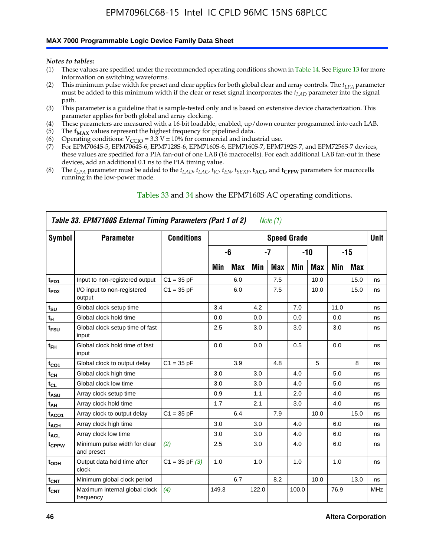#### **MAX 7000 Programmable Logic Device Family Data Sheet**

*Notes to tables:*

- (1) These values are specified under the recommended operating conditions shown in Table 14. See Figure 13 for more information on switching waveforms.
- (2) This minimum pulse width for preset and clear applies for both global clear and array controls. The  $t_{LPA}$  parameter must be added to this minimum width if the clear or reset signal incorporates the *tLAD* parameter into the signal path.
- (3) This parameter is a guideline that is sample-tested only and is based on extensive device characterization. This parameter applies for both global and array clocking.
- (4) These parameters are measured with a 16-bit loadable, enabled, up/down counter programmed into each LAB.
- (5) The  $f_{MAX}$  values represent the highest frequency for pipelined data.
- (6) Operating conditions:  $V_{\text{CCIO}} = 3.3 \text{ V} \pm 10\%$  for commercial and industrial use.
- (7) For EPM7064S-5, EPM7064S-6, EPM7128S-6, EPM7160S-6, EPM7160S-7, EPM7192S-7, and EPM7256S-7 devices, these values are specified for a PIA fan-out of one LAB (16 macrocells). For each additional LAB fan-out in these devices, add an additional 0.1 ns to the PIA timing value.
- (8) The  $t_{LPA}$  parameter must be added to the  $t_{LAD}$ ,  $t_{LAC}$ ,  $t_{IC}$ ,  $t_{EN}$ ,  $t_{SEXP}$ ,  $t_{ACL}$ , and  $t_{CPPW}$  parameters for macrocells running in the low-power mode.

| Table 33. EPM7160S External Timing Parameters (Part 1 of 2)<br>Note $(1)$ |                                             |                    |       |            |       |            |                    |            |      |      |            |  |
|---------------------------------------------------------------------------|---------------------------------------------|--------------------|-------|------------|-------|------------|--------------------|------------|------|------|------------|--|
| Symbol                                                                    | <b>Parameter</b>                            | <b>Conditions</b>  |       |            |       |            | <b>Speed Grade</b> |            |      |      | Unit       |  |
|                                                                           |                                             |                    |       | -6         |       | -7         |                    | -10        |      | -15  |            |  |
|                                                                           |                                             |                    | Min   | <b>Max</b> | Min   | <b>Max</b> | Min                | <b>Max</b> | Min  | Max  |            |  |
| t <sub>PD1</sub>                                                          | Input to non-registered output              | $C1 = 35 pF$       |       | 6.0        |       | 7.5        |                    | 10.0       |      | 15.0 | ns         |  |
| t <sub>PD2</sub>                                                          | I/O input to non-registered<br>output       | $C1 = 35 pF$       |       | 6.0        |       | 7.5        |                    | 10.0       |      | 15.0 | ns         |  |
| $t_{\text{SU}}$                                                           | Global clock setup time                     |                    | 3.4   |            | 4.2   |            | 7.0                |            | 11.0 |      | ns         |  |
| $t_H$                                                                     | Global clock hold time                      |                    | 0.0   |            | 0.0   |            | 0.0                |            | 0.0  |      | ns         |  |
| t <sub>FSU</sub>                                                          | Global clock setup time of fast<br>input    |                    | 2.5   |            | 3.0   |            | 3.0                |            | 3.0  |      | ns         |  |
| $t_{FH}$                                                                  | Global clock hold time of fast<br>input     |                    | 0.0   |            | 0.0   |            | 0.5                |            | 0.0  |      | ns         |  |
| $t_{CO1}$                                                                 | Global clock to output delay                | $C1 = 35 pF$       |       | 3.9        |       | 4.8        |                    | 5          |      | 8    | ns         |  |
| $t_{CH}$                                                                  | Global clock high time                      |                    | 3.0   |            | 3.0   |            | 4.0                |            | 5.0  |      | ns         |  |
| $t_{CL}$                                                                  | Global clock low time                       |                    | 3.0   |            | 3.0   |            | 4.0                |            | 5.0  |      | ns         |  |
| t <sub>ASU</sub>                                                          | Array clock setup time                      |                    | 0.9   |            | 1.1   |            | 2.0                |            | 4.0  |      | ns         |  |
| t <sub>АН</sub>                                                           | Array clock hold time                       |                    | 1.7   |            | 2.1   |            | 3.0                |            | 4.0  |      | ns         |  |
| $t_{ACO1}$                                                                | Array clock to output delay                 | $C1 = 35 pF$       |       | 6.4        |       | 7.9        |                    | 10.0       |      | 15.0 | ns         |  |
| $t_{ACH}$                                                                 | Array clock high time                       |                    | 3.0   |            | 3.0   |            | 4.0                |            | 6.0  |      | ns         |  |
| $t_{\sf ACL}$                                                             | Array clock low time                        |                    | 3.0   |            | 3.0   |            | 4.0                |            | 6.0  |      | ns         |  |
| tcppw                                                                     | Minimum pulse width for clear<br>and preset | (2)                | 2.5   |            | 3.0   |            | 4.0                |            | 6.0  |      | ns         |  |
| t <sub>ODH</sub>                                                          | Output data hold time after<br>clock        | $C1 = 35$ pF $(3)$ | 1.0   |            | 1.0   |            | 1.0                |            | 1.0  |      | ns         |  |
| $t_{\text{CNT}}$                                                          | Minimum global clock period                 |                    |       | 6.7        |       | 8.2        |                    | 10.0       |      | 13.0 | ns         |  |
| $f_{\text{CNT}}$                                                          | Maximum internal global clock<br>frequency  | (4)                | 149.3 |            | 122.0 |            | 100.0              |            | 76.9 |      | <b>MHz</b> |  |

#### Tables 33 and 34 show the EPM7160S AC operating conditions.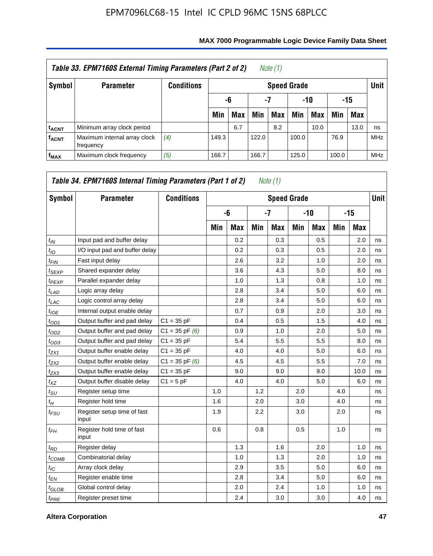| Table 33. EPM7160S External Timing Parameters (Part 2 of 2)<br>Note (1) |                                           |            |       |                        |       |                    |       |      |       |            |             |  |
|-------------------------------------------------------------------------|-------------------------------------------|------------|-------|------------------------|-------|--------------------|-------|------|-------|------------|-------------|--|
| <b>Symbol</b>                                                           | <b>Parameter</b>                          | Conditions |       |                        |       | <b>Speed Grade</b> |       |      |       |            | <b>Unit</b> |  |
|                                                                         |                                           |            |       | -10<br>-7<br>-15<br>-6 |       |                    |       |      |       |            |             |  |
|                                                                         |                                           |            | Min   | <b>Max</b>             | Min   | Max                | Min   | Max  | Min   | <b>Max</b> |             |  |
| <b>t<sub>ACNT</sub></b>                                                 | Minimum array clock period                |            |       | 6.7                    |       | 8.2                |       | 10.0 |       | 13.0       | ns          |  |
| <b>fACNT</b>                                                            | Maximum internal array clock<br>frequency | (4)        | 149.3 |                        | 122.0 |                    | 100.0 |      | 76.9  |            | <b>MHz</b>  |  |
| $f_{MAX}$                                                               | Maximum clock frequency                   | (5)        | 166.7 |                        | 166.7 |                    | 125.0 |      | 100.0 |            | <b>MHz</b>  |  |

| Symbol          | <b>Parameter</b>                     | <b>Conditions</b>  |     |            |      | <b>Speed Grade</b> |     |            |       |      | <b>Unit</b> |
|-----------------|--------------------------------------|--------------------|-----|------------|------|--------------------|-----|------------|-------|------|-------------|
|                 |                                      |                    |     | -6         | $-7$ |                    | -10 |            | $-15$ |      |             |
|                 |                                      |                    | Min | <b>Max</b> | Min  | <b>Max</b>         | Min | <b>Max</b> | Min   | Max  |             |
| $t_{IN}$        | Input pad and buffer delay           |                    |     | 0.2        |      | 0.3                |     | 0.5        |       | 2.0  | ns          |
| $t_{IO}$        | I/O input pad and buffer delay       |                    |     | 0.2        |      | 0.3                |     | 0.5        |       | 2.0  | ns          |
| $t_{FIN}$       | Fast input delay                     |                    |     | 2.6        |      | 3.2                |     | 1.0        |       | 2.0  | ns          |
| $t_{SEXP}$      | Shared expander delay                |                    |     | 3.6        |      | 4.3                |     | 5.0        |       | 8.0  | ns          |
| $t_{PEXP}$      | Parallel expander delay              |                    |     | 1.0        |      | 1.3                |     | 0.8        |       | 1.0  | ns          |
| $t_{LAD}$       | Logic array delay                    |                    |     | 2.8        |      | 3.4                |     | 5.0        |       | 6.0  | ns          |
| $t_{LAC}$       | Logic control array delay            |                    |     | 2.8        |      | 3.4                |     | 5.0        |       | 6.0  | ns          |
| $t_{IOE}$       | Internal output enable delay         |                    |     | 0.7        |      | 0.9                |     | 2.0        |       | 3.0  | ns          |
| $t_{OD1}$       | Output buffer and pad delay          | $C1 = 35 pF$       |     | 0.4        |      | 0.5                |     | 1.5        |       | 4.0  | ns          |
| $t_{OD2}$       | Output buffer and pad delay          | $C1 = 35$ pF $(6)$ |     | 0.9        |      | 1.0                |     | 2.0        |       | 5.0  | ns          |
| $t_{OD3}$       | Output buffer and pad delay          | $C1 = 35 pF$       |     | 5.4        |      | 5.5                |     | 5.5        |       | 8.0  | ns          |
| $t_{ZX1}$       | Output buffer enable delay           | $C1 = 35 pF$       |     | 4.0        |      | 4.0                |     | 5.0        |       | 6.0  | ns          |
| $t_{ZX2}$       | Output buffer enable delay           | $C1 = 35$ pF $(6)$ |     | 4.5        |      | 4.5                |     | 5.5        |       | 7.0  | ns          |
| $t_{ZX3}$       | Output buffer enable delay           | $C1 = 35 pF$       |     | 9.0        |      | 9.0                |     | 9.0        |       | 10.0 | ns          |
| $t_{XZ}$        | Output buffer disable delay          | $C1 = 5pF$         |     | 4.0        |      | 4.0                |     | 5.0        |       | 6.0  | ns          |
| $t_{\rm SU}$    | Register setup time                  |                    | 1.0 |            | 1.2  |                    | 2.0 |            | 4.0   |      | ns          |
| $t_H$           | Register hold time                   |                    | 1.6 |            | 2.0  |                    | 3.0 |            | 4.0   |      | ns          |
| $t_{FSU}$       | Register setup time of fast<br>input |                    | 1.9 |            | 2.2  |                    | 3.0 |            | 2.0   |      | ns          |
| $t_{FH}$        | Register hold time of fast<br>input  |                    | 0.6 |            | 0.8  |                    | 0.5 |            | 1.0   |      | ns          |
| $t_{RD}$        | Register delay                       |                    |     | 1.3        |      | 1.6                |     | 2.0        |       | 1.0  | ns          |
| $t_{COMB}$      | Combinatorial delay                  |                    |     | 1.0        |      | 1.3                |     | 2.0        |       | 1.0  | ns          |
| $t_{\text{IC}}$ | Array clock delay                    |                    |     | 2.9        |      | 3.5                |     | 5.0        |       | 6.0  | ns          |
| $t_{EN}$        | Register enable time                 |                    |     | 2.8        |      | 3.4                |     | 5.0        |       | 6.0  | ns          |
| $t_{GLOB}$      | Global control delay                 |                    |     | 2.0        |      | 2.4                |     | 1.0        |       | 1.0  | ns          |
| $t_{PRE}$       | Register preset time                 |                    |     | 2.4        |      | 3.0                |     | 3.0        |       | 4.0  | ns          |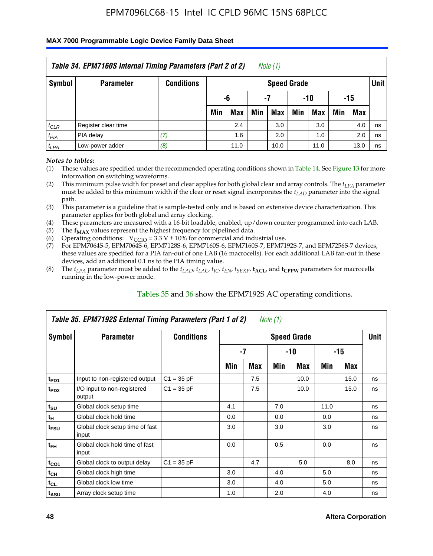#### **MAX 7000 Programmable Logic Device Family Data Sheet**

| Table 34. EPM7160S Internal Timing Parameters (Part 2 of 2)<br>Note $(1)$ |                     |                   |                          |      |     |                    |     |      |     |            |             |  |
|---------------------------------------------------------------------------|---------------------|-------------------|--------------------------|------|-----|--------------------|-----|------|-----|------------|-------------|--|
| Symbol                                                                    | <b>Parameter</b>    | <b>Conditions</b> |                          |      |     | <b>Speed Grade</b> |     |      |     |            | <b>Unit</b> |  |
|                                                                           |                     |                   | $-10$<br>-6<br>-15<br>-7 |      |     |                    |     |      |     |            |             |  |
|                                                                           |                     |                   | Min                      | Max  | Min | Max                | Min | Max  | Min | <b>Max</b> |             |  |
| $t_{CLR}$                                                                 | Register clear time |                   |                          | 2.4  |     | 3.0                |     | 3.0  |     | 4.0        | ns          |  |
| $t_{PIA}$                                                                 | PIA delay           | (7)               |                          | 1.6  |     | 2.0                |     | 1.0  |     | 2.0        | ns          |  |
| $t_{LPA}$                                                                 | Low-power adder     | (8)               |                          | 11.0 |     | 10.0               |     | 11.0 |     | 13.0       | ns          |  |

*Notes to tables:*

- (1) These values are specified under the recommended operating conditions shown in Table 14. See Figure 13 for more information on switching waveforms.
- (2) This minimum pulse width for preset and clear applies for both global clear and array controls. The  $t_{LPA}$  parameter must be added to this minimum width if the clear or reset signal incorporates the *t<sub>LAD</sub>* parameter into the signal path.
- (3) This parameter is a guideline that is sample-tested only and is based on extensive device characterization. This parameter applies for both global and array clocking.
- (4) These parameters are measured with a 16-bit loadable, enabled, up/down counter programmed into each LAB.
- (5) The  $f_{MAX}$  values represent the highest frequency for pipelined data.
- (6) Operating conditions:  $V_{\text{CCIO}} = 3.3 V \pm 10\%$  for commercial and industrial use.
- (7) For EPM7064S-5, EPM7064S-6, EPM7128S-6, EPM7160S-6, EPM7160S-7, EPM7192S-7, and EPM7256S-7 devices, these values are specified for a PIA fan-out of one LAB (16 macrocells). For each additional LAB fan-out in these devices, add an additional 0.1 ns to the PIA timing value.
- (8) The  $t_{LPA}$  parameter must be added to the  $t_{LAP}$ ,  $t_{LAC}$ ,  $t_{IC}$ ,  $t_{EN}$ ,  $t_{SEXP}$ ,  $t_{ACL}$ , and  $t_{CPPW}$  parameters for macrocells running in the low-power mode.

| Table 35. EPM7192S External Timing Parameters (Part 1 of 2)<br>Note (1) |                                          |                   |                    |      |     |            |       |      |    |  |  |  |  |
|-------------------------------------------------------------------------|------------------------------------------|-------------------|--------------------|------|-----|------------|-------|------|----|--|--|--|--|
| Symbol                                                                  | <b>Parameter</b>                         | <b>Conditions</b> | <b>Speed Grade</b> |      |     |            |       |      |    |  |  |  |  |
|                                                                         |                                          |                   |                    | $-7$ |     | -10        | $-15$ |      |    |  |  |  |  |
|                                                                         |                                          |                   | Min                | Max  | Min | <b>Max</b> | Min   | Max  |    |  |  |  |  |
| t <sub>PD1</sub>                                                        | Input to non-registered output           | $C1 = 35 pF$      |                    | 7.5  |     | 10.0       |       | 15.0 | ns |  |  |  |  |
| $t_{PD2}$                                                               | I/O input to non-registered<br>output    | $C1 = 35 pF$      |                    | 7.5  |     | 10.0       |       | 15.0 | ns |  |  |  |  |
| $t_{\scriptstyle\text{SU}}$                                             | Global clock setup time                  |                   | 4.1                |      | 7.0 |            | 11.0  |      | ns |  |  |  |  |
| $t_H$                                                                   | Global clock hold time                   |                   | 0.0                |      | 0.0 |            | 0.0   |      | ns |  |  |  |  |
| t <sub>FSU</sub>                                                        | Global clock setup time of fast<br>input |                   | 3.0                |      | 3.0 |            | 3.0   |      | ns |  |  |  |  |
| $t_{FH}$                                                                | Global clock hold time of fast<br>input  |                   | 0.0                |      | 0.5 |            | 0.0   |      | ns |  |  |  |  |
| $t_{CO1}$                                                               | Global clock to output delay             | $C1 = 35 pF$      |                    | 4.7  |     | 5.0        |       | 8.0  | ns |  |  |  |  |
| $t_{CH}$                                                                | Global clock high time                   |                   | 3.0                |      | 4.0 |            | 5.0   |      | ns |  |  |  |  |
| $t_{CL}$                                                                | Global clock low time                    |                   | 3.0                |      | 4.0 |            | 5.0   |      | ns |  |  |  |  |
| t <sub>ASU</sub>                                                        | Array clock setup time                   |                   | 1.0                |      | 2.0 |            | 4.0   |      | ns |  |  |  |  |

#### Tables 35 and 36 show the EPM7192S AC operating conditions.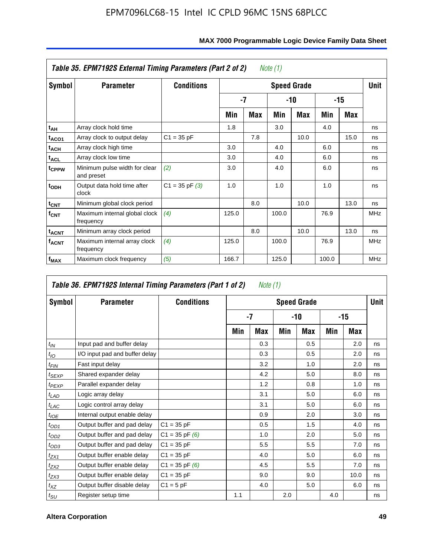| Table 35. EPM7192S External Timing Parameters (Part 2 of 2)<br>Note (1) |                                             |                    |       |      |       |                    |       |      |            |  |  |  |
|-------------------------------------------------------------------------|---------------------------------------------|--------------------|-------|------|-------|--------------------|-------|------|------------|--|--|--|
| Symbol                                                                  | <b>Parameter</b>                            | <b>Conditions</b>  |       |      |       | <b>Speed Grade</b> |       |      | Unit       |  |  |  |
|                                                                         |                                             |                    |       | $-7$ |       | -10                | -15   |      |            |  |  |  |
|                                                                         |                                             |                    | Min   | Max  | Min   | <b>Max</b>         | Min   | Max  |            |  |  |  |
| t <sub>АН</sub>                                                         | Array clock hold time                       |                    | 1.8   |      | 3.0   |                    | 4.0   |      | ns         |  |  |  |
| t <sub>ACO1</sub>                                                       | Array clock to output delay                 | $C1 = 35 pF$       |       | 7.8  |       | 10.0               |       | 15.0 | ns         |  |  |  |
| $t_{\sf ACH}$                                                           | Array clock high time                       |                    | 3.0   |      | 4.0   |                    | 6.0   |      | ns         |  |  |  |
| $t_{\sf ACL}$                                                           | Array clock low time                        |                    | 3.0   |      | 4.0   |                    | 6.0   |      | ns         |  |  |  |
| t <sub>CPPW</sub>                                                       | Minimum pulse width for clear<br>and preset | (2)                | 3.0   |      | 4.0   |                    | 6.0   |      | ns         |  |  |  |
| $t_{ODH}$                                                               | Output data hold time after<br>clock        | $C1 = 35$ pF $(3)$ | 1.0   |      | 1.0   |                    | 1.0   |      | ns         |  |  |  |
| $t_{\mathsf{CNT}}$                                                      | Minimum global clock period                 |                    |       | 8.0  |       | 10.0               |       | 13.0 | ns         |  |  |  |
| $f_{\text{CNT}}$                                                        | Maximum internal global clock<br>frequency  | (4)                | 125.0 |      | 100.0 |                    | 76.9  |      | <b>MHz</b> |  |  |  |
| $t_{ACNT}$                                                              | Minimum array clock period                  |                    |       | 8.0  |       | 10.0               |       | 13.0 | ns         |  |  |  |
| <b>f<sub>ACNT</sub></b>                                                 | Maximum internal array clock<br>frequency   | (4)                | 125.0 |      | 100.0 |                    | 76.9  |      | <b>MHz</b> |  |  |  |
| f <sub>MAX</sub>                                                        | Maximum clock frequency                     | (5)                | 166.7 |      | 125.0 |                    | 100.0 |      | <b>MHz</b> |  |  |  |

|                             | Table 36. EPM7192S Internal Timing Parameters (Part 1 of 2) |                    |                    | Note (1) |     |     |       |      |    |  |  |
|-----------------------------|-------------------------------------------------------------|--------------------|--------------------|----------|-----|-----|-------|------|----|--|--|
| Symbol                      | <b>Parameter</b>                                            | <b>Conditions</b>  | <b>Speed Grade</b> |          |     |     |       |      |    |  |  |
|                             |                                                             |                    |                    | $-7$     |     | -10 | $-15$ |      |    |  |  |
|                             |                                                             |                    | Min                | Max      | Min | Max | Min   | Max  |    |  |  |
| $t_{IN}$                    | Input pad and buffer delay                                  |                    |                    | 0.3      |     | 0.5 |       | 2.0  | ns |  |  |
| $t_{IO}$                    | I/O input pad and buffer delay                              |                    |                    | 0.3      |     | 0.5 |       | 2.0  | ns |  |  |
| $t_{FIN}$                   | Fast input delay                                            |                    |                    | 3.2      |     | 1.0 |       | 2.0  | ns |  |  |
| t <sub>SEXP</sub>           | Shared expander delay                                       |                    |                    | 4.2      |     | 5.0 |       | 8.0  | ns |  |  |
| $t_{PEXP}$                  | Parallel expander delay                                     |                    |                    | 1.2      |     | 0.8 |       | 1.0  | ns |  |  |
| $t_{LAD}$                   | Logic array delay                                           |                    |                    | 3.1      |     | 5.0 |       | 6.0  | ns |  |  |
| $t_{LAC}$                   | Logic control array delay                                   |                    |                    | 3.1      |     | 5.0 |       | 6.0  | ns |  |  |
| $t_{IOE}$                   | Internal output enable delay                                |                    |                    | 0.9      |     | 2.0 |       | 3.0  | ns |  |  |
| $t_{OD1}$                   | Output buffer and pad delay                                 | $C1 = 35 pF$       |                    | 0.5      |     | 1.5 |       | 4.0  | ns |  |  |
| $t_{OD2}$                   | Output buffer and pad delay                                 | $C1 = 35$ pF $(6)$ |                    | 1.0      |     | 2.0 |       | 5.0  | ns |  |  |
| $t_{OD3}$                   | Output buffer and pad delay                                 | $C1 = 35 pF$       |                    | 5.5      |     | 5.5 |       | 7.0  | ns |  |  |
| $t_{ZX1}$                   | Output buffer enable delay                                  | $C1 = 35 pF$       |                    | 4.0      |     | 5.0 |       | 6.0  | ns |  |  |
| $t_{ZX2}$                   | Output buffer enable delay                                  | $C1 = 35$ pF $(6)$ |                    | 4.5      |     | 5.5 |       | 7.0  | ns |  |  |
| $t_{ZX3}$                   | Output buffer enable delay                                  | $C1 = 35 pF$       |                    | 9.0      |     | 9.0 |       | 10.0 | ns |  |  |
| $t_{XZ}$                    | Output buffer disable delay                                 | $C1 = 5$ pF        |                    | 4.0      |     | 5.0 |       | 6.0  | ns |  |  |
| $t_{\scriptstyle\text{SU}}$ | Register setup time                                         |                    | 1.1                |          | 2.0 |     | 4.0   |      | ns |  |  |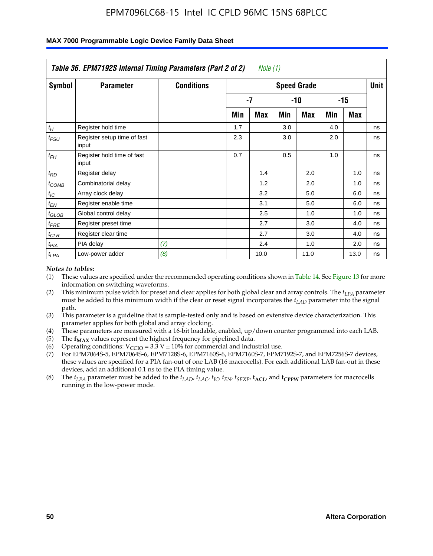| Table 36. EPM7192S Internal Timing Parameters (Part 2 of 2)<br>Note $(1)$ |                                      |                   |                    |      |     |      |     |            |    |  |  |  |  |
|---------------------------------------------------------------------------|--------------------------------------|-------------------|--------------------|------|-----|------|-----|------------|----|--|--|--|--|
| Symbol                                                                    | <b>Parameter</b>                     | <b>Conditions</b> | <b>Speed Grade</b> |      |     |      |     |            |    |  |  |  |  |
|                                                                           |                                      |                   |                    | -7   |     | -10  |     | $-15$      |    |  |  |  |  |
|                                                                           |                                      |                   | Min                | Max  | Min | Max  | Min | <b>Max</b> |    |  |  |  |  |
| $t_H$                                                                     | Register hold time                   |                   | 1.7                |      | 3.0 |      | 4.0 |            | ns |  |  |  |  |
| $t_{\mathit{FSU}}$                                                        | Register setup time of fast<br>input |                   | 2.3                |      | 3.0 |      | 2.0 |            | ns |  |  |  |  |
| $t_{FH}$                                                                  | Register hold time of fast<br>input  |                   | 0.7                |      | 0.5 |      | 1.0 |            | ns |  |  |  |  |
| $t_{RD}$                                                                  | Register delay                       |                   |                    | 1.4  |     | 2.0  |     | 1.0        | ns |  |  |  |  |
| $t_{\text{COMB}}$                                                         | Combinatorial delay                  |                   |                    | 1.2  |     | 2.0  |     | 1.0        | ns |  |  |  |  |
| $t_{IC}$                                                                  | Array clock delay                    |                   |                    | 3.2  |     | 5.0  |     | 6.0        | ns |  |  |  |  |
| $t_{EN}$                                                                  | Register enable time                 |                   |                    | 3.1  |     | 5.0  |     | 6.0        | ns |  |  |  |  |
| $t_{GLOB}$                                                                | Global control delay                 |                   |                    | 2.5  |     | 1.0  |     | 1.0        | ns |  |  |  |  |
| $t_{PRE}$                                                                 | Register preset time                 |                   |                    | 2.7  |     | 3.0  |     | 4.0        | ns |  |  |  |  |
| $t_{CLR}$                                                                 | Register clear time                  |                   |                    | 2.7  |     | 3.0  |     | 4.0        | ns |  |  |  |  |
| t <sub>PIA</sub>                                                          | PIA delay                            | (7)               |                    | 2.4  |     | 1.0  |     | 2.0        | ns |  |  |  |  |
| $t_{LPA}$                                                                 | Low-power adder                      | (8)               |                    | 10.0 |     | 11.0 |     | 13.0       | ns |  |  |  |  |

#### **MAX 7000 Programmable Logic Device Family Data Sheet**

#### *Notes to tables:*

- (1) These values are specified under the recommended operating conditions shown in Table 14. See Figure 13 for more information on switching waveforms.
- (2) This minimum pulse width for preset and clear applies for both global clear and array controls. The *tLPA* parameter must be added to this minimum width if the clear or reset signal incorporates the *t<sub>LAD</sub>* parameter into the signal path.
- (3) This parameter is a guideline that is sample-tested only and is based on extensive device characterization. This parameter applies for both global and array clocking.
- (4) These parameters are measured with a 16-bit loadable, enabled, up/down counter programmed into each LAB.
- (5) The  $f_{MAX}$  values represent the highest frequency for pipelined data.
- (6) Operating conditions:  $V_{\text{CCIO}} = 3.3 \text{ V} \pm 10\%$  for commercial and industrial use.
- (7) For EPM7064S-5, EPM7064S-6, EPM7128S-6, EPM7160S-6, EPM7160S-7, EPM7192S-7, and EPM7256S-7 devices, these values are specified for a PIA fan-out of one LAB (16 macrocells). For each additional LAB fan-out in these devices, add an additional 0.1 ns to the PIA timing value.
- (8) The  $t_{LPA}$  parameter must be added to the  $t_{LAD}$ ,  $t_{LAC}$ ,  $t_{IC}$ ,  $t_{EN}$ ,  $t_{SIX}$ ,  $t_{ACL}$ , and  $t_{CPW}$  parameters for macrocells running in the low-power mode.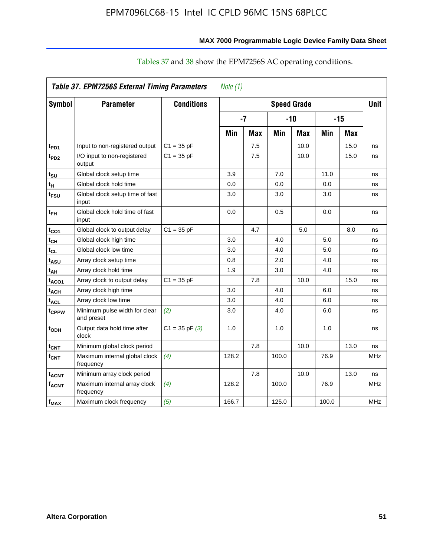| Symbol                  | <b>Parameter</b>                            | <b>Conditions</b>  | <b>Speed Grade</b> |            |       |            |       |            | <b>Unit</b> |
|-------------------------|---------------------------------------------|--------------------|--------------------|------------|-------|------------|-------|------------|-------------|
|                         |                                             |                    | $-7$               |            | $-10$ |            | $-15$ |            |             |
|                         |                                             |                    | Min                | <b>Max</b> | Min   | <b>Max</b> | Min   | <b>Max</b> |             |
| t <sub>PD1</sub>        | Input to non-registered output              | $C1 = 35 pF$       |                    | 7.5        |       | 10.0       |       | 15.0       | ns          |
| t <sub>PD2</sub>        | I/O input to non-registered<br>output       | $C1 = 35 pF$       |                    | 7.5        |       | 10.0       |       | 15.0       | ns          |
| t <sub>su</sub>         | Global clock setup time                     |                    | 3.9                |            | 7.0   |            | 11.0  |            | ns          |
| $t_H$                   | Global clock hold time                      |                    | 0.0                |            | 0.0   |            | 0.0   |            | ns          |
| t <sub>FSU</sub>        | Global clock setup time of fast<br>input    |                    | 3.0                |            | 3.0   |            | 3.0   |            | ns          |
| $t_{FH}$                | Global clock hold time of fast<br>input     |                    | 0.0                |            | 0.5   |            | 0.0   |            | ns          |
| $t_{CO1}$               | Global clock to output delay                | $C1 = 35 pF$       |                    | 4.7        |       | 5.0        |       | 8.0        | ns          |
| $t_{CH}$                | Global clock high time                      |                    | 3.0                |            | 4.0   |            | 5.0   |            | ns          |
| $t_{CL}$                | Global clock low time                       |                    | 3.0                |            | 4.0   |            | 5.0   |            | ns          |
| t <sub>ASU</sub>        | Array clock setup time                      |                    | 0.8                |            | 2.0   |            | 4.0   |            | ns          |
| $t_{AH}$                | Array clock hold time                       |                    | 1.9                |            | 3.0   |            | 4.0   |            | ns          |
| t <sub>ACO1</sub>       | Array clock to output delay                 | $C1 = 35 pF$       |                    | 7.8        |       | 10.0       |       | 15.0       | ns          |
| <b>t<sub>ACH</sub></b>  | Array clock high time                       |                    | 3.0                |            | 4.0   |            | 6.0   |            | ns          |
| <b>t<sub>ACL</sub></b>  | Array clock low time                        |                    | 3.0                |            | 4.0   |            | 6.0   |            | ns          |
| t <sub>CPPW</sub>       | Minimum pulse width for clear<br>and preset | (2)                | 3.0                |            | 4.0   |            | 6.0   |            | ns          |
| t <sub>ODH</sub>        | Output data hold time after<br>clock        | $C1 = 35$ pF $(3)$ | 1.0                |            | 1.0   |            | 1.0   |            | ns          |
| $t_{\text{CNT}}$        | Minimum global clock period                 |                    |                    | 7.8        |       | 10.0       |       | 13.0       | ns          |
| $f_{\mathsf{CNT}}$      | Maximum internal global clock<br>frequency  | (4)                | 128.2              |            | 100.0 |            | 76.9  |            | <b>MHz</b>  |
| <b>t<sub>ACNT</sub></b> | Minimum array clock period                  |                    |                    | 7.8        |       | 10.0       |       | 13.0       | ns          |
| <b>f<sub>ACNT</sub></b> | Maximum internal array clock<br>frequency   | (4)                | 128.2              |            | 100.0 |            | 76.9  |            | <b>MHz</b>  |
| $f_{MAX}$               | Maximum clock frequency                     | (5)                | 166.7              |            | 125.0 |            | 100.0 |            | MHz         |

# Tables 37 and 38 show the EPM7256S AC operating conditions.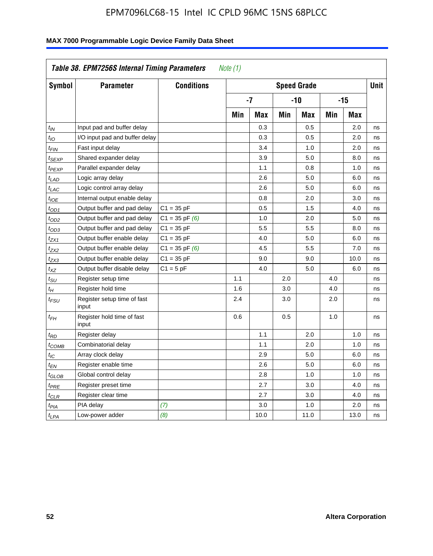| Symbol            | <b>Parameter</b>                     | <b>Conditions</b>  | <b>Speed Grade</b> |            |            |            |       |            | <b>Unit</b> |
|-------------------|--------------------------------------|--------------------|--------------------|------------|------------|------------|-------|------------|-------------|
|                   |                                      |                    | $-7$               |            | $-10$      |            | $-15$ |            |             |
|                   |                                      |                    | Min                | <b>Max</b> | <b>Min</b> | <b>Max</b> | Min   | <b>Max</b> |             |
| $t_{IN}$          | Input pad and buffer delay           |                    |                    | 0.3        |            | 0.5        |       | 2.0        | ns          |
| $t_{IO}$          | I/O input pad and buffer delay       |                    |                    | 0.3        |            | 0.5        |       | 2.0        | ns          |
| $t_{FIN}$         | Fast input delay                     |                    |                    | 3.4        |            | 1.0        |       | 2.0        | ns          |
| tsexp             | Shared expander delay                |                    |                    | 3.9        |            | 5.0        |       | 8.0        | ns          |
| t <sub>PEXP</sub> | Parallel expander delay              |                    |                    | 1.1        |            | 0.8        |       | 1.0        | ns          |
| $t_{LAD}$         | Logic array delay                    |                    |                    | 2.6        |            | 5.0        |       | 6.0        | ns          |
| $t_{LAC}$         | Logic control array delay            |                    |                    | 2.6        |            | 5.0        |       | 6.0        | ns          |
| $t_{IOE}$         | Internal output enable delay         |                    |                    | 0.8        |            | 2.0        |       | 3.0        | ns          |
| $t_{OD1}$         | Output buffer and pad delay          | $C1 = 35 pF$       |                    | 0.5        |            | 1.5        |       | 4.0        | ns          |
| t <sub>OD2</sub>  | Output buffer and pad delay          | $C1 = 35$ pF $(6)$ |                    | 1.0        |            | 2.0        |       | 5.0        | ns          |
| $t_{OD3}$         | Output buffer and pad delay          | $C1 = 35 pF$       |                    | 5.5        |            | 5.5        |       | 8.0        | ns          |
| t <sub>ZX1</sub>  | Output buffer enable delay           | $C1 = 35 pF$       |                    | 4.0        |            | 5.0        |       | 6.0        | ns          |
| t <sub>ZX2</sub>  | Output buffer enable delay           | $C1 = 35$ pF $(6)$ |                    | 4.5        |            | 5.5        |       | 7.0        | ns          |
| t <sub>ZX3</sub>  | Output buffer enable delay           | $C1 = 35 pF$       |                    | 9.0        |            | 9.0        |       | 10.0       | ns          |
| $t_{\text{XZ}}$   | Output buffer disable delay          | $C1 = 5$ pF        |                    | 4.0        |            | 5.0        |       | 6.0        | ns          |
| tsu               | Register setup time                  |                    | 1.1                |            | 2.0        |            | 4.0   |            | ns          |
| $t_H$             | Register hold time                   |                    | 1.6                |            | 3.0        |            | 4.0   |            | ns          |
| t <sub>FSU</sub>  | Register setup time of fast<br>input |                    | 2.4                |            | 3.0        |            | 2.0   |            | ns          |
| $t_{FH}$          | Register hold time of fast<br>input  |                    | 0.6                |            | 0.5        |            | 1.0   |            | ns          |
| $t_{RD}$          | Register delay                       |                    |                    | 1.1        |            | 2.0        |       | 1.0        | ns          |
| t <sub>COMB</sub> | Combinatorial delay                  |                    |                    | 1.1        |            | 2.0        |       | 1.0        | ns          |
| t <sub>IC</sub>   | Array clock delay                    |                    |                    | 2.9        |            | 5.0        |       | 6.0        | ns          |
| $t_{EN}$          | Register enable time                 |                    |                    | 2.6        |            | 5.0        |       | 6.0        | ns          |
| t <sub>GLOB</sub> | Global control delay                 |                    |                    | 2.8        |            | 1.0        |       | 1.0        | ns          |
| $t_{PRE}$         | Register preset time                 |                    |                    | 2.7        |            | 3.0        |       | 4.0        | ns          |
| $t_{\text{CLR}}$  | Register clear time                  |                    |                    | 2.7        |            | 3.0        |       | 4.0        | ns          |
| $t_{PIA}$         | PIA delay                            | (7)                |                    | 3.0        |            | 1.0        |       | 2.0        | ns          |
| $t_{LPA}$         | Low-power adder                      | (8)                |                    | 10.0       |            | 11.0       |       | 13.0       | ns          |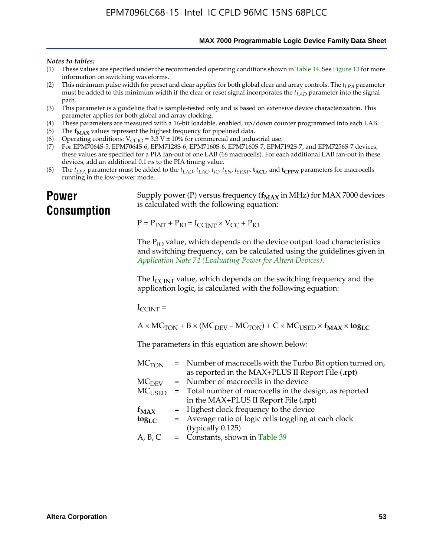**MAX 7000 Programmable Logic Device Family Data Sheet**

#### *Notes to tables:*

- (1) These values are specified under the recommended operating conditions shown in Table 14. See Figure 13 for more information on switching waveforms.
- (2) This minimum pulse width for preset and clear applies for both global clear and array controls. The  $t_{LPA}$  parameter must be added to this minimum width if the clear or reset signal incorporates the *tLAD* parameter into the signal path.
- (3) This parameter is a guideline that is sample-tested only and is based on extensive device characterization. This parameter applies for both global and array clocking.
- (4) These parameters are measured with a 16-bit loadable, enabled, up/down counter programmed into each LAB.
- (5) The  $f_{MAX}$  values represent the highest frequency for pipelined data.
- (6) Operating conditions:  $V_{\text{CCIO}} = 3.3 \text{ V} \pm 10\%$  for commercial and industrial use.
- (7) For EPM7064S-5, EPM7064S-6, EPM7128S-6, EPM7160S-6, EPM7160S-7, EPM7192S-7, and EPM7256S-7 devices, these values are specified for a PIA fan-out of one LAB (16 macrocells). For each additional LAB fan-out in these devices, add an additional 0.1 ns to the PIA timing value.
- (8) The  $t_{LPA}$  parameter must be added to the  $t_{LAD}$ ,  $t_{LAC}$ ,  $t_{IC}$ ,  $t_{EN}$ ,  $t_{SEXP}$ ,  $t_{ACL}$ , and  $t_{CPPW}$  parameters for macrocells running in the low-power mode.

# **Power Consumption**

[Supply power \(P\) versus frequency \(](http://www.altera.com/literature/an/an074.pdf) $f_{MAX}$  in MHz) for MAX 7000 devices is calculated with the following equation:

 $P = P_{INT} + P_{IO} = I_{CCLNT} \times V_{CC} + P_{IO}$ 

The  $P_{IO}$  value, which depends on the device output load characteristics and switching frequency, can be calculated using the guidelines given in *Application Note 74 (Evaluating Power for Altera Devices)*.

The  $I_{\text{CCINT}}$  value, which depends on the switching frequency and the application logic, is calculated with the following equation:

 $I_{\text{CCTNT}} =$ 

 $A \times MC_{TON} + B \times (MC_{DEV} - MC_{TON}) + C \times MC_{USER} \times f_{MAX} \times tog_{LC}$ 

The parameters in this equation are shown below:

| MC <sub>TON</sub> | = Number of macrocells with the Turbo Bit option turned on, |
|-------------------|-------------------------------------------------------------|
|                   | as reported in the MAX+PLUS II Report File (.rpt)           |
| MC <sub>DFV</sub> | = Number of macrocells in the device                        |
| $MC_{\rm{LISED}}$ | = Total number of macrocells in the design, as reported     |
|                   | in the MAX+PLUS II Report File (.rpt)                       |
| $f_{MAX}$         | = Highest clock frequency to the device                     |
| $tog_{LC}$        | = Average ratio of logic cells toggling at each clock       |
|                   | (typically 0.125)                                           |
| A, B, C           | $=$ Constants, shown in Table 39                            |
|                   |                                                             |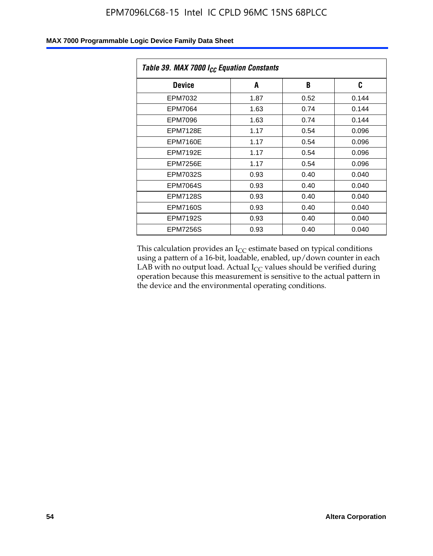| Table 39. MAX 7000 I <sub>CC</sub> Equation Constants |      |      |       |  |  |
|-------------------------------------------------------|------|------|-------|--|--|
| <b>Device</b>                                         | A    | B    | C     |  |  |
| EPM7032                                               | 1.87 | 0.52 | 0.144 |  |  |
| EPM7064                                               | 1.63 | 0.74 | 0.144 |  |  |
| EPM7096                                               | 1.63 | 0.74 | 0.144 |  |  |
| <b>EPM7128E</b>                                       | 1.17 | 0.54 | 0.096 |  |  |
| EPM7160E                                              | 1.17 | 0.54 | 0.096 |  |  |
| <b>EPM7192E</b>                                       | 1.17 | 0.54 | 0.096 |  |  |
| <b>EPM7256E</b>                                       | 1.17 | 0.54 | 0.096 |  |  |
| <b>EPM7032S</b>                                       | 0.93 | 0.40 | 0.040 |  |  |
| EPM7064S                                              | 0.93 | 0.40 | 0.040 |  |  |
| <b>EPM7128S</b>                                       | 0.93 | 0.40 | 0.040 |  |  |
| <b>EPM7160S</b>                                       | 0.93 | 0.40 | 0.040 |  |  |
| <b>EPM7192S</b>                                       | 0.93 | 0.40 | 0.040 |  |  |
| <b>EPM7256S</b>                                       | 0.93 | 0.40 | 0.040 |  |  |

This calculation provides an  $I_{CC}$  estimate based on typical conditions using a pattern of a 16-bit, loadable, enabled, up/down counter in each LAB with no output load. Actual  $I_{CC}$  values should be verified during operation because this measurement is sensitive to the actual pattern in the device and the environmental operating conditions.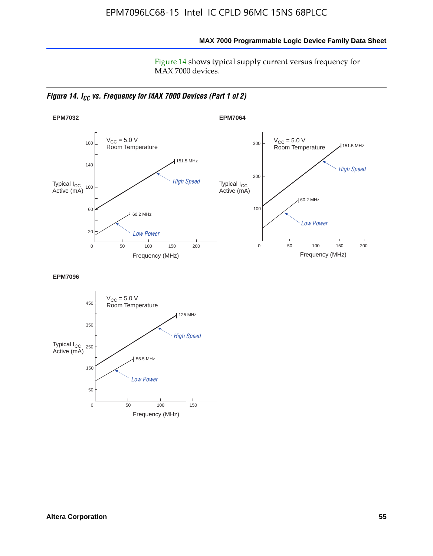**MAX 7000 Programmable Logic Device Family Data Sheet**

Figure 14 shows typical supply current versus frequency for MAX 7000 devices.

*Figure 14. I<sub>CC</sub> vs. Frequency for MAX 7000 Devices (Part 1 of 2)* 



**EPM7096**

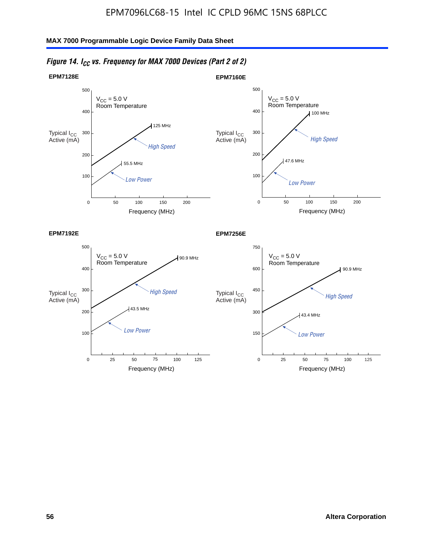

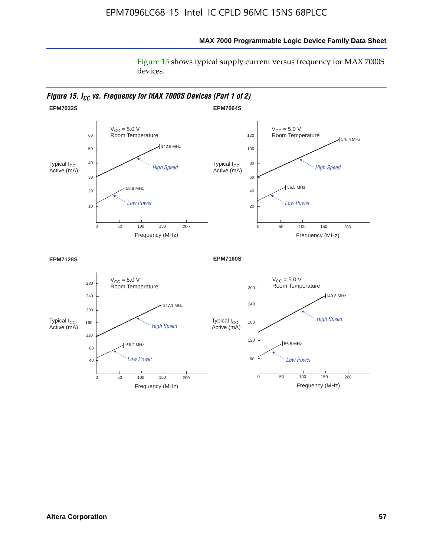#### **MAX 7000 Programmable Logic Device Family Data Sheet**

Figure 15 shows typical supply current versus frequency for MAX 7000S devices.

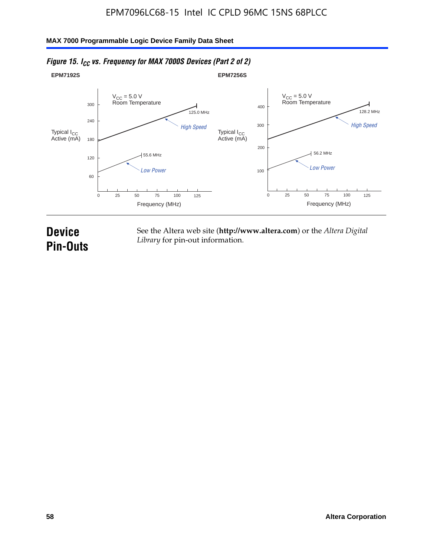

# *Figure 15. I<sub>CC</sub> vs. Frequency for MAX 7000S Devices (Part 2 of 2)*

# **Device Pin-Outs**

See the Altera web site (**http://www.altera.com**) or the *Altera Digital Library* for pin-out information.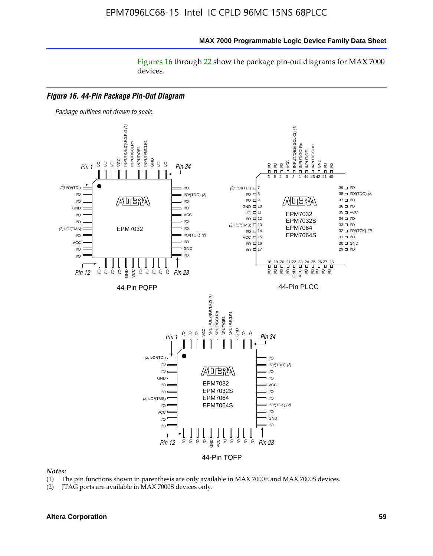#### **MAX 7000 Programmable Logic Device Family Data Sheet**

Figures 16 through 22 show the package pin-out diagrams for MAX 7000 devices.



#### *Notes:*

- (1) The pin functions shown in parenthesis are only available in MAX 7000E and MAX 7000S devices.
- (2) JTAG ports are available in MAX 7000S devices only.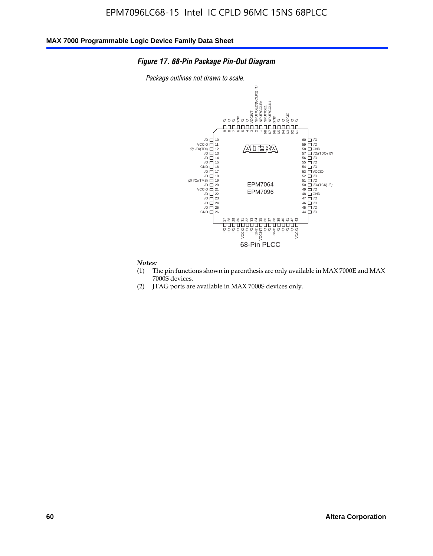#### *Figure 17. 68-Pin Package Pin-Out Diagram*

*Package outlines not drawn to scale.*



# *Notes:*<br>(1) T

- The pin functions shown in parenthesis are only available in MAX 7000E and MAX 7000S devices.
- (2) JTAG ports are available in MAX 7000S devices only.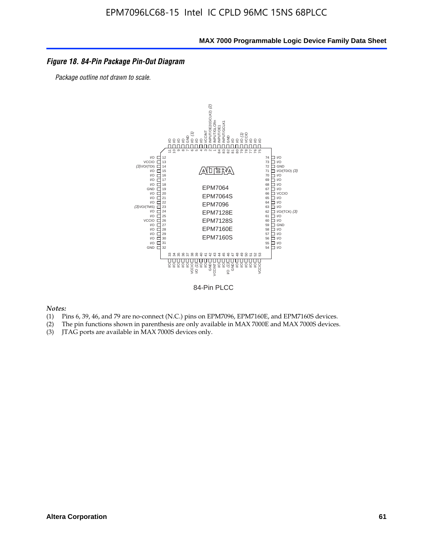#### *Figure 18. 84-Pin Package Pin-Out Diagram*

*Package outline not drawn to scale.*



84-Pin PLCC

*Notes:*

- (1) Pins 6, 39, 46, and 79 are no-connect (N.C.) pins on EPM7096, EPM7160E, and EPM7160S devices.
- (2) The pin functions shown in parenthesis are only available in MAX 7000E and MAX 7000S devices.
-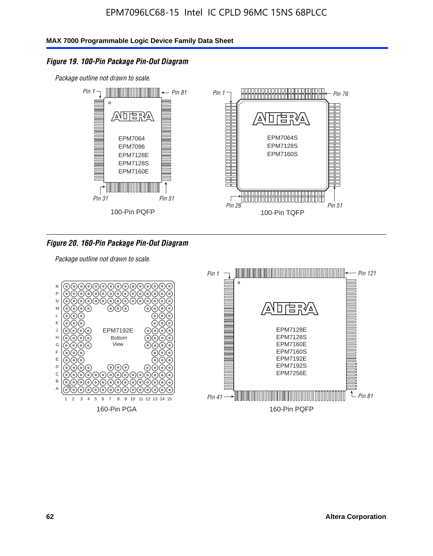### *Figure 19. 100-Pin Package Pin-Out Diagram*

*Package outline not drawn to scale.*



#### *Figure 20. 160-Pin Package Pin-Out Diagram*

*Package outline not drawn to scale.*

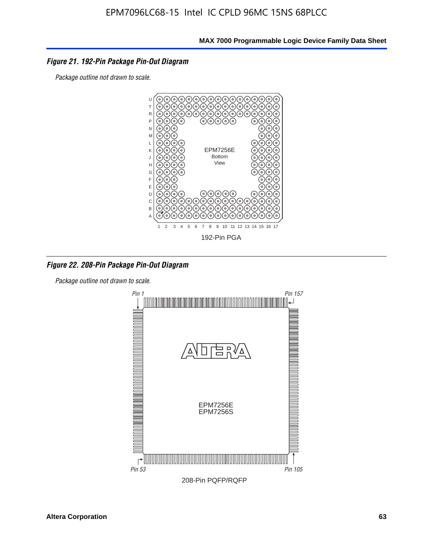#### *Figure 21. 192-Pin Package Pin-Out Diagram*

*Package outline not drawn to scale.*



*Figure 22. 208-Pin Package Pin-Out Diagram*

*Package outline not drawn to scale.*

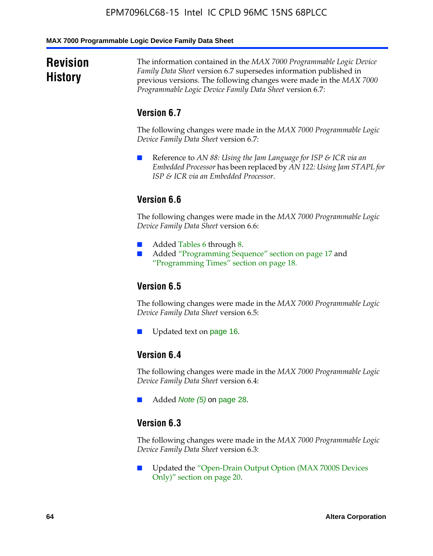#### **MAX 7000 Programmable Logic Device Family Data Sheet**

# **Revision History**

The information contained in the *MAX 7000 Programmable Logic Device Family Data Sheet* version 6.7 supersedes information published in previous versions. The following changes were made in the *MAX 7000 Programmable Logic Device Family Data Sheet* version 6.7:

# **Version 6.7**

The following changes were made in the *MAX 7000 Programmable Logic Device Family Data Sheet* version 6.7:

■ Reference to *AN 88: Using the Jam Language for ISP & ICR via an Embedded Processor* has been replaced by *AN 122: Using Jam STAPL for ISP & ICR via an Embedded Processor*.

# **Version 6.6**

The following changes were made in the *MAX 7000 Programmable Logic Device Family Data Sheet* version 6.6:

- Added Tables 6 through 8.
- Added "Programming Sequence" section on page 17 and "Programming Times" section on page 18.

# **Version 6.5**

The following changes were made in the *MAX 7000 Programmable Logic Device Family Data Sheet* version 6.5:

Updated text on page 16.

# **Version 6.4**

The following changes were made in the *MAX 7000 Programmable Logic Device Family Data Sheet* version 6.4:

■ Added *Note (5)* on page 28.

#### **Version 6.3**

The following changes were made in the *MAX 7000 Programmable Logic Device Family Data Sheet* version 6.3:

■ Updated the "Open-Drain Output Option (MAX 7000S Devices Only)" section on page 20.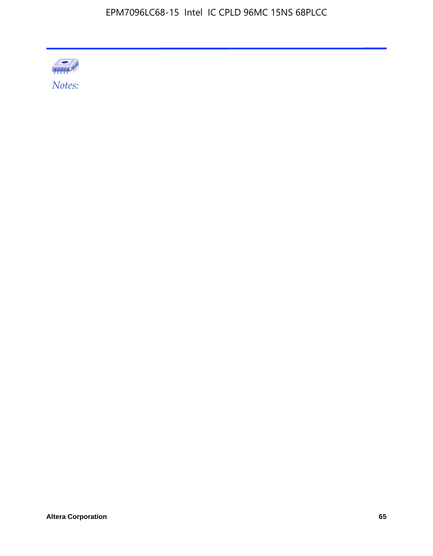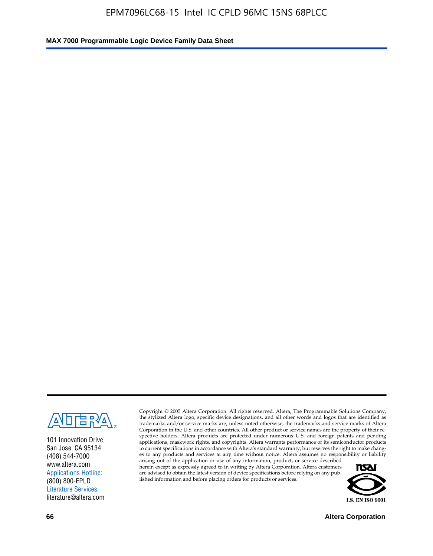

101 Innovation Drive San Jose, CA 95134 (408) 544-7000 www.altera.com Applications Hotline: (800) 800-EPLD Literature Services: literature@altera.com

Copyright © 2005 Altera Corporation. All rights reserved. Altera, The Programmable Solutions Company, the stylized Altera logo, specific device designations, and all other words and logos that are identified as trademarks and/or service marks are, unless noted otherwise, the trademarks and service marks of Altera Corporation in the U.S. and other countries. All other product or service names are the property of their respective holders. Altera products are protected under numerous U.S. and foreign patents and pending applications, maskwork rights, and copyrights. Altera warrants performance of its semiconductor products to current specifications in accordance with Altera's standard warranty, but reserves the right to make changes to any products and services at any time without notice. Altera assumes no responsibility or liability

arising out of the application or use of any information, product, or service described herein except as expressly agreed to in writing by Altera Corporation. Altera customers are advised to obtain the latest version of device specifications before relying on any published information and before placing orders for products or services.



**66 Altera Corporation**